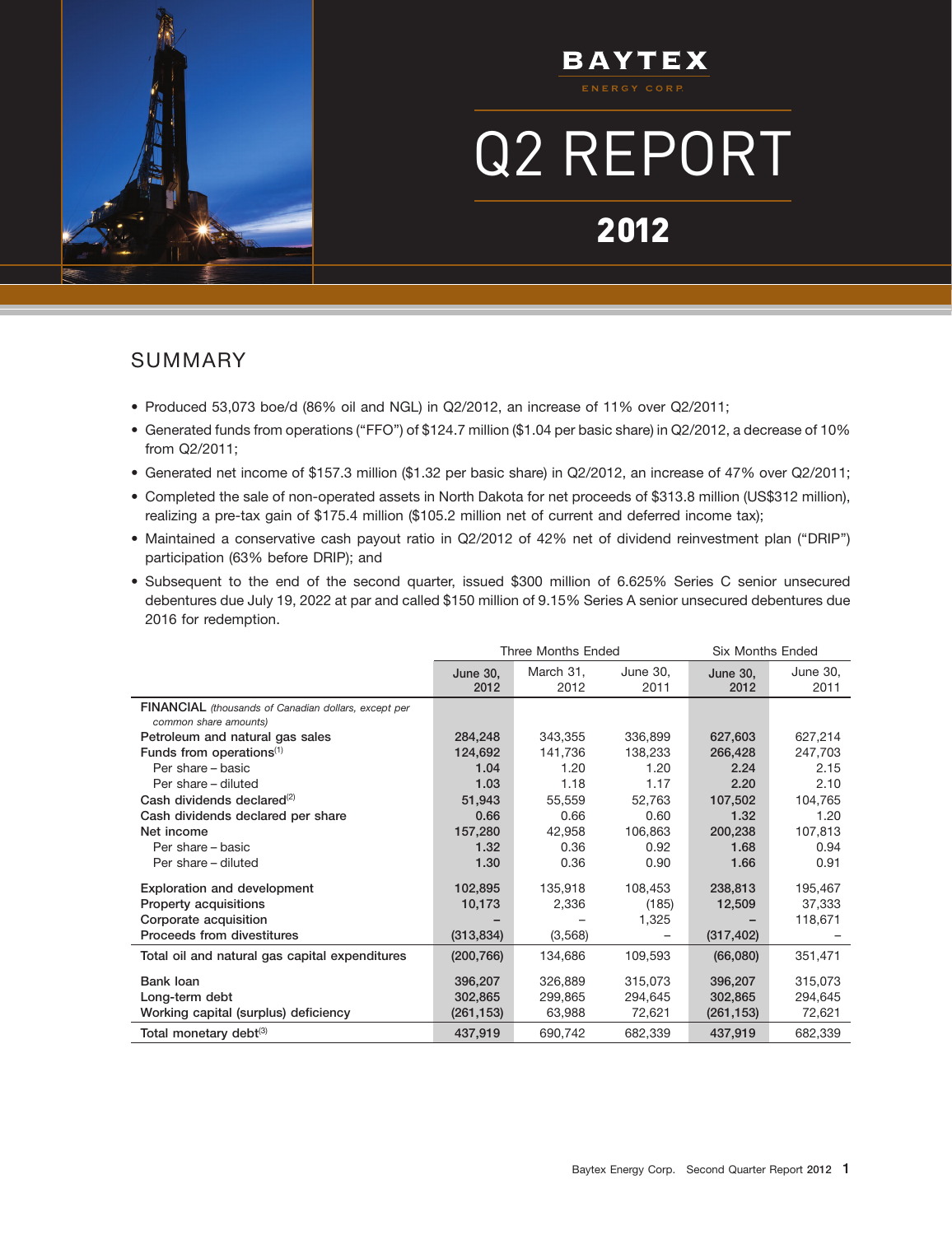

# **BAYTEX**

# Q2 REPORT

# 2012

14AUG2012210509

### SUMMARY

- Produced 53,073 boe/d (86% oil and NGL) in Q2/2012, an increase of 11% over Q2/2011;
- Generated funds from operations (''FFO'') of \$124.7 million (\$1.04 per basic share) in Q2/2012, a decrease of 10% from Q2/2011;
- Generated net income of \$157.3 million (\$1.32 per basic share) in Q2/2012, an increase of 47% over Q2/2011;
- Completed the sale of non-operated assets in North Dakota for net proceeds of \$313.8 million (US\$312 million), realizing a pre-tax gain of \$175.4 million (\$105.2 million net of current and deferred income tax);
- Maintained a conservative cash payout ratio in Q2/2012 of 42% net of dividend reinvestment plan (''DRIP'') participation (63% before DRIP); and
- Subsequent to the end of the second quarter, issued \$300 million of 6.625% Series C senior unsecured debentures due July 19, 2022 at par and called \$150 million of 9.15% Series A senior unsecured debentures due 2016 for redemption.

|                                                                               |                  | <b>Three Months Ended</b> |                  | <b>Six Months Ended</b> |                  |
|-------------------------------------------------------------------------------|------------------|---------------------------|------------------|-------------------------|------------------|
|                                                                               | June 30,<br>2012 | March 31,<br>2012         | June 30,<br>2011 | <b>June 30.</b><br>2012 | June 30,<br>2011 |
| FINANCIAL (thousands of Canadian dollars, except per<br>common share amounts) |                  |                           |                  |                         |                  |
| Petroleum and natural gas sales                                               | 284,248          | 343,355                   | 336,899          | 627,603                 | 627,214          |
| Funds from operations $(1)$                                                   | 124,692          | 141,736                   | 138,233          | 266,428                 | 247,703          |
| Per share - basic                                                             | 1.04             | 1.20                      | 1.20             | 2.24                    | 2.15             |
| Per share - diluted                                                           | 1.03             | 1.18                      | 1.17             | 2.20                    | 2.10             |
| Cash dividends declared <sup>(2)</sup>                                        | 51,943           | 55,559                    | 52,763           | 107,502                 | 104,765          |
| Cash dividends declared per share                                             | 0.66             | 0.66                      | 0.60             | 1.32                    | 1.20             |
| Net income                                                                    | 157,280          | 42,958                    | 106,863          | 200,238                 | 107,813          |
| Per share - basic                                                             | 1.32             | 0.36                      | 0.92             | 1.68                    | 0.94             |
| Per share - diluted                                                           | 1.30             | 0.36                      | 0.90             | 1.66                    | 0.91             |
| <b>Exploration and development</b>                                            | 102,895          | 135,918                   | 108,453          | 238,813                 | 195,467          |
| Property acquisitions                                                         | 10,173           | 2,336                     | (185)            | 12,509                  | 37,333           |
| Corporate acquisition                                                         |                  |                           | 1,325            |                         | 118,671          |
| Proceeds from divestitures                                                    | (313, 834)       | (3,568)                   |                  | (317, 402)              |                  |
| Total oil and natural gas capital expenditures                                | (200, 766)       | 134,686                   | 109,593          | (66,080)                | 351,471          |
| Bank loan                                                                     | 396,207          | 326,889                   | 315,073          | 396,207                 | 315,073          |
| Long-term debt                                                                | 302,865          | 299,865                   | 294.645          | 302,865                 | 294,645          |
| Working capital (surplus) deficiency                                          | (261, 153)       | 63,988                    | 72,621           | (261, 153)              | 72,621           |
| Total monetary debt <sup>(3)</sup>                                            | 437,919          | 690,742                   | 682,339          | 437,919                 | 682,339          |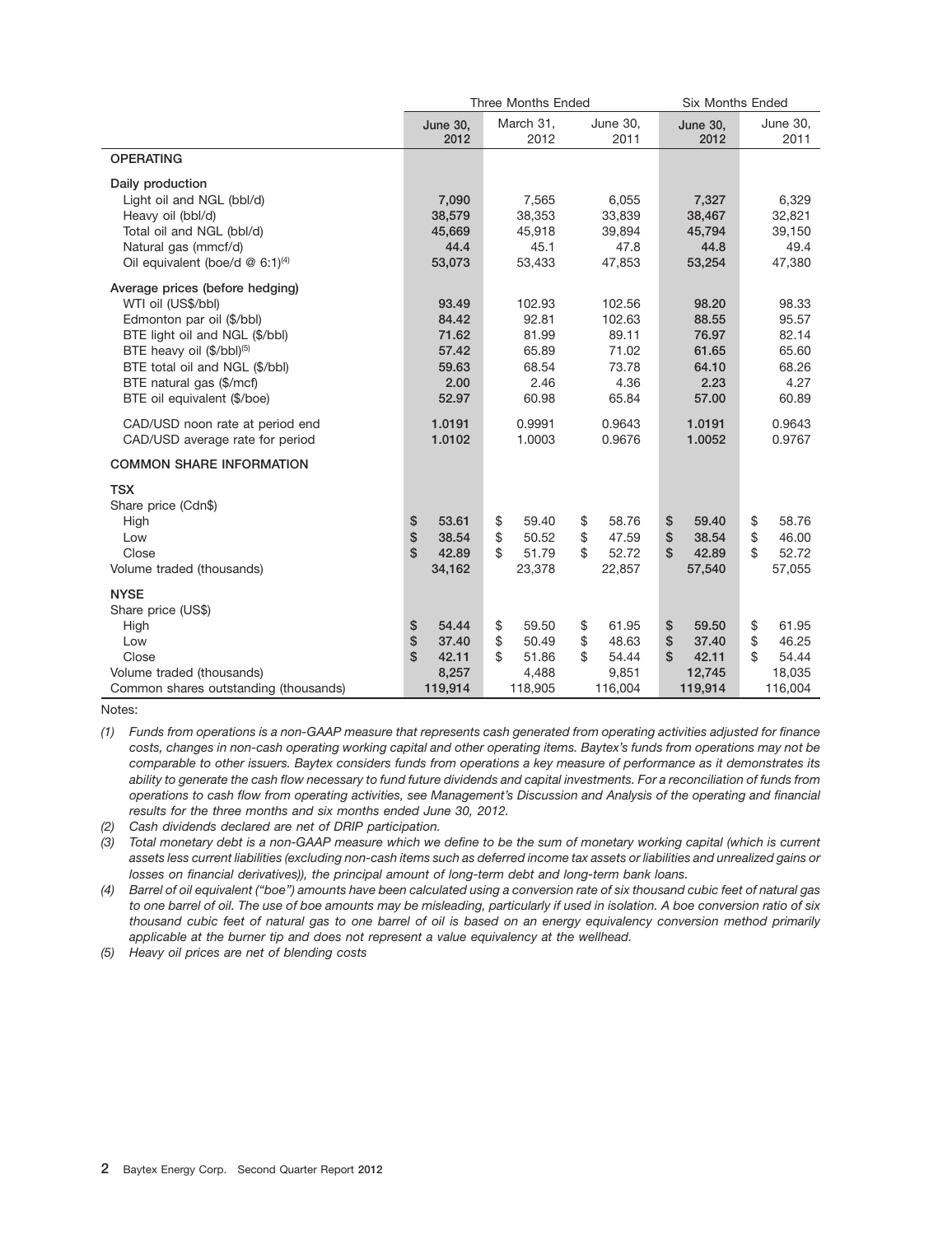|                                               |               |                         |     | Three Months Ended |                         | Six Months Ended |    |                         |
|-----------------------------------------------|---------------|-------------------------|-----|--------------------|-------------------------|------------------|----|-------------------------|
|                                               |               | <b>June 30,</b><br>2012 |     | March 31,<br>2012  | <b>June 30,</b><br>2011 | June 30,<br>2012 |    | <b>June 30,</b><br>2011 |
| <b>OPERATING</b>                              |               |                         |     |                    |                         |                  |    |                         |
| Daily production                              |               |                         |     |                    |                         |                  |    |                         |
| Light oil and NGL (bbl/d)                     |               | 7,090                   |     | 7,565              | 6,055                   | 7,327            |    | 6,329                   |
| Heavy oil (bbl/d)                             |               | 38,579                  |     | 38,353             | 33,839                  | 38,467           |    | 32,821                  |
| Total oil and NGL (bbl/d)                     |               | 45,669                  |     | 45,918             | 39,894                  | 45,794           |    | 39,150                  |
| Natural gas (mmcf/d)                          |               | 44.4                    |     | 45.1               | 47.8                    | 44.8             |    | 49.4                    |
| Oil equivalent (boe/d $@$ 6:1) <sup>(4)</sup> |               | 53,073                  |     | 53,433             | 47,853                  | 53,254           |    | 47,380                  |
| Average prices (before hedging)               |               |                         |     |                    |                         |                  |    |                         |
| WTI oil (US\$/bbl)                            |               | 93.49                   |     | 102.93             | 102.56                  | 98.20            |    | 98.33                   |
| Edmonton par oil (\$/bbl)                     |               | 84.42                   |     | 92.81              | 102.63                  | 88.55            |    | 95.57                   |
| BTE light oil and NGL (\$/bbl)                |               | 71.62                   |     | 81.99              | 89.11                   | 76.97            |    | 82.14                   |
| BTE heavy oil (\$/bbl) <sup>(5)</sup>         |               | 57.42                   |     | 65.89              | 71.02                   | 61.65            |    | 65.60                   |
| BTE total oil and NGL (\$/bbl)                |               | 59.63                   |     | 68.54              | 73.78                   | 64.10            |    | 68.26                   |
| BTE natural gas (\$/mcf)                      |               | 2.00                    |     | 2.46               | 4.36                    | 2.23             |    | 4.27                    |
| BTE oil equivalent (\$/boe)                   |               | 52.97                   |     | 60.98              | 65.84                   | 57.00            |    | 60.89                   |
| CAD/USD noon rate at period end               |               | 1.0191                  |     | 0.9991             | 0.9643                  | 1.0191           |    | 0.9643                  |
| CAD/USD average rate for period               |               | 1.0102                  |     | 1.0003             | 0.9676                  | 1.0052           |    | 0.9767                  |
| <b>COMMON SHARE INFORMATION</b>               |               |                         |     |                    |                         |                  |    |                         |
| <b>TSX</b>                                    |               |                         |     |                    |                         |                  |    |                         |
| Share price (Cdn\$)                           |               |                         |     |                    |                         |                  |    |                         |
| High                                          | \$            | 53.61                   | \$  | 59.40              | \$<br>58.76             | \$<br>59.40      | \$ | 58.76                   |
| Low                                           | \$            | 38.54                   | \$  | 50.52              | \$<br>47.59             | \$<br>38.54      | \$ | 46.00                   |
| Close                                         | $\mathsf{\$}$ | 42.89                   | \$. | 51.79              | \$<br>52.72             | \$<br>42.89      | \$ | 52.72                   |
| Volume traded (thousands)                     |               | 34,162                  |     | 23,378             | 22,857                  | 57,540           |    | 57,055                  |
| <b>NYSE</b>                                   |               |                         |     |                    |                         |                  |    |                         |
| Share price (US\$)                            |               |                         |     |                    |                         |                  |    |                         |
| High                                          | \$            | 54.44                   | \$  | 59.50              | \$<br>61.95             | \$<br>59.50      | \$ | 61.95                   |
| Low                                           | \$            | 37.40                   | \$  | 50.49              | \$<br>48.63             | \$<br>37.40      | \$ | 46.25                   |
| Close                                         | $\mathsf{\$}$ | 42.11                   | \$  | 51.86              | \$<br>54.44             | \$<br>42.11      | \$ | 54.44                   |
| Volume traded (thousands)                     |               | 8,257                   |     | 4,488              | 9,851                   | 12,745           |    | 18,035                  |
| Common shares outstanding (thousands)         |               | 119,914                 |     | 118,905            | 116,004                 | 119,914          |    | 116,004                 |

Notes:

*(2) Cash dividends declared are net of DRIP participation.*

*(3) Total monetary debt is a non-GAAP measure which we define to be the sum of monetary working capital (which is current assets less current liabilities (excluding non-cash items such as deferred income tax assets or liabilities and unrealized gains or losses on financial derivatives)), the principal amount of long-term debt and long-term bank loans.*

*(4) Barrel of oil equivalent (''boe'') amounts have been calculated using a conversion rate of six thousand cubic feet of natural gas to one barrel of oil. The use of boe amounts may be misleading, particularly if used in isolation. A boe conversion ratio of six thousand cubic feet of natural gas to one barrel of oil is based on an energy equivalency conversion method primarily applicable at the burner tip and does not represent a value equivalency at the wellhead.*

*(5) Heavy oil prices are net of blending costs*

*<sup>(1)</sup> Funds from operations is a non-GAAP measure that represents cash generated from operating activities adjusted for finance costs, changes in non-cash operating working capital and other operating items. Baytex's funds from operations may not be comparable to other issuers. Baytex considers funds from operations a key measure of performance as it demonstrates its ability to generate the cash flow necessary to fund future dividends and capital investments. For a reconciliation of funds from operations to cash flow from operating activities, see Management's Discussion and Analysis of the operating and financial results for the three months and six months ended June 30, 2012.*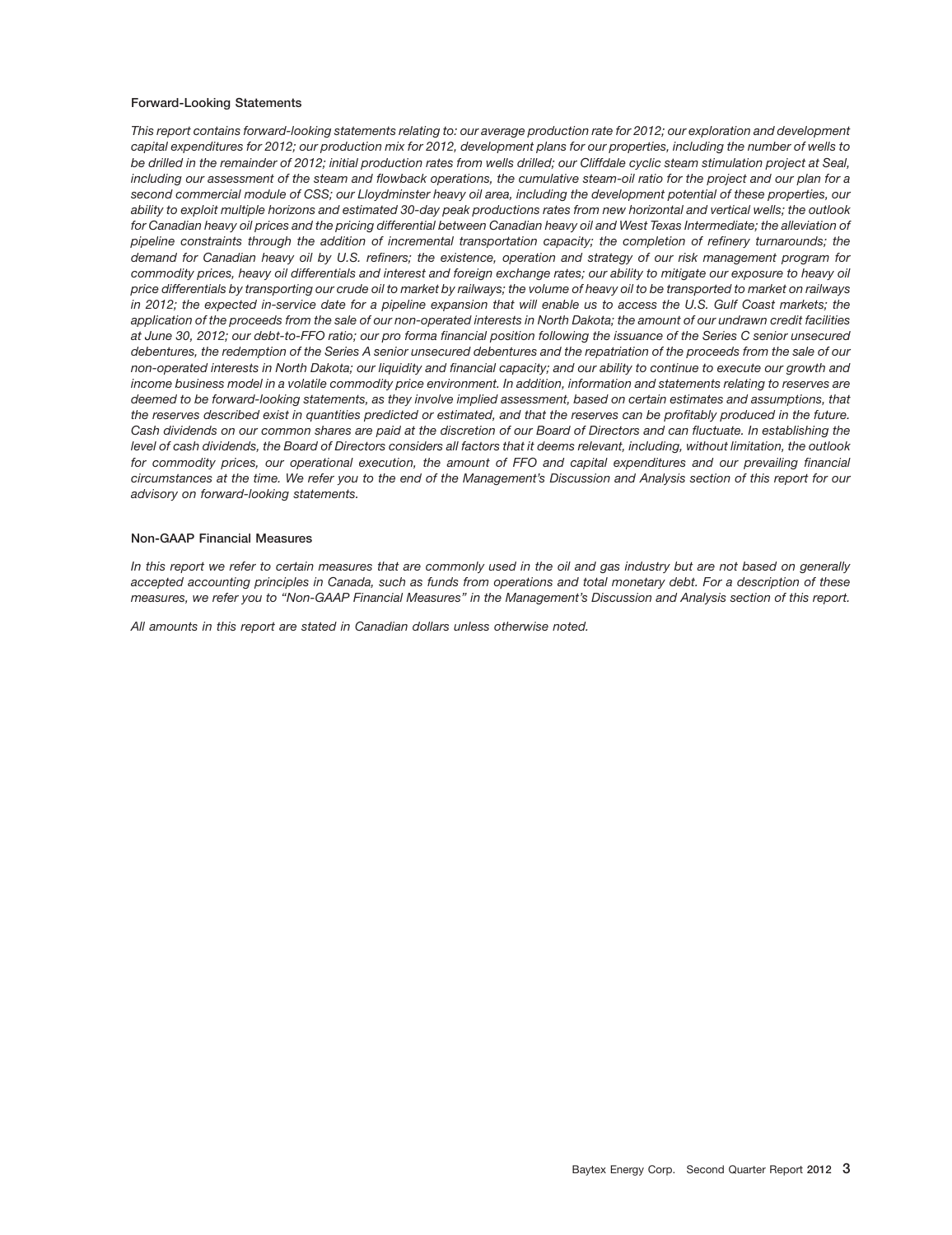#### **Forward-Looking Statements**

*This report contains forward-looking statements relating to: our average production rate for 2012; our exploration and development capital expenditures for 2012; our production mix for 2012, development plans for our properties, including the number of wells to be drilled in the remainder of 2012; initial production rates from wells drilled; our Cliffdale cyclic steam stimulation project at Seal, including our assessment of the steam and flowback operations, the cumulative steam-oil ratio for the project and our plan for a second commercial module of CSS; our Lloydminster heavy oil area, including the development potential of these properties, our ability to exploit multiple horizons and estimated 30-day peak productions rates from new horizontal and vertical wells; the outlook for Canadian heavy oil prices and the pricing differential between Canadian heavy oil and West Texas Intermediate; the alleviation of pipeline constraints through the addition of incremental transportation capacity; the completion of refinery turnarounds; the demand for Canadian heavy oil by U.S. refiners; the existence, operation and strategy of our risk management program for commodity prices, heavy oil differentials and interest and foreign exchange rates; our ability to mitigate our exposure to heavy oil price differentials by transporting our crude oil to market by railways; the volume of heavy oil to be transported to market on railways in 2012; the expected in-service date for a pipeline expansion that will enable us to access the U.S. Gulf Coast markets; the application of the proceeds from the sale of our non-operated interests in North Dakota; the amount of our undrawn credit facilities at June 30, 2012; our debt-to-FFO ratio; our pro forma financial position following the issuance of the Series C senior unsecured debentures, the redemption of the Series A senior unsecured debentures and the repatriation of the proceeds from the sale of our non-operated interests in North Dakota; our liquidity and financial capacity; and our ability to continue to execute our growth and income business model in a volatile commodity price environment. In addition, information and statements relating to reserves are deemed to be forward-looking statements, as they involve implied assessment, based on certain estimates and assumptions, that the reserves described exist in quantities predicted or estimated, and that the reserves can be profitably produced in the future. Cash dividends on our common shares are paid at the discretion of our Board of Directors and can fluctuate. In establishing the level of cash dividends, the Board of Directors considers all factors that it deems relevant, including, without limitation, the outlook for commodity prices, our operational execution, the amount of FFO and capital expenditures and our prevailing financial circumstances at the time. We refer you to the end of the Management's Discussion and Analysis section of this report for our advisory on forward-looking statements.*

#### **Non-GAAP Financial Measures**

*In this report we refer to certain measures that are commonly used in the oil and gas industry but are not based on generally accepted accounting principles in Canada, such as funds from operations and total monetary debt. For a description of these measures, we refer you to ''Non-GAAP Financial Measures'' in the Management's Discussion and Analysis section of this report.*

*All amounts in this report are stated in Canadian dollars unless otherwise noted.*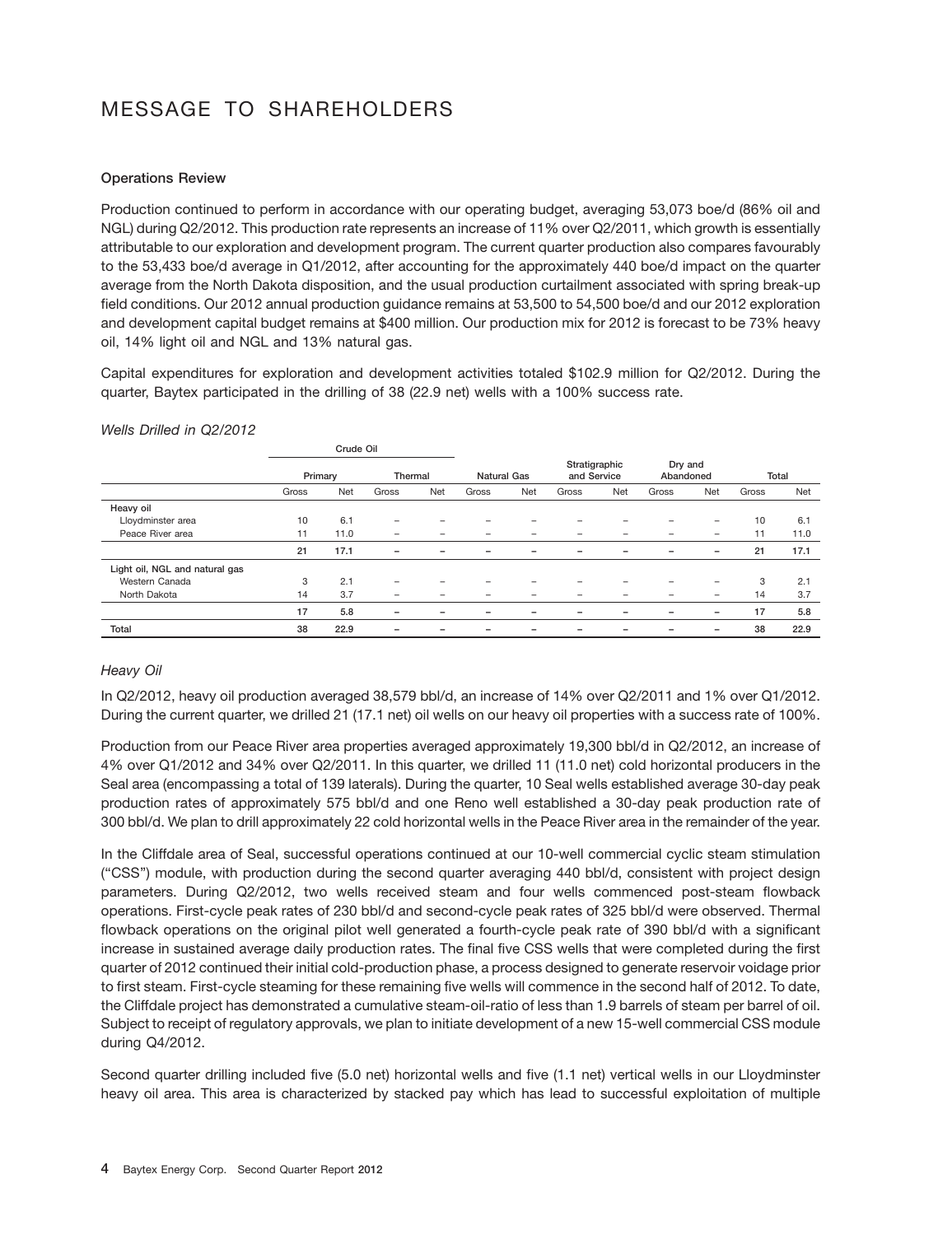# MESSAGE TO SHAREHOLDERS

### **Operations Review**

Production continued to perform in accordance with our operating budget, averaging 53,073 boe/d (86% oil and NGL) during Q2/2012. This production rate represents an increase of 11% over Q2/2011, which growth is essentially attributable to our exploration and development program. The current quarter production also compares favourably to the 53,433 boe/d average in Q1/2012, after accounting for the approximately 440 boe/d impact on the quarter average from the North Dakota disposition, and the usual production curtailment associated with spring break-up field conditions. Our 2012 annual production guidance remains at 53,500 to 54,500 boe/d and our 2012 exploration and development capital budget remains at \$400 million. Our production mix for 2012 is forecast to be 73% heavy oil, 14% light oil and NGL and 13% natural gas.

Capital expenditures for exploration and development activities totaled \$102.9 million for Q2/2012. During the quarter, Baytex participated in the drilling of 38 (22.9 net) wells with a 100% success rate.

|                                |         | Crude Oil |         |     |                          |                          |                              |     |                      |                          |       |       |
|--------------------------------|---------|-----------|---------|-----|--------------------------|--------------------------|------------------------------|-----|----------------------|--------------------------|-------|-------|
|                                | Primary |           | Thermal |     | <b>Natural Gas</b>       |                          | Stratigraphic<br>and Service |     | Dry and<br>Abandoned |                          |       | Total |
|                                | Gross   | Net       | Gross   | Net | Gross                    | Net                      | Gross                        | Net | Gross                | <b>Net</b>               | Gross | Net   |
| Heavy oil                      |         |           |         |     |                          |                          |                              |     |                      |                          |       |       |
| Lloydminster area              | 10      | 6.1       |         |     |                          |                          |                              |     |                      |                          | 10    | 6.1   |
| Peace River area               | 11      | 11.0      | -       |     |                          |                          |                              |     |                      |                          | 11    | 11.0  |
|                                | 21      | 17.1      | -       |     |                          | $\overline{\phantom{0}}$ |                              |     |                      | $\overline{\phantom{0}}$ | 21    | 17.1  |
| Light oil, NGL and natural gas |         |           |         |     |                          |                          |                              |     |                      |                          |       |       |
| Western Canada                 | 3       | 2.1       | -       |     |                          |                          |                              |     |                      |                          | 3     | 2.1   |
| North Dakota                   | 14      | 3.7       | -       |     |                          |                          |                              |     |                      |                          | 14    | 3.7   |
|                                | 17      | 5.8       | -       |     | $\overline{\phantom{0}}$ | $\overline{\phantom{0}}$ | $\overline{\phantom{0}}$     |     |                      | $\overline{\phantom{0}}$ | 17    | 5.8   |
| <b>Total</b>                   | 38      | 22.9      |         |     |                          |                          |                              |     |                      |                          | 38    | 22.9  |

### *Wells Drilled in Q2/2012*

### *Heavy Oil*

In Q2/2012, heavy oil production averaged 38,579 bbl/d, an increase of 14% over Q2/2011 and 1% over Q1/2012. During the current quarter, we drilled 21 (17.1 net) oil wells on our heavy oil properties with a success rate of 100%.

Production from our Peace River area properties averaged approximately 19,300 bbl/d in Q2/2012, an increase of 4% over Q1/2012 and 34% over Q2/2011. In this quarter, we drilled 11 (11.0 net) cold horizontal producers in the Seal area (encompassing a total of 139 laterals). During the quarter, 10 Seal wells established average 30-day peak production rates of approximately 575 bbl/d and one Reno well established a 30-day peak production rate of 300 bbl/d. We plan to drill approximately 22 cold horizontal wells in the Peace River area in the remainder of the year.

In the Cliffdale area of Seal, successful operations continued at our 10-well commercial cyclic steam stimulation (''CSS'') module, with production during the second quarter averaging 440 bbl/d, consistent with project design parameters. During Q2/2012, two wells received steam and four wells commenced post-steam flowback operations. First-cycle peak rates of 230 bbl/d and second-cycle peak rates of 325 bbl/d were observed. Thermal flowback operations on the original pilot well generated a fourth-cycle peak rate of 390 bbl/d with a significant increase in sustained average daily production rates. The final five CSS wells that were completed during the first quarter of 2012 continued their initial cold-production phase, a process designed to generate reservoir voidage prior to first steam. First-cycle steaming for these remaining five wells will commence in the second half of 2012. To date, the Cliffdale project has demonstrated a cumulative steam-oil-ratio of less than 1.9 barrels of steam per barrel of oil. Subject to receipt of regulatory approvals, we plan to initiate development of a new 15-well commercial CSS module during Q4/2012.

Second quarter drilling included five (5.0 net) horizontal wells and five (1.1 net) vertical wells in our Lloydminster heavy oil area. This area is characterized by stacked pay which has lead to successful exploitation of multiple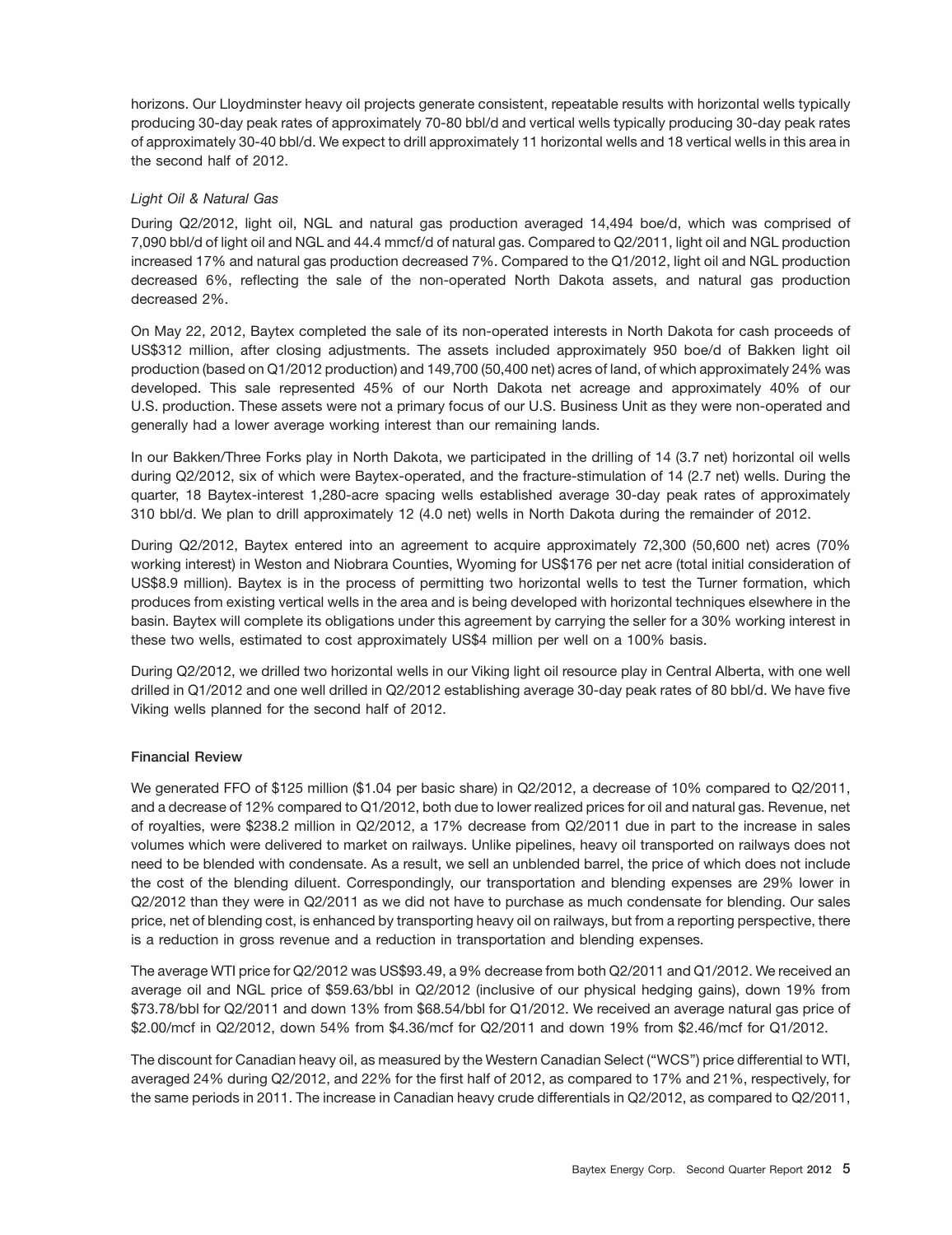horizons. Our Lloydminster heavy oil projects generate consistent, repeatable results with horizontal wells typically producing 30-day peak rates of approximately 70-80 bbl/d and vertical wells typically producing 30-day peak rates of approximately 30-40 bbl/d. We expect to drill approximately 11 horizontal wells and 18 vertical wells in this area in the second half of 2012.

### *Light Oil & Natural Gas*

During Q2/2012, light oil, NGL and natural gas production averaged 14,494 boe/d, which was comprised of 7,090 bbl/d of light oil and NGL and 44.4 mmcf/d of natural gas. Compared to Q2/2011, light oil and NGL production increased 17% and natural gas production decreased 7%. Compared to the Q1/2012, light oil and NGL production decreased 6%, reflecting the sale of the non-operated North Dakota assets, and natural gas production decreased 2%.

On May 22, 2012, Baytex completed the sale of its non-operated interests in North Dakota for cash proceeds of US\$312 million, after closing adjustments. The assets included approximately 950 boe/d of Bakken light oil production (based on Q1/2012 production) and 149,700 (50,400 net) acres of land, of which approximately 24% was developed. This sale represented 45% of our North Dakota net acreage and approximately 40% of our U.S. production. These assets were not a primary focus of our U.S. Business Unit as they were non-operated and generally had a lower average working interest than our remaining lands.

In our Bakken/Three Forks play in North Dakota, we participated in the drilling of 14 (3.7 net) horizontal oil wells during Q2/2012, six of which were Baytex-operated, and the fracture-stimulation of 14 (2.7 net) wells. During the quarter, 18 Baytex-interest 1,280-acre spacing wells established average 30-day peak rates of approximately 310 bbl/d. We plan to drill approximately 12 (4.0 net) wells in North Dakota during the remainder of 2012.

During Q2/2012, Baytex entered into an agreement to acquire approximately 72,300 (50,600 net) acres (70% working interest) in Weston and Niobrara Counties, Wyoming for US\$176 per net acre (total initial consideration of US\$8.9 million). Baytex is in the process of permitting two horizontal wells to test the Turner formation, which produces from existing vertical wells in the area and is being developed with horizontal techniques elsewhere in the basin. Baytex will complete its obligations under this agreement by carrying the seller for a 30% working interest in these two wells, estimated to cost approximately US\$4 million per well on a 100% basis.

During Q2/2012, we drilled two horizontal wells in our Viking light oil resource play in Central Alberta, with one well drilled in Q1/2012 and one well drilled in Q2/2012 establishing average 30-day peak rates of 80 bbl/d. We have five Viking wells planned for the second half of 2012.

### **Financial Review**

We generated FFO of \$125 million (\$1.04 per basic share) in Q2/2012, a decrease of 10% compared to Q2/2011, and a decrease of 12% compared to Q1/2012, both due to lower realized prices for oil and natural gas. Revenue, net of royalties, were \$238.2 million in Q2/2012, a 17% decrease from Q2/2011 due in part to the increase in sales volumes which were delivered to market on railways. Unlike pipelines, heavy oil transported on railways does not need to be blended with condensate. As a result, we sell an unblended barrel, the price of which does not include the cost of the blending diluent. Correspondingly, our transportation and blending expenses are 29% lower in Q2/2012 than they were in Q2/2011 as we did not have to purchase as much condensate for blending. Our sales price, net of blending cost, is enhanced by transporting heavy oil on railways, but from a reporting perspective, there is a reduction in gross revenue and a reduction in transportation and blending expenses.

The average WTI price for Q2/2012 was US\$93.49, a 9% decrease from both Q2/2011 and Q1/2012. We received an average oil and NGL price of \$59.63/bbl in Q2/2012 (inclusive of our physical hedging gains), down 19% from \$73.78/bbl for Q2/2011 and down 13% from \$68.54/bbl for Q1/2012. We received an average natural gas price of \$2.00/mcf in Q2/2012, down 54% from \$4.36/mcf for Q2/2011 and down 19% from \$2.46/mcf for Q1/2012.

The discount for Canadian heavy oil, as measured by the Western Canadian Select (''WCS'') price differential to WTI, averaged 24% during Q2/2012, and 22% for the first half of 2012, as compared to 17% and 21%, respectively, for the same periods in 2011. The increase in Canadian heavy crude differentials in Q2/2012, as compared to Q2/2011,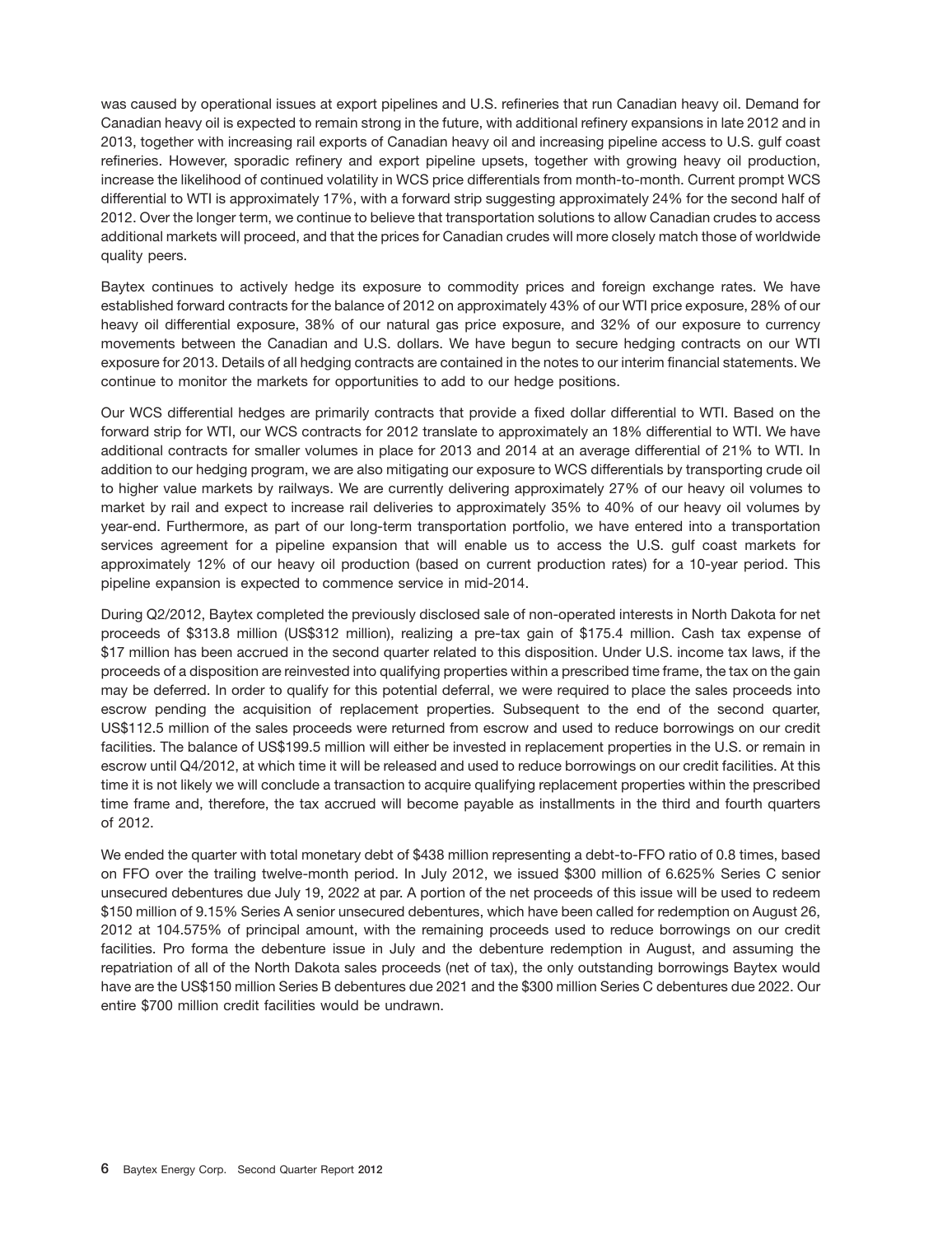was caused by operational issues at export pipelines and U.S. refineries that run Canadian heavy oil. Demand for Canadian heavy oil is expected to remain strong in the future, with additional refinery expansions in late 2012 and in 2013, together with increasing rail exports of Canadian heavy oil and increasing pipeline access to U.S. gulf coast refineries. However, sporadic refinery and export pipeline upsets, together with growing heavy oil production, increase the likelihood of continued volatility in WCS price differentials from month-to-month. Current prompt WCS differential to WTI is approximately 17%, with a forward strip suggesting approximately 24% for the second half of 2012. Over the longer term, we continue to believe that transportation solutions to allow Canadian crudes to access additional markets will proceed, and that the prices for Canadian crudes will more closely match those of worldwide quality peers.

Baytex continues to actively hedge its exposure to commodity prices and foreign exchange rates. We have established forward contracts for the balance of 2012 on approximately 43% of our WTI price exposure, 28% of our heavy oil differential exposure, 38% of our natural gas price exposure, and 32% of our exposure to currency movements between the Canadian and U.S. dollars. We have begun to secure hedging contracts on our WTI exposure for 2013. Details of all hedging contracts are contained in the notes to our interim financial statements. We continue to monitor the markets for opportunities to add to our hedge positions.

Our WCS differential hedges are primarily contracts that provide a fixed dollar differential to WTI. Based on the forward strip for WTI, our WCS contracts for 2012 translate to approximately an 18% differential to WTI. We have additional contracts for smaller volumes in place for 2013 and 2014 at an average differential of 21% to WTI. In addition to our hedging program, we are also mitigating our exposure to WCS differentials by transporting crude oil to higher value markets by railways. We are currently delivering approximately 27% of our heavy oil volumes to market by rail and expect to increase rail deliveries to approximately 35% to 40% of our heavy oil volumes by year-end. Furthermore, as part of our long-term transportation portfolio, we have entered into a transportation services agreement for a pipeline expansion that will enable us to access the U.S. gulf coast markets for approximately 12% of our heavy oil production (based on current production rates) for a 10-year period. This pipeline expansion is expected to commence service in mid-2014.

During Q2/2012, Baytex completed the previously disclosed sale of non-operated interests in North Dakota for net proceeds of \$313.8 million (US\$312 million), realizing a pre-tax gain of \$175.4 million. Cash tax expense of \$17 million has been accrued in the second quarter related to this disposition. Under U.S. income tax laws, if the proceeds of a disposition are reinvested into qualifying properties within a prescribed time frame, the tax on the gain may be deferred. In order to qualify for this potential deferral, we were required to place the sales proceeds into escrow pending the acquisition of replacement properties. Subsequent to the end of the second quarter, US\$112.5 million of the sales proceeds were returned from escrow and used to reduce borrowings on our credit facilities. The balance of US\$199.5 million will either be invested in replacement properties in the U.S. or remain in escrow until Q4/2012, at which time it will be released and used to reduce borrowings on our credit facilities. At this time it is not likely we will conclude a transaction to acquire qualifying replacement properties within the prescribed time frame and, therefore, the tax accrued will become payable as installments in the third and fourth quarters of 2012.

We ended the quarter with total monetary debt of \$438 million representing a debt-to-FFO ratio of 0.8 times, based on FFO over the trailing twelve-month period. In July 2012, we issued \$300 million of 6.625% Series C senior unsecured debentures due July 19, 2022 at par. A portion of the net proceeds of this issue will be used to redeem \$150 million of 9.15% Series A senior unsecured debentures, which have been called for redemption on August 26, 2012 at 104.575% of principal amount, with the remaining proceeds used to reduce borrowings on our credit facilities. Pro forma the debenture issue in July and the debenture redemption in August, and assuming the repatriation of all of the North Dakota sales proceeds (net of tax), the only outstanding borrowings Baytex would have are the US\$150 million Series B debentures due 2021 and the \$300 million Series C debentures due 2022. Our entire \$700 million credit facilities would be undrawn.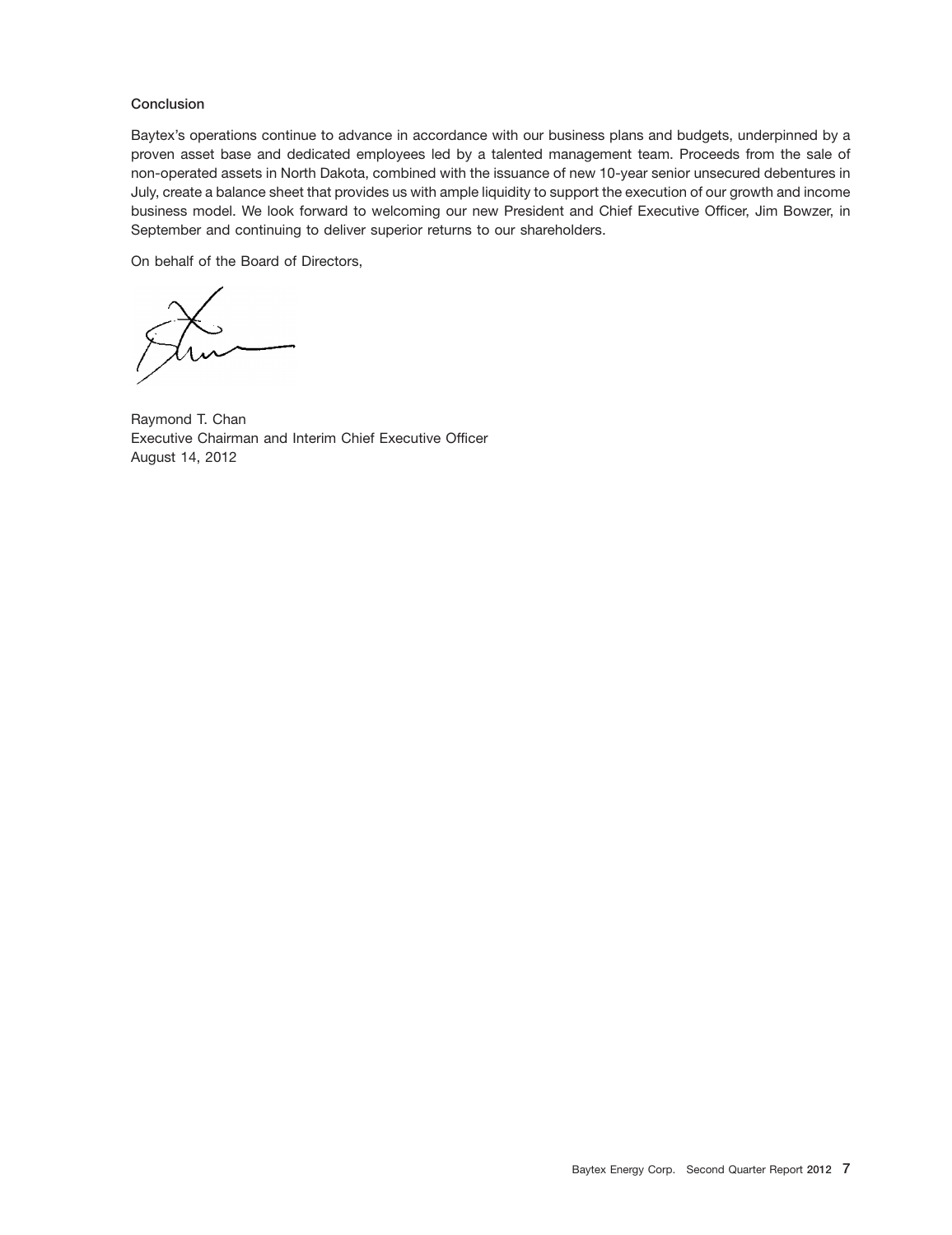### **Conclusion**

Baytex's operations continue to advance in accordance with our business plans and budgets, underpinned by a proven asset base and dedicated employees led by a talented management team. Proceeds from the sale of non-operated assets in North Dakota, combined with the issuance of new 10-year senior unsecured debentures in July, create a balance sheet that provides us with ample liquidity to support the execution of our growth and income business model. We look forward to welcoming our new President and Chief Executive Officer, Jim Bowzer, in September and continuing to deliver superior returns to our shareholders.

On behalf of the Board of Directors,

Raymond T. Chan Executive Chairman and Interim Chief Executive Officer August 14, 2012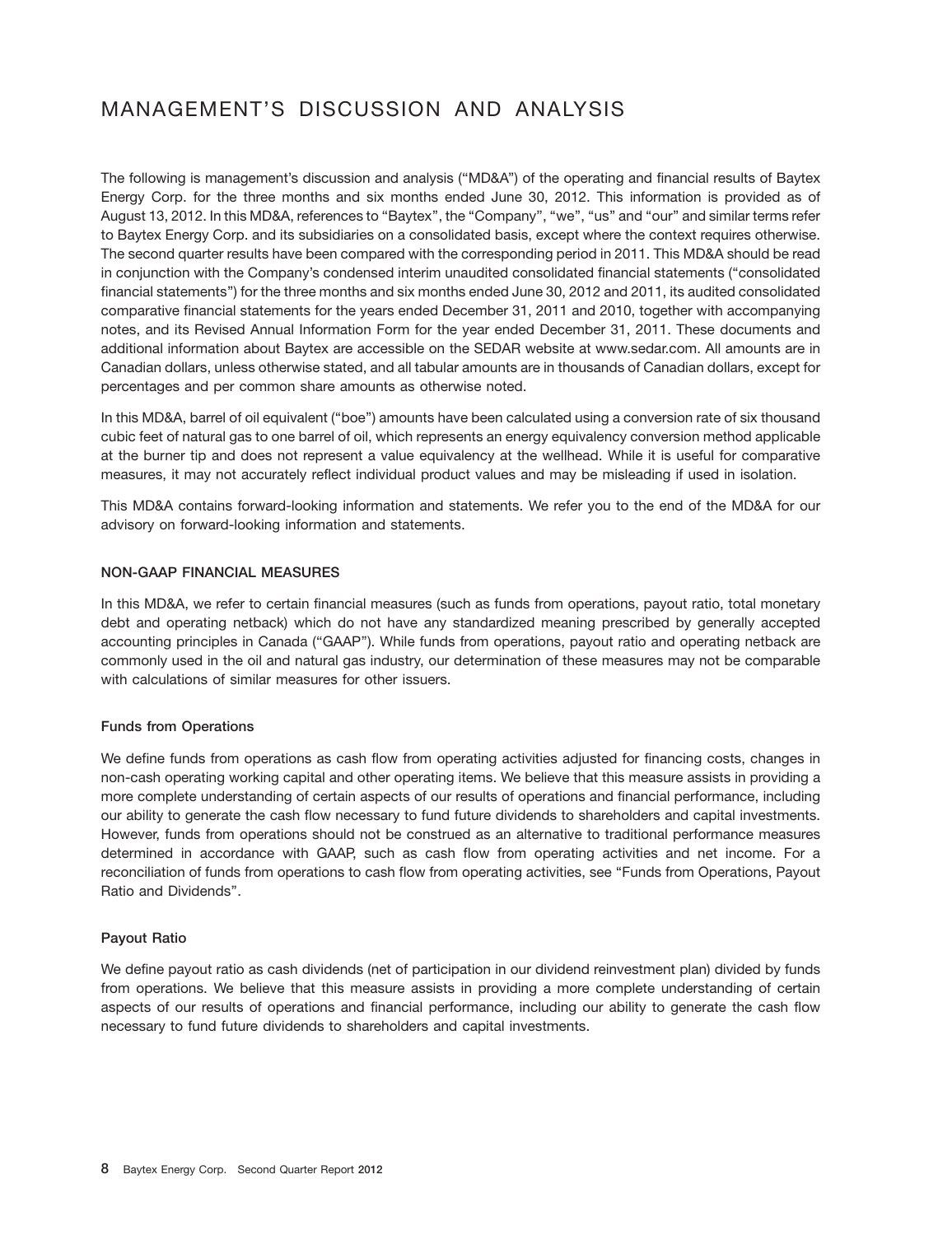### MANAGEMENT'S DISCUSSION AND ANALYSIS

The following is management's discussion and analysis (''MD&A'') of the operating and financial results of Baytex Energy Corp. for the three months and six months ended June 30, 2012. This information is provided as of August 13, 2012. In this MD&A, references to "Baytex", the "Company", "we", "us" and "our" and similar terms refer to Baytex Energy Corp. and its subsidiaries on a consolidated basis, except where the context requires otherwise. The second quarter results have been compared with the corresponding period in 2011. This MD&A should be read in conjunction with the Company's condensed interim unaudited consolidated financial statements (''consolidated financial statements'') for the three months and six months ended June 30, 2012 and 2011, its audited consolidated comparative financial statements for the years ended December 31, 2011 and 2010, together with accompanying notes, and its Revised Annual Information Form for the year ended December 31, 2011. These documents and additional information about Baytex are accessible on the SEDAR website at www.sedar.com. All amounts are in Canadian dollars, unless otherwise stated, and all tabular amounts are in thousands of Canadian dollars, except for percentages and per common share amounts as otherwise noted.

In this MD&A, barrel of oil equivalent (''boe'') amounts have been calculated using a conversion rate of six thousand cubic feet of natural gas to one barrel of oil, which represents an energy equivalency conversion method applicable at the burner tip and does not represent a value equivalency at the wellhead. While it is useful for comparative measures, it may not accurately reflect individual product values and may be misleading if used in isolation.

This MD&A contains forward-looking information and statements. We refer you to the end of the MD&A for our advisory on forward-looking information and statements.

### **NON-GAAP FINANCIAL MEASURES**

In this MD&A, we refer to certain financial measures (such as funds from operations, payout ratio, total monetary debt and operating netback) which do not have any standardized meaning prescribed by generally accepted accounting principles in Canada (''GAAP''). While funds from operations, payout ratio and operating netback are commonly used in the oil and natural gas industry, our determination of these measures may not be comparable with calculations of similar measures for other issuers.

### **Funds from Operations**

We define funds from operations as cash flow from operating activities adjusted for financing costs, changes in non-cash operating working capital and other operating items. We believe that this measure assists in providing a more complete understanding of certain aspects of our results of operations and financial performance, including our ability to generate the cash flow necessary to fund future dividends to shareholders and capital investments. However, funds from operations should not be construed as an alternative to traditional performance measures determined in accordance with GAAP, such as cash flow from operating activities and net income. For a reconciliation of funds from operations to cash flow from operating activities, see ''Funds from Operations, Payout Ratio and Dividends''.

### **Payout Ratio**

We define payout ratio as cash dividends (net of participation in our dividend reinvestment plan) divided by funds from operations. We believe that this measure assists in providing a more complete understanding of certain aspects of our results of operations and financial performance, including our ability to generate the cash flow necessary to fund future dividends to shareholders and capital investments.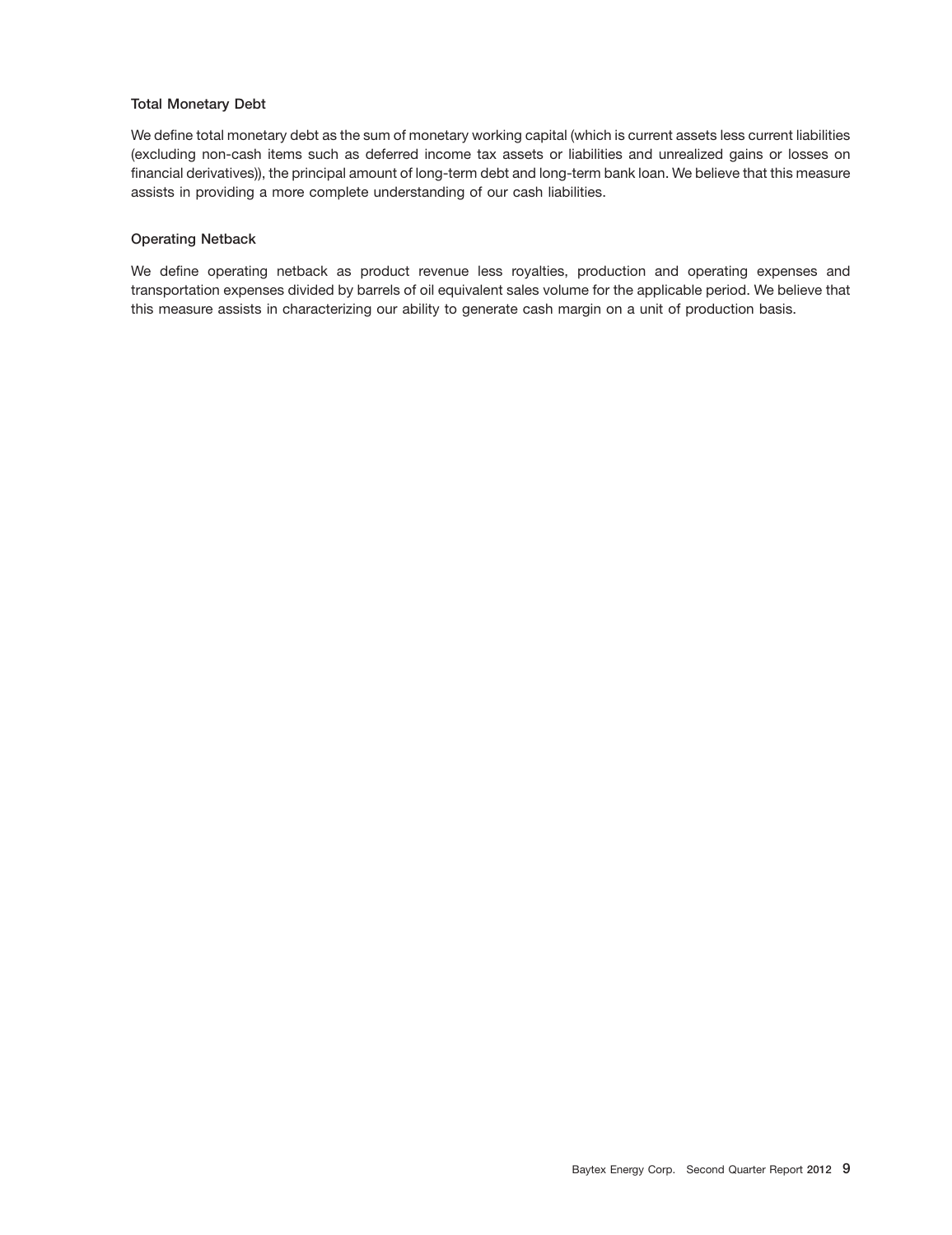### **Total Monetary Debt**

We define total monetary debt as the sum of monetary working capital (which is current assets less current liabilities (excluding non-cash items such as deferred income tax assets or liabilities and unrealized gains or losses on financial derivatives)), the principal amount of long-term debt and long-term bank loan. We believe that this measure assists in providing a more complete understanding of our cash liabilities.

### **Operating Netback**

We define operating netback as product revenue less royalties, production and operating expenses and transportation expenses divided by barrels of oil equivalent sales volume for the applicable period. We believe that this measure assists in characterizing our ability to generate cash margin on a unit of production basis.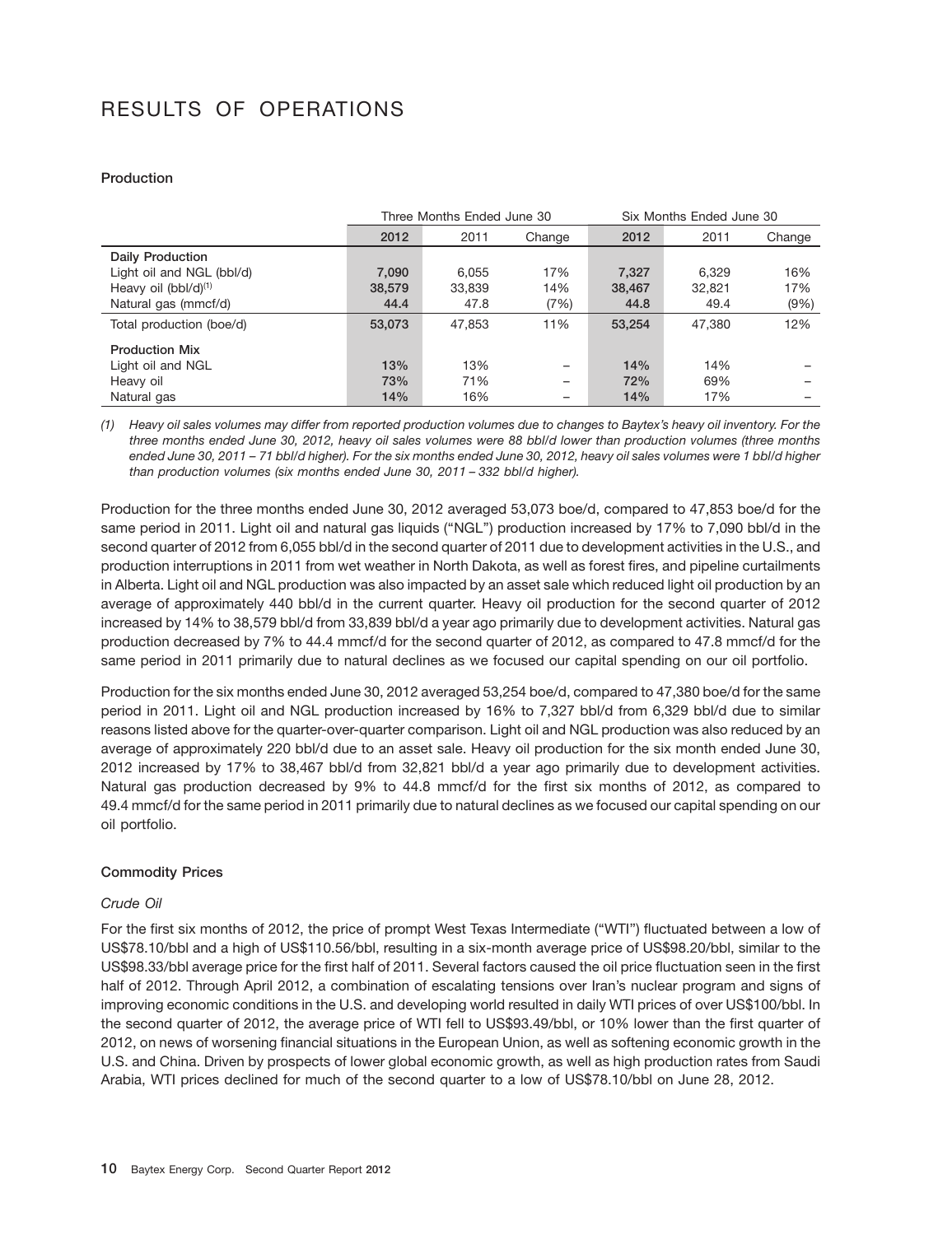## RESULTS OF OPERATIONS

### **Production**

|                           |        | Three Months Ended June 30 |        | Six Months Ended June 30 |        |        |  |  |
|---------------------------|--------|----------------------------|--------|--------------------------|--------|--------|--|--|
|                           | 2012   | 2011                       | Change | 2012                     | 2011   | Change |  |  |
| <b>Daily Production</b>   |        |                            |        |                          |        |        |  |  |
| Light oil and NGL (bbl/d) | 7,090  | 6.055                      | 17%    | 7,327                    | 6.329  | 16%    |  |  |
| Heavy oil $(bbI/d)^{(1)}$ | 38,579 | 33.839                     | 14%    | 38,467                   | 32.821 | 17%    |  |  |
| Natural gas (mmcf/d)      | 44.4   | 47.8                       | (7%)   | 44.8                     | 49.4   | (9%    |  |  |
| Total production (boe/d)  | 53,073 | 47.853                     | 11%    | 53.254                   | 47.380 | 12%    |  |  |
| <b>Production Mix</b>     |        |                            |        |                          |        |        |  |  |
| Light oil and NGL         | 13%    | 13%                        | -      | 14%                      | 14%    |        |  |  |
| Heavy oil                 | 73%    | 71%                        | -      | 72%                      | 69%    |        |  |  |
| Natural gas               | 14%    | 16%                        |        | 14%                      | 17%    |        |  |  |

*(1) Heavy oil sales volumes may differ from reported production volumes due to changes to Baytex's heavy oil inventory. For the three months ended June 30, 2012, heavy oil sales volumes were 88 bbl/d lower than production volumes (three months ended June 30, 2011 – 71 bbl/d higher). For the six months ended June 30, 2012, heavy oil sales volumes were 1 bbl/d higher than production volumes (six months ended June 30, 2011 – 332 bbl/d higher).*

Production for the three months ended June 30, 2012 averaged 53,073 boe/d, compared to 47,853 boe/d for the same period in 2011. Light oil and natural gas liquids (''NGL'') production increased by 17% to 7,090 bbl/d in the second quarter of 2012 from 6,055 bbl/d in the second quarter of 2011 due to development activities in the U.S., and production interruptions in 2011 from wet weather in North Dakota, as well as forest fires, and pipeline curtailments in Alberta. Light oil and NGL production was also impacted by an asset sale which reduced light oil production by an average of approximately 440 bbl/d in the current quarter. Heavy oil production for the second quarter of 2012 increased by 14% to 38,579 bbl/d from 33,839 bbl/d a year ago primarily due to development activities. Natural gas production decreased by 7% to 44.4 mmcf/d for the second quarter of 2012, as compared to 47.8 mmcf/d for the same period in 2011 primarily due to natural declines as we focused our capital spending on our oil portfolio.

Production for the six months ended June 30, 2012 averaged 53,254 boe/d, compared to 47,380 boe/d for the same period in 2011. Light oil and NGL production increased by 16% to 7,327 bbl/d from 6,329 bbl/d due to similar reasons listed above for the quarter-over-quarter comparison. Light oil and NGL production was also reduced by an average of approximately 220 bbl/d due to an asset sale. Heavy oil production for the six month ended June 30, 2012 increased by 17% to 38,467 bbl/d from 32,821 bbl/d a year ago primarily due to development activities. Natural gas production decreased by 9% to 44.8 mmcf/d for the first six months of 2012, as compared to 49.4 mmcf/d for the same period in 2011 primarily due to natural declines as we focused our capital spending on our oil portfolio.

### **Commodity Prices**

### *Crude Oil*

For the first six months of 2012, the price of prompt West Texas Intermediate (''WTI'') fluctuated between a low of US\$78.10/bbl and a high of US\$110.56/bbl, resulting in a six-month average price of US\$98.20/bbl, similar to the US\$98.33/bbl average price for the first half of 2011. Several factors caused the oil price fluctuation seen in the first half of 2012. Through April 2012, a combination of escalating tensions over Iran's nuclear program and signs of improving economic conditions in the U.S. and developing world resulted in daily WTI prices of over US\$100/bbl. In the second quarter of 2012, the average price of WTI fell to US\$93.49/bbl, or 10% lower than the first quarter of 2012, on news of worsening financial situations in the European Union, as well as softening economic growth in the U.S. and China. Driven by prospects of lower global economic growth, as well as high production rates from Saudi Arabia, WTI prices declined for much of the second quarter to a low of US\$78.10/bbl on June 28, 2012.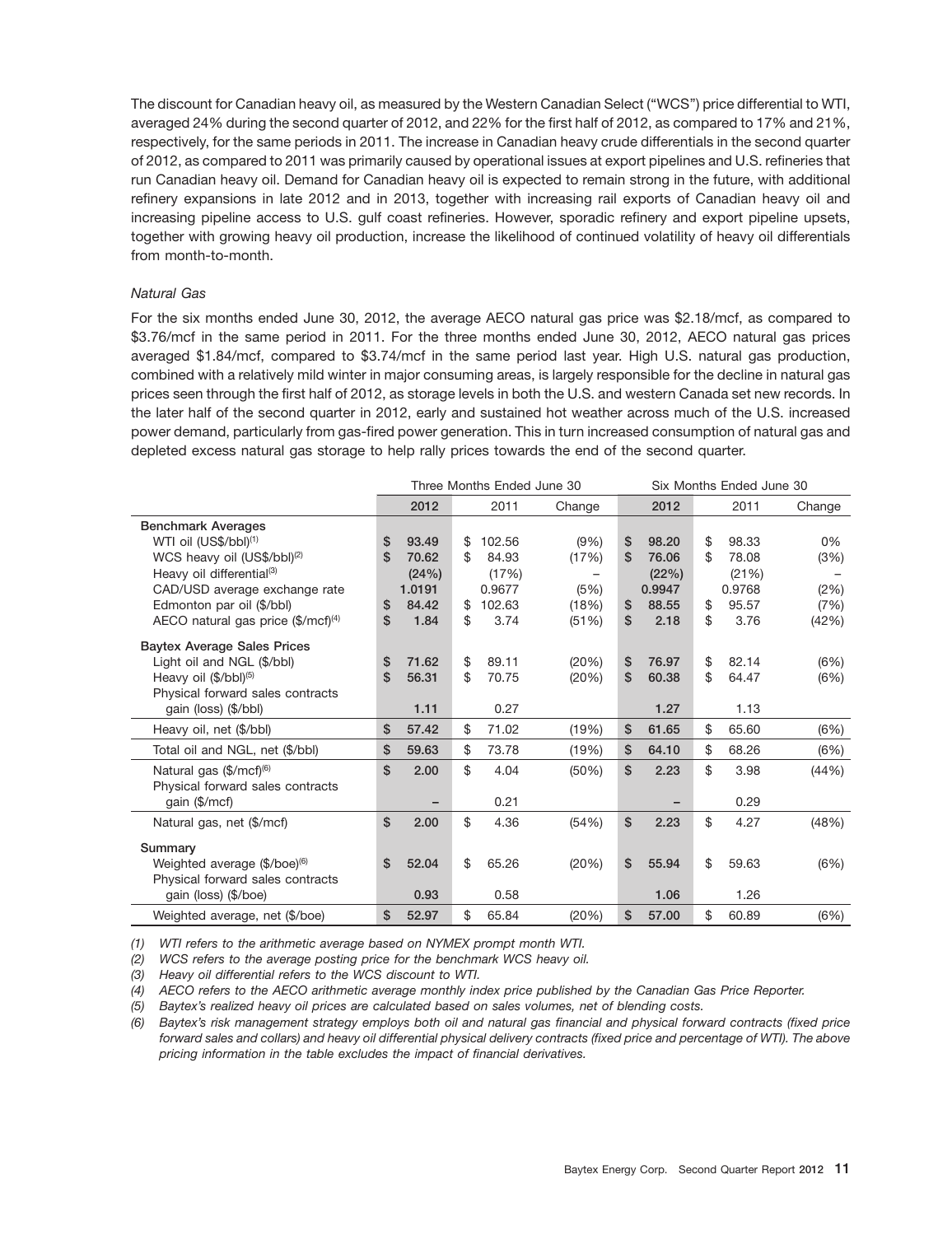The discount for Canadian heavy oil, as measured by the Western Canadian Select (''WCS'') price differential to WTI, averaged 24% during the second quarter of 2012, and 22% for the first half of 2012, as compared to 17% and 21%, respectively, for the same periods in 2011. The increase in Canadian heavy crude differentials in the second quarter of 2012, as compared to 2011 was primarily caused by operational issues at export pipelines and U.S. refineries that run Canadian heavy oil. Demand for Canadian heavy oil is expected to remain strong in the future, with additional refinery expansions in late 2012 and in 2013, together with increasing rail exports of Canadian heavy oil and increasing pipeline access to U.S. gulf coast refineries. However, sporadic refinery and export pipeline upsets, together with growing heavy oil production, increase the likelihood of continued volatility of heavy oil differentials from month-to-month.

### *Natural Gas*

For the six months ended June 30, 2012, the average AECO natural gas price was \$2.18/mcf, as compared to \$3.76/mcf in the same period in 2011. For the three months ended June 30, 2012, AECO natural gas prices averaged \$1.84/mcf, compared to \$3.74/mcf in the same period last year. High U.S. natural gas production, combined with a relatively mild winter in major consuming areas, is largely responsible for the decline in natural gas prices seen through the first half of 2012, as storage levels in both the U.S. and western Canada set new records. In the later half of the second quarter in 2012, early and sustained hot weather across much of the U.S. increased power demand, particularly from gas-fired power generation. This in turn increased consumption of natural gas and depleted excess natural gas storage to help rally prices towards the end of the second quarter.

|                                                |                |        | Three Months Ended June 30 |        |             | Six Months Ended June 30 |        |
|------------------------------------------------|----------------|--------|----------------------------|--------|-------------|--------------------------|--------|
|                                                |                | 2012   | 2011                       | Change | 2012        | 2011                     | Change |
| <b>Benchmark Averages</b>                      |                |        |                            |        |             |                          |        |
| WTI oil (US\$/bbl) <sup>(1)</sup>              | \$             | 93.49  | \$<br>102.56               | (9%)   | \$<br>98.20 | \$<br>98.33              | 0%     |
| WCS heavy oil (US\$/bbl) <sup>(2)</sup>        | \$             | 70.62  | \$<br>84.93                | (17%)  | \$<br>76.06 | \$<br>78.08              | (3%)   |
| Heavy oil differential <sup>(3)</sup>          |                | (24%)  | (17%)                      |        | (22%)       | (21%)                    |        |
| CAD/USD average exchange rate                  |                | 1.0191 | 0.9677                     | (5%)   | 0.9947      | 0.9768                   | (2%)   |
| Edmonton par oil (\$/bbl)                      | S              | 84.42  | \$<br>102.63               | (18%)  | \$<br>88.55 | \$<br>95.57              | (7%)   |
| AECO natural gas price $(\frac{5}{mcf})^{(4)}$ | \$             | 1.84   | \$<br>3.74                 | (51%)  | \$<br>2.18  | \$<br>3.76               | (42%)  |
| <b>Baytex Average Sales Prices</b>             |                |        |                            |        |             |                          |        |
| Light oil and NGL (\$/bbl)                     | \$             | 71.62  | \$<br>89.11                | (20%)  | \$<br>76.97 | \$<br>82.14              | (6%)   |
| Heavy oil (\$/bbl) <sup>(5)</sup>              | \$             | 56.31  | \$<br>70.75                | (20%)  | \$<br>60.38 | \$<br>64.47              | (6%)   |
| Physical forward sales contracts               |                |        |                            |        |             |                          |        |
| gain (loss) (\$/bbl)                           |                | 1.11   | 0.27                       |        | 1.27        | 1.13                     |        |
| Heavy oil, net (\$/bbl)                        | \$             | 57.42  | \$<br>71.02                | (19%)  | \$<br>61.65 | \$<br>65.60              | (6%)   |
| Total oil and NGL, net (\$/bbl)                | \$             | 59.63  | \$<br>73.78                | (19%)  | \$<br>64.10 | \$<br>68.26              | (6%)   |
| Natural gas (\$/mcf) <sup>(6)</sup>            | $\mathsf{\$}$  | 2.00   | \$<br>4.04                 | (50%)  | \$<br>2.23  | \$<br>3.98               | (44%)  |
| Physical forward sales contracts               |                |        |                            |        |             |                          |        |
| gain (\$/mcf)                                  |                |        | 0.21                       |        |             | 0.29                     |        |
| Natural gas, net (\$/mcf)                      | $\mathfrak{s}$ | 2.00   | \$<br>4.36                 | (54%)  | \$<br>2.23  | \$<br>4.27               | (48%)  |
| Summary                                        |                |        |                            |        |             |                          |        |
| Weighted average (\$/boe) <sup>(6)</sup>       | $\mathbf{s}$   | 52.04  | \$<br>65.26                | (20%)  | \$<br>55.94 | \$<br>59.63              | (6%)   |
| Physical forward sales contracts               |                |        |                            |        |             |                          |        |
| gain (loss) (\$/boe)                           |                | 0.93   | 0.58                       |        | 1.06        | 1.26                     |        |
| Weighted average, net (\$/boe)                 | \$             | 52.97  | \$<br>65.84                | (20%)  | \$<br>57.00 | \$<br>60.89              | (6%)   |

*(1) WTI refers to the arithmetic average based on NYMEX prompt month WTI.*

*(2) WCS refers to the average posting price for the benchmark WCS heavy oil.*

*(3) Heavy oil differential refers to the WCS discount to WTI.*

*(4) AECO refers to the AECO arithmetic average monthly index price published by the Canadian Gas Price Reporter.*

*(5) Baytex's realized heavy oil prices are calculated based on sales volumes, net of blending costs.*

*(6) Baytex's risk management strategy employs both oil and natural gas financial and physical forward contracts (fixed price forward sales and collars) and heavy oil differential physical delivery contracts (fixed price and percentage of WTI). The above pricing information in the table excludes the impact of financial derivatives.*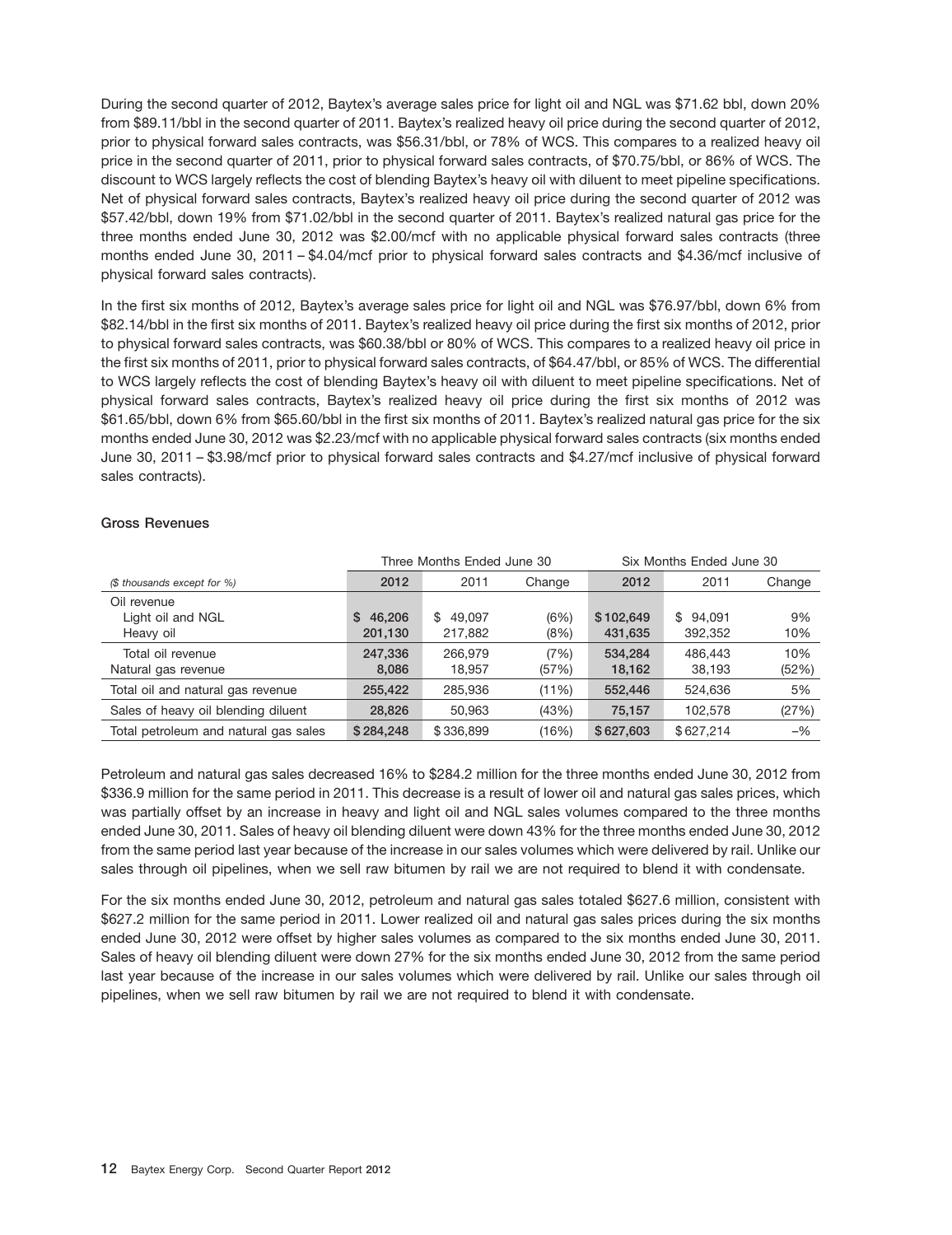During the second quarter of 2012, Baytex's average sales price for light oil and NGL was \$71.62 bbl, down 20% from \$89.11/bbl in the second quarter of 2011. Baytex's realized heavy oil price during the second quarter of 2012, prior to physical forward sales contracts, was \$56.31/bbl, or 78% of WCS. This compares to a realized heavy oil price in the second quarter of 2011, prior to physical forward sales contracts, of \$70.75/bbl, or 86% of WCS. The discount to WCS largely reflects the cost of blending Baytex's heavy oil with diluent to meet pipeline specifications. Net of physical forward sales contracts, Baytex's realized heavy oil price during the second quarter of 2012 was \$57.42/bbl, down 19% from \$71.02/bbl in the second quarter of 2011. Baytex's realized natural gas price for the three months ended June 30, 2012 was \$2.00/mcf with no applicable physical forward sales contracts (three months ended June 30, 2011 – \$4.04/mcf prior to physical forward sales contracts and \$4.36/mcf inclusive of physical forward sales contracts).

In the first six months of 2012, Baytex's average sales price for light oil and NGL was \$76.97/bbl, down 6% from \$82.14/bbl in the first six months of 2011. Baytex's realized heavy oil price during the first six months of 2012, prior to physical forward sales contracts, was \$60.38/bbl or 80% of WCS. This compares to a realized heavy oil price in the first six months of 2011, prior to physical forward sales contracts, of \$64.47/bbl, or 85% of WCS. The differential to WCS largely reflects the cost of blending Baytex's heavy oil with diluent to meet pipeline specifications. Net of physical forward sales contracts, Baytex's realized heavy oil price during the first six months of 2012 was \$61.65/bbl, down 6% from \$65.60/bbl in the first six months of 2011. Baytex's realized natural gas price for the six months ended June 30, 2012 was \$2.23/mcf with no applicable physical forward sales contracts (six months ended June 30, 2011 – \$3.98/mcf prior to physical forward sales contracts and \$4.27/mcf inclusive of physical forward sales contracts).

### **Gross Revenues**

|                                       |              | Three Months Ended June 30<br>Six Months Ended June 30 |        |           |           |        |  |  |
|---------------------------------------|--------------|--------------------------------------------------------|--------|-----------|-----------|--------|--|--|
| (\$ thousands except for %)           | 2012         | 2011                                                   | Change | 2012      | 2011      | Change |  |  |
| Oil revenue                           |              |                                                        |        |           |           |        |  |  |
| Light oil and NGL                     | 46.206<br>S. | \$49.097                                               | (6%)   | \$102,649 | \$94.091  | 9%     |  |  |
| Heavy oil                             | 201,130      | 217,882                                                | (8%)   | 431,635   | 392,352   | 10%    |  |  |
| Total oil revenue                     | 247.336      | 266.979                                                | (7%)   | 534.284   | 486,443   | 10%    |  |  |
| Natural gas revenue                   | 8,086        | 18,957                                                 | (57%)  | 18,162    | 38,193    | (52%)  |  |  |
| Total oil and natural gas revenue     | 255,422      | 285.936                                                | (11%)  | 552,446   | 524.636   | 5%     |  |  |
| Sales of heavy oil blending diluent   | 28,826       | 50.963                                                 | (43%)  | 75.157    | 102.578   | (27%)  |  |  |
| Total petroleum and natural gas sales | \$284.248    | \$336,899                                              | (16%)  | \$627,603 | \$627.214 | $-$ %  |  |  |

Petroleum and natural gas sales decreased 16% to \$284.2 million for the three months ended June 30, 2012 from \$336.9 million for the same period in 2011. This decrease is a result of lower oil and natural gas sales prices, which was partially offset by an increase in heavy and light oil and NGL sales volumes compared to the three months ended June 30, 2011. Sales of heavy oil blending diluent were down 43% for the three months ended June 30, 2012 from the same period last year because of the increase in our sales volumes which were delivered by rail. Unlike our sales through oil pipelines, when we sell raw bitumen by rail we are not required to blend it with condensate.

For the six months ended June 30, 2012, petroleum and natural gas sales totaled \$627.6 million, consistent with \$627.2 million for the same period in 2011. Lower realized oil and natural gas sales prices during the six months ended June 30, 2012 were offset by higher sales volumes as compared to the six months ended June 30, 2011. Sales of heavy oil blending diluent were down 27% for the six months ended June 30, 2012 from the same period last year because of the increase in our sales volumes which were delivered by rail. Unlike our sales through oil pipelines, when we sell raw bitumen by rail we are not required to blend it with condensate.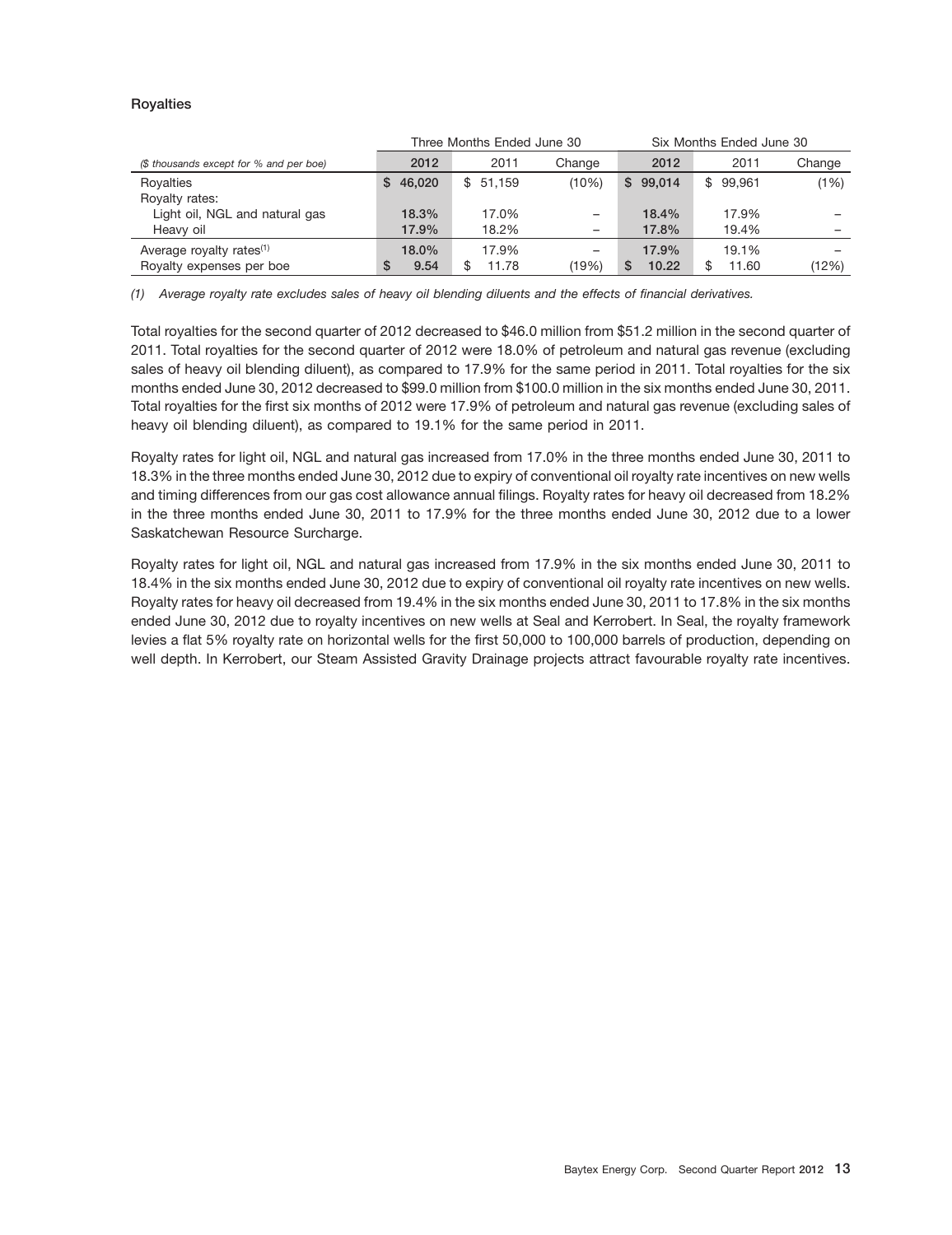### **Royalties**

|                                         |              | Three Months Ended June 30 |                 | Six Months Ended June 30 |          |        |  |  |
|-----------------------------------------|--------------|----------------------------|-----------------|--------------------------|----------|--------|--|--|
| (\$ thousands except for % and per boe) | 2012         | 2011                       | Change          | 2012                     | 2011     | Change |  |  |
| Royalties                               | 46,020<br>S. | \$51.159                   | (10%)           | \$99.014                 | \$99,961 | (1%)   |  |  |
| Royalty rates:                          |              |                            |                 |                          |          |        |  |  |
| Light oil, NGL and natural gas          | 18.3%        | 17.0%                      | -               | 18.4%                    | 17.9%    | -      |  |  |
| Heavy oil                               | 17.9%        | 18.2%                      | $\qquad \qquad$ | 17.8%                    | 19.4%    |        |  |  |
| Average royalty rates <sup>(1)</sup>    | 18.0%        | 17.9%                      |                 | 17.9%                    | 19.1%    |        |  |  |
| Royalty expenses per boe                | 9.54<br>S    | 11.78                      | (19%)           | 10.22                    | 11.60    | (12%)  |  |  |

*(1) Average royalty rate excludes sales of heavy oil blending diluents and the effects of financial derivatives.*

Total royalties for the second quarter of 2012 decreased to \$46.0 million from \$51.2 million in the second quarter of 2011. Total royalties for the second quarter of 2012 were 18.0% of petroleum and natural gas revenue (excluding sales of heavy oil blending diluent), as compared to 17.9% for the same period in 2011. Total royalties for the six months ended June 30, 2012 decreased to \$99.0 million from \$100.0 million in the six months ended June 30, 2011. Total royalties for the first six months of 2012 were 17.9% of petroleum and natural gas revenue (excluding sales of heavy oil blending diluent), as compared to 19.1% for the same period in 2011.

Royalty rates for light oil, NGL and natural gas increased from 17.0% in the three months ended June 30, 2011 to 18.3% in the three months ended June 30, 2012 due to expiry of conventional oil royalty rate incentives on new wells and timing differences from our gas cost allowance annual filings. Royalty rates for heavy oil decreased from 18.2% in the three months ended June 30, 2011 to 17.9% for the three months ended June 30, 2012 due to a lower Saskatchewan Resource Surcharge.

Royalty rates for light oil, NGL and natural gas increased from 17.9% in the six months ended June 30, 2011 to 18.4% in the six months ended June 30, 2012 due to expiry of conventional oil royalty rate incentives on new wells. Royalty rates for heavy oil decreased from 19.4% in the six months ended June 30, 2011 to 17.8% in the six months ended June 30, 2012 due to royalty incentives on new wells at Seal and Kerrobert. In Seal, the royalty framework levies a flat 5% royalty rate on horizontal wells for the first 50,000 to 100,000 barrels of production, depending on well depth. In Kerrobert, our Steam Assisted Gravity Drainage projects attract favourable royalty rate incentives.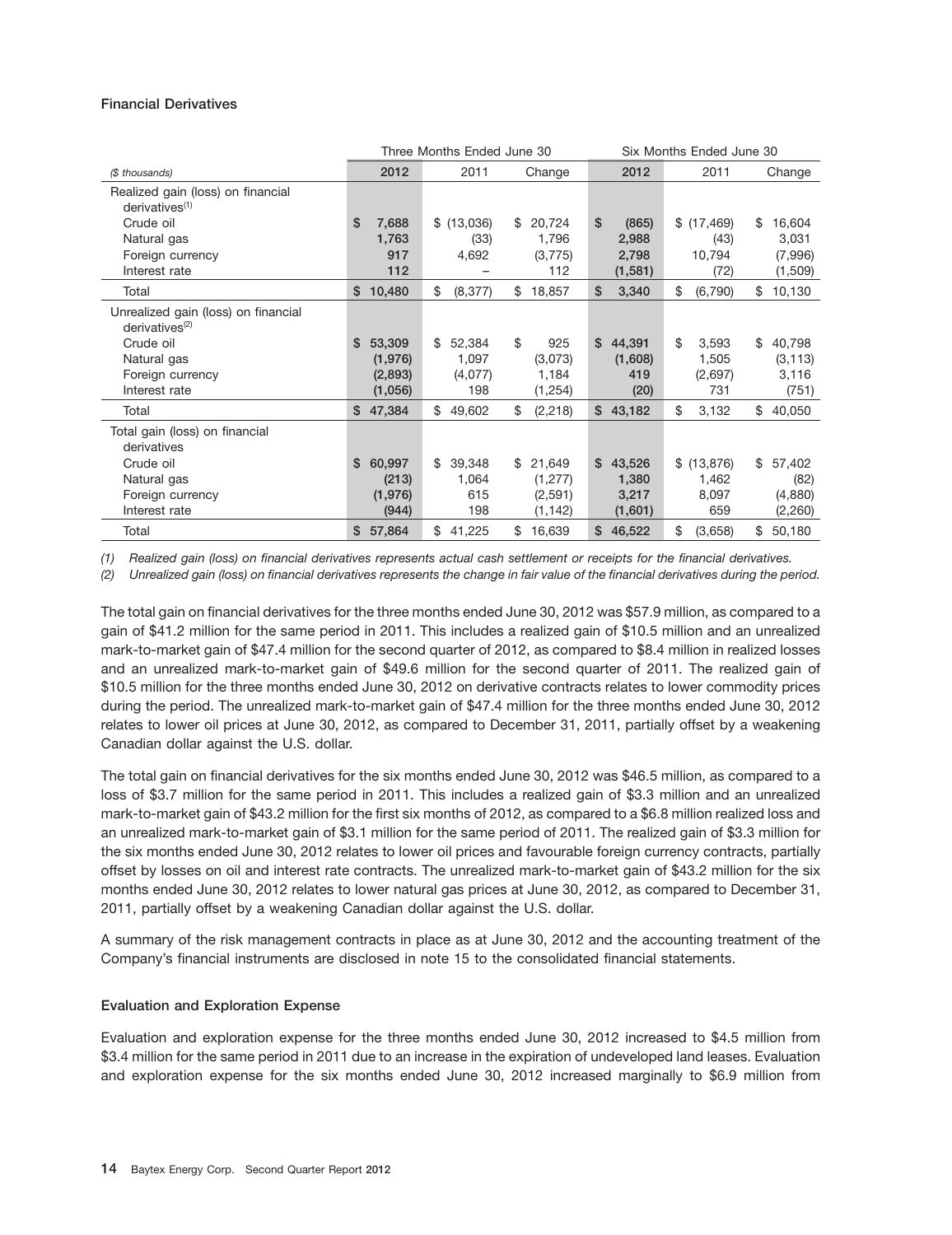### **Financial Derivatives**

|                                                                   |              | Three Months Ended June 30 |                |             | Six Months Ended June 30 |              |
|-------------------------------------------------------------------|--------------|----------------------------|----------------|-------------|--------------------------|--------------|
| (\$ thousands)                                                    | 2012         | 2011                       | Change         | 2012        | 2011                     | Change       |
| Realized gain (loss) on financial<br>derivatives <sup>(1)</sup>   |              |                            |                |             |                          |              |
| Crude oil                                                         | \$<br>7,688  | \$(13,036)                 | 20,724<br>\$   | \$<br>(865) | \$(17, 469)              | 16,604<br>\$ |
| Natural gas                                                       | 1,763        | (33)                       | 1,796          | 2,988       | (43)                     | 3,031        |
| Foreign currency                                                  | 917          | 4,692                      | (3,775)        | 2,798       | 10,794                   | (7,996)      |
| Interest rate                                                     | 112          |                            | 112            | (1,581)     | (72)                     | (1,509)      |
| Total                                                             | \$10,480     | \$<br>(8, 377)             | 18,857<br>\$   | \$<br>3,340 | \$<br>(6,790)            | 10,130<br>\$ |
| Unrealized gain (loss) on financial<br>derivatives <sup>(2)</sup> |              |                            |                |             |                          |              |
| Crude oil                                                         | \$53,309     | \$<br>52,384               | \$<br>925      | \$44,391    | \$<br>3,593              | 40,798<br>\$ |
| Natural gas                                                       | (1,976)      | 1,097                      | (3,073)        | (1,608)     | 1,505                    | (3, 113)     |
| Foreign currency                                                  | (2,893)      | (4,077)                    | 1,184          | 419         | (2,697)                  | 3,116        |
| Interest rate                                                     | (1,056)      | 198                        | (1,254)        | (20)        | 731                      | (751)        |
| Total                                                             | 47,384<br>\$ | \$<br>49,602               | \$<br>(2, 218) | \$43,182    | \$<br>3,132              | \$<br>40,050 |
| Total gain (loss) on financial<br>derivatives                     |              |                            |                |             |                          |              |
| Crude oil                                                         | \$<br>60,997 | \$<br>39,348               | 21,649<br>\$   | \$43,526    | \$ (13,876)              | 57,402<br>\$ |
| Natural gas                                                       | (213)        | 1,064                      | (1, 277)       | 1,380       | 1,462                    | (82)         |
| Foreign currency                                                  | (1,976)      | 615                        | (2,591)        | 3,217       | 8,097                    | (4,880)      |
| Interest rate                                                     | (944)        | 198                        | (1, 142)       | (1,601)     | 659                      | (2,260)      |
| Total                                                             | 57,864<br>\$ | \$<br>41,225               | 16,639<br>\$   | 46,522<br>S | \$<br>(3,658)            | \$<br>50,180 |

*(1) Realized gain (loss) on financial derivatives represents actual cash settlement or receipts for the financial derivatives.*

*(2) Unrealized gain (loss) on financial derivatives represents the change in fair value of the financial derivatives during the period.*

The total gain on financial derivatives for the three months ended June 30, 2012 was \$57.9 million, as compared to a gain of \$41.2 million for the same period in 2011. This includes a realized gain of \$10.5 million and an unrealized mark-to-market gain of \$47.4 million for the second quarter of 2012, as compared to \$8.4 million in realized losses and an unrealized mark-to-market gain of \$49.6 million for the second quarter of 2011. The realized gain of \$10.5 million for the three months ended June 30, 2012 on derivative contracts relates to lower commodity prices during the period. The unrealized mark-to-market gain of \$47.4 million for the three months ended June 30, 2012 relates to lower oil prices at June 30, 2012, as compared to December 31, 2011, partially offset by a weakening Canadian dollar against the U.S. dollar.

The total gain on financial derivatives for the six months ended June 30, 2012 was \$46.5 million, as compared to a loss of \$3.7 million for the same period in 2011. This includes a realized gain of \$3.3 million and an unrealized mark-to-market gain of \$43.2 million for the first six months of 2012, as compared to a \$6.8 million realized loss and an unrealized mark-to-market gain of \$3.1 million for the same period of 2011. The realized gain of \$3.3 million for the six months ended June 30, 2012 relates to lower oil prices and favourable foreign currency contracts, partially offset by losses on oil and interest rate contracts. The unrealized mark-to-market gain of \$43.2 million for the six months ended June 30, 2012 relates to lower natural gas prices at June 30, 2012, as compared to December 31, 2011, partially offset by a weakening Canadian dollar against the U.S. dollar.

A summary of the risk management contracts in place as at June 30, 2012 and the accounting treatment of the Company's financial instruments are disclosed in note 15 to the consolidated financial statements.

### **Evaluation and Exploration Expense**

Evaluation and exploration expense for the three months ended June 30, 2012 increased to \$4.5 million from \$3.4 million for the same period in 2011 due to an increase in the expiration of undeveloped land leases. Evaluation and exploration expense for the six months ended June 30, 2012 increased marginally to \$6.9 million from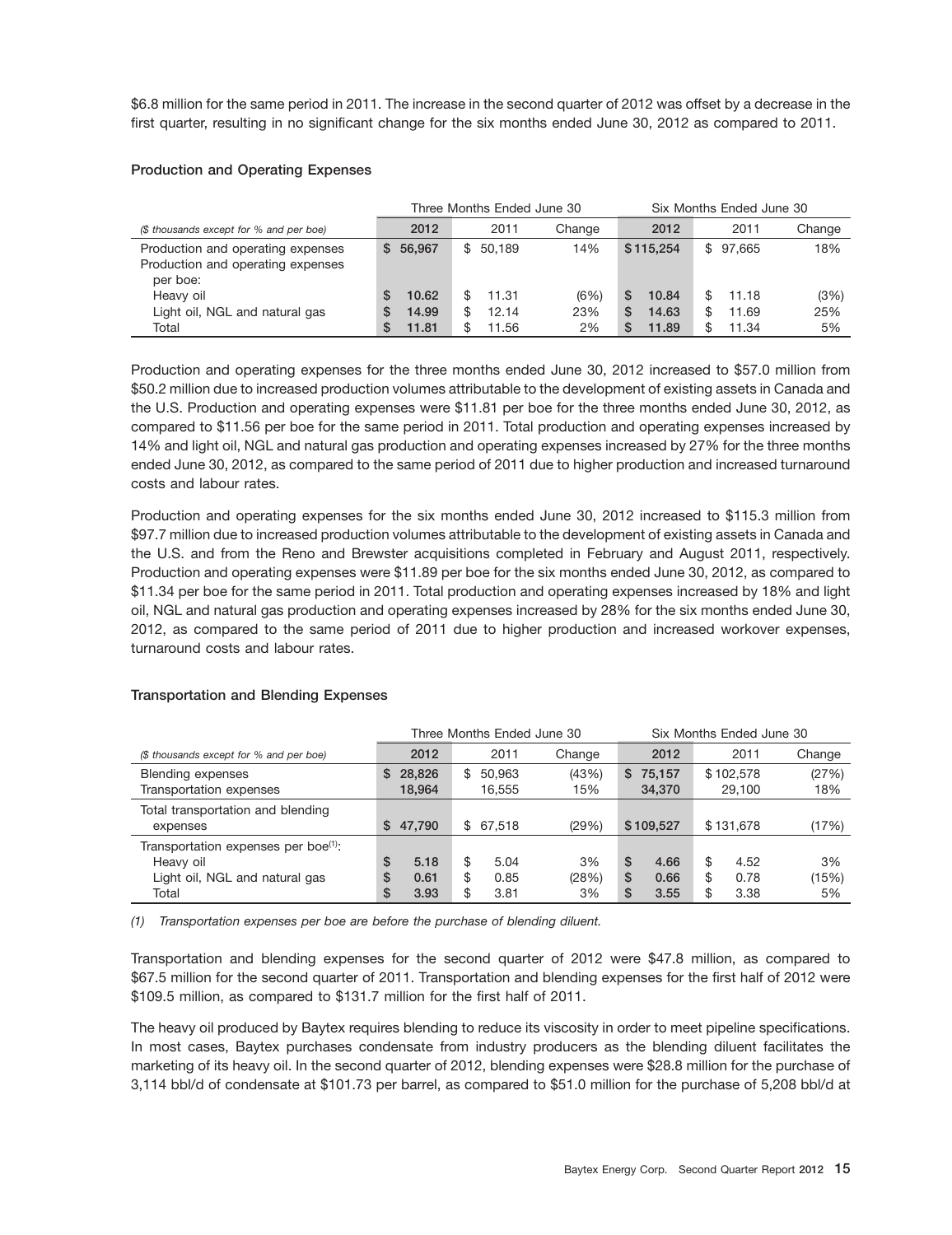\$6.8 million for the same period in 2011. The increase in the second quarter of 2012 was offset by a decrease in the first quarter, resulting in no significant change for the six months ended June 30, 2012 as compared to 2011.

### **Production and Operating Expenses**

|                                                                                    |                                        | Three Months Ended June 30    |                   |                                         | Six Months Ended June 30                   |                   |  |  |  |
|------------------------------------------------------------------------------------|----------------------------------------|-------------------------------|-------------------|-----------------------------------------|--------------------------------------------|-------------------|--|--|--|
| (\$ thousands except for % and per boe)                                            | 2012                                   | 2011                          | Change            | 2012                                    | 2011                                       | Change            |  |  |  |
| Production and operating expenses<br>Production and operating expenses<br>per boe: | 56.967<br>S.                           | \$50.189                      | 14%               | \$115.254                               | \$97.665                                   | 18%               |  |  |  |
| Heavy oil<br>Light oil, NGL and natural gas<br>Total                               | 10.62<br>S<br>14.99<br>S<br>11.81<br>S | 11.31<br>12.14<br>\$<br>11.56 | (6%)<br>23%<br>2% | 10.84<br>S<br>14.63<br>S<br>11.89<br>S. | \$.<br>11.18<br>11.69<br>\$<br>11.34<br>\$ | (3%)<br>25%<br>5% |  |  |  |

Production and operating expenses for the three months ended June 30, 2012 increased to \$57.0 million from \$50.2 million due to increased production volumes attributable to the development of existing assets in Canada and the U.S. Production and operating expenses were \$11.81 per boe for the three months ended June 30, 2012, as compared to \$11.56 per boe for the same period in 2011. Total production and operating expenses increased by 14% and light oil, NGL and natural gas production and operating expenses increased by 27% for the three months ended June 30, 2012, as compared to the same period of 2011 due to higher production and increased turnaround costs and labour rates.

Production and operating expenses for the six months ended June 30, 2012 increased to \$115.3 million from \$97.7 million due to increased production volumes attributable to the development of existing assets in Canada and the U.S. and from the Reno and Brewster acquisitions completed in February and August 2011, respectively. Production and operating expenses were \$11.89 per boe for the six months ended June 30, 2012, as compared to \$11.34 per boe for the same period in 2011. Total production and operating expenses increased by 18% and light oil, NGL and natural gas production and operating expenses increased by 28% for the six months ended June 30, 2012, as compared to the same period of 2011 due to higher production and increased workover expenses, turnaround costs and labour rates.

### **Transportation and Blending Expenses**

|                                                                                                          |                                        | Three Months Ended June 30             | Six Months Ended June 30 |                                       |                                        |                   |
|----------------------------------------------------------------------------------------------------------|----------------------------------------|----------------------------------------|--------------------------|---------------------------------------|----------------------------------------|-------------------|
| (\$ thousands except for % and per boe)                                                                  | 2012                                   | 2011                                   | Change                   | 2012                                  | 2011                                   | Change            |
| Blending expenses<br>Transportation expenses                                                             | 28,826<br>S.<br>18.964                 | 50,963<br>\$<br>16.555                 | (43%)<br>15%             | 75.157<br>S.<br>34,370                | \$102.578<br>29.100                    | (27%)<br>18%      |
| Total transportation and blending<br>expenses                                                            | 47.790<br>S.                           | \$67.518                               | (29%)                    | \$109.527                             | \$131,678                              | (17%)             |
| Transportation expenses per boe <sup>(1)</sup> :<br>Heavy oil<br>Light oil, NGL and natural gas<br>Total | \$<br>5.18<br>\$<br>0.61<br>\$<br>3.93 | \$<br>5.04<br>\$<br>0.85<br>\$<br>3.81 | 3%<br>(28%)<br>3%        | S<br>4.66<br>\$<br>0.66<br>\$<br>3.55 | \$<br>4.52<br>\$<br>0.78<br>\$<br>3.38 | 3%<br>(15%)<br>5% |

*(1) Transportation expenses per boe are before the purchase of blending diluent.*

Transportation and blending expenses for the second quarter of 2012 were \$47.8 million, as compared to \$67.5 million for the second quarter of 2011. Transportation and blending expenses for the first half of 2012 were \$109.5 million, as compared to \$131.7 million for the first half of 2011.

The heavy oil produced by Baytex requires blending to reduce its viscosity in order to meet pipeline specifications. In most cases, Baytex purchases condensate from industry producers as the blending diluent facilitates the marketing of its heavy oil. In the second quarter of 2012, blending expenses were \$28.8 million for the purchase of 3,114 bbl/d of condensate at \$101.73 per barrel, as compared to \$51.0 million for the purchase of 5,208 bbl/d at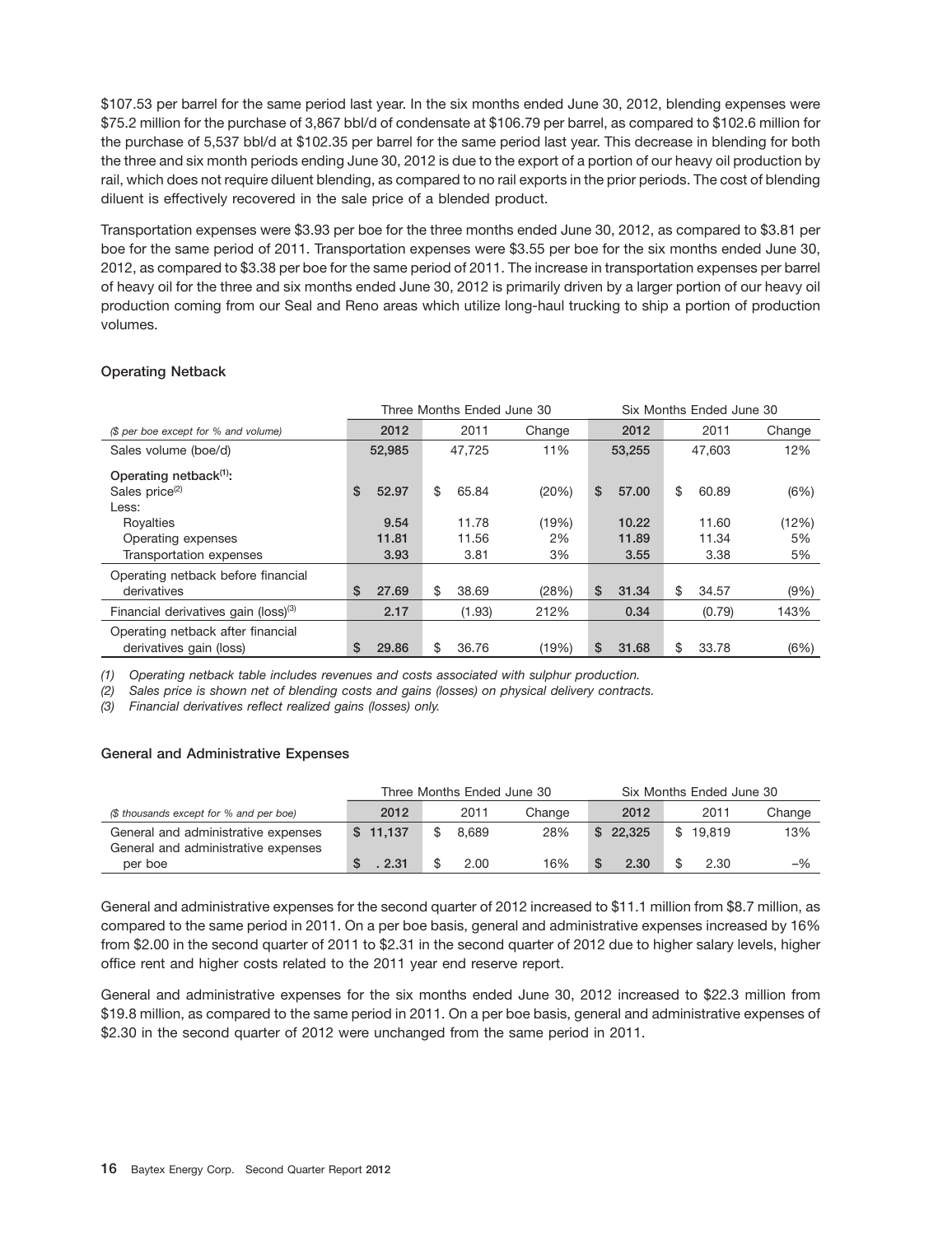\$107.53 per barrel for the same period last year. In the six months ended June 30, 2012, blending expenses were \$75.2 million for the purchase of 3,867 bbl/d of condensate at \$106.79 per barrel, as compared to \$102.6 million for the purchase of 5,537 bbl/d at \$102.35 per barrel for the same period last year. This decrease in blending for both the three and six month periods ending June 30, 2012 is due to the export of a portion of our heavy oil production by rail, which does not require diluent blending, as compared to no rail exports in the prior periods. The cost of blending diluent is effectively recovered in the sale price of a blended product.

Transportation expenses were \$3.93 per boe for the three months ended June 30, 2012, as compared to \$3.81 per boe for the same period of 2011. Transportation expenses were \$3.55 per boe for the six months ended June 30, 2012, as compared to \$3.38 per boe for the same period of 2011. The increase in transportation expenses per barrel of heavy oil for the three and six months ended June 30, 2012 is primarily driven by a larger portion of our heavy oil production coming from our Seal and Reno areas which utilize long-haul trucking to ship a portion of production volumes.

### **Operating Netback**

|                                                  | Three Months Ended June 30 |        |    |        |        |    |        |    | Six Months Ended June 30 |        |  |  |
|--------------------------------------------------|----------------------------|--------|----|--------|--------|----|--------|----|--------------------------|--------|--|--|
| (\$ per boe except for % and volume)             |                            | 2012   |    | 2011   | Change |    | 2012   |    | 2011                     | Change |  |  |
| Sales volume (boe/d)                             |                            | 52,985 |    | 47,725 | 11%    |    | 53,255 |    | 47,603                   | 12%    |  |  |
| Operating netback <sup>(1)</sup> :               |                            |        |    |        |        |    |        |    |                          |        |  |  |
| Sales price <sup>(2)</sup>                       | \$                         | 52.97  | \$ | 65.84  | (20%)  | \$ | 57.00  | \$ | 60.89                    | (6%)   |  |  |
| Less:                                            |                            |        |    |        |        |    |        |    |                          |        |  |  |
| Royalties                                        |                            | 9.54   |    | 11.78  | (19%)  |    | 10.22  |    | 11.60                    | (12%)  |  |  |
| Operating expenses                               |                            | 11.81  |    | 11.56  | 2%     |    | 11.89  |    | 11.34                    | 5%     |  |  |
| Transportation expenses                          |                            | 3.93   |    | 3.81   | 3%     |    | 3.55   |    | 3.38                     | 5%     |  |  |
| Operating netback before financial               |                            |        |    |        |        |    |        |    |                          |        |  |  |
| derivatives                                      | \$                         | 27.69  | \$ | 38.69  | (28%)  | \$ | 31.34  | \$ | 34.57                    | (9% )  |  |  |
| Financial derivatives gain (loss) <sup>(3)</sup> |                            | 2.17   |    | (1.93) | 212%   |    | 0.34   |    | (0.79)                   | 143%   |  |  |
| Operating netback after financial                |                            |        |    |        |        |    |        |    |                          |        |  |  |
| derivatives gain (loss)                          | \$                         | 29.86  | \$ | 36.76  | (19%)  | \$ | 31.68  | \$ | 33.78                    | (6%)   |  |  |

*(1) Operating netback table includes revenues and costs associated with sulphur production.*

*(2) Sales price is shown net of blending costs and gains (losses) on physical delivery contracts.*

*(3) Financial derivatives reflect realized gains (losses) only.*

### **General and Administrative Expenses**

|                                                                            |          |       | Three Months Ended June 30 |  | Six Months Ended June 30 |          |        |
|----------------------------------------------------------------------------|----------|-------|----------------------------|--|--------------------------|----------|--------|
| (\$ thousands except for % and per boe)                                    | 2012     | 2011  | Change                     |  | 2012                     | 2011     | Change |
| General and administrative expenses<br>General and administrative expenses | \$11.137 | 8.689 | 28%                        |  | \$22.325                 | \$19.819 | 13%    |
| per boe                                                                    | 2.31     | 2.00  | 16%                        |  | 2.30                     | 2.30     | $-$ %  |

General and administrative expenses for the second quarter of 2012 increased to \$11.1 million from \$8.7 million, as compared to the same period in 2011. On a per boe basis, general and administrative expenses increased by 16% from \$2.00 in the second quarter of 2011 to \$2.31 in the second quarter of 2012 due to higher salary levels, higher office rent and higher costs related to the 2011 year end reserve report.

General and administrative expenses for the six months ended June 30, 2012 increased to \$22.3 million from \$19.8 million, as compared to the same period in 2011. On a per boe basis, general and administrative expenses of \$2.30 in the second quarter of 2012 were unchanged from the same period in 2011.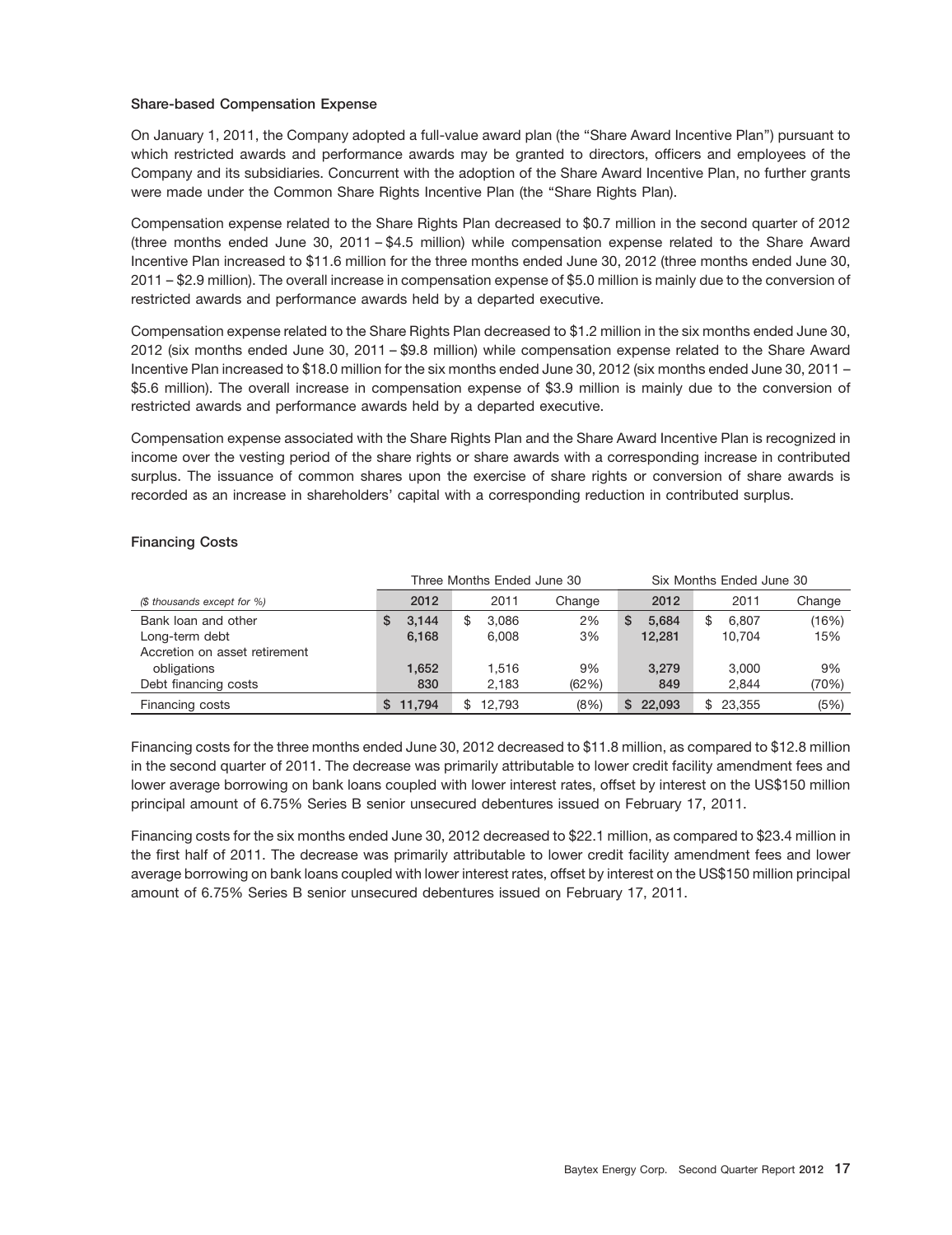### **Share-based Compensation Expense**

On January 1, 2011, the Company adopted a full-value award plan (the ''Share Award Incentive Plan'') pursuant to which restricted awards and performance awards may be granted to directors, officers and employees of the Company and its subsidiaries. Concurrent with the adoption of the Share Award Incentive Plan, no further grants were made under the Common Share Rights Incentive Plan (the "Share Rights Plan).

Compensation expense related to the Share Rights Plan decreased to \$0.7 million in the second quarter of 2012 (three months ended June 30, 2011 – \$4.5 million) while compensation expense related to the Share Award Incentive Plan increased to \$11.6 million for the three months ended June 30, 2012 (three months ended June 30, 2011 – \$2.9 million). The overall increase in compensation expense of \$5.0 million is mainly due to the conversion of restricted awards and performance awards held by a departed executive.

Compensation expense related to the Share Rights Plan decreased to \$1.2 million in the six months ended June 30, 2012 (six months ended June 30, 2011 – \$9.8 million) while compensation expense related to the Share Award Incentive Plan increased to \$18.0 million for the six months ended June 30, 2012 (six months ended June 30, 2011 – \$5.6 million). The overall increase in compensation expense of \$3.9 million is mainly due to the conversion of restricted awards and performance awards held by a departed executive.

Compensation expense associated with the Share Rights Plan and the Share Award Incentive Plan is recognized in income over the vesting period of the share rights or share awards with a corresponding increase in contributed surplus. The issuance of common shares upon the exercise of share rights or conversion of share awards is recorded as an increase in shareholders' capital with a corresponding reduction in contributed surplus.

### **Financing Costs**

|                               |            | Three Months Ended June 30 |        |             | Six Months Ended June 30 |        |
|-------------------------------|------------|----------------------------|--------|-------------|--------------------------|--------|
| (\$ thousands except for %)   | 2012       | 2011                       | Change | 2012        | 2011                     | Change |
| Bank loan and other           | 3.144<br>S | 3.086<br>\$                | 2%     | 5.684       | 6.807<br>\$              | (16%)  |
| Long-term debt                | 6,168      | 6.008                      | 3%     | 12,281      | 10.704                   | 15%    |
| Accretion on asset retirement |            |                            |        |             |                          |        |
| obligations                   | 1.652      | 1.516                      | 9%     | 3.279       | 3.000                    | 9%     |
| Debt financing costs          | 830        | 2.183                      | (62%)  | 849         | 2.844                    | (70%)  |
| Financing costs               | 11.794     | 12.793                     | (8% )  | 22.093<br>S | \$23.355                 | (5%)   |

Financing costs for the three months ended June 30, 2012 decreased to \$11.8 million, as compared to \$12.8 million in the second quarter of 2011. The decrease was primarily attributable to lower credit facility amendment fees and lower average borrowing on bank loans coupled with lower interest rates, offset by interest on the US\$150 million principal amount of 6.75% Series B senior unsecured debentures issued on February 17, 2011.

Financing costs for the six months ended June 30, 2012 decreased to \$22.1 million, as compared to \$23.4 million in the first half of 2011. The decrease was primarily attributable to lower credit facility amendment fees and lower average borrowing on bank loans coupled with lower interest rates, offset by interest on the US\$150 million principal amount of 6.75% Series B senior unsecured debentures issued on February 17, 2011.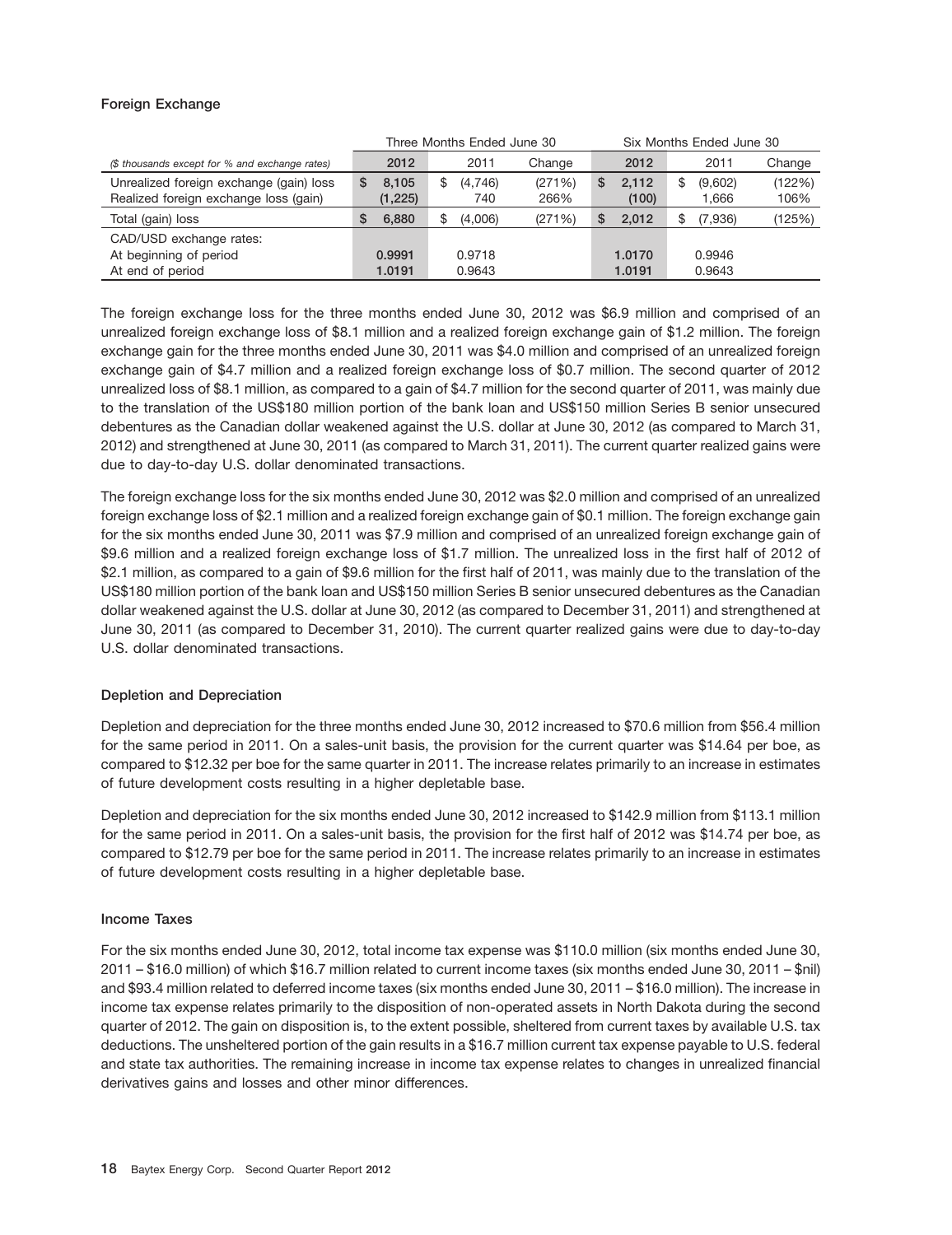### **Foreign Exchange**

|                                                |   |          |   | Three Months Ended June 30 |        |    |        | Six Months Ended June 30 |        |
|------------------------------------------------|---|----------|---|----------------------------|--------|----|--------|--------------------------|--------|
| (\$ thousands except for % and exchange rates) |   | 2012     |   | 2011                       | Change |    | 2012   | 2011                     | Change |
| Unrealized foreign exchange (gain) loss        | S | 8.105    | S | (4,746)                    | (271%) | \$ | 2.112  | \$<br>(9,602)            | (122%) |
| Realized foreign exchange loss (gain)          |   | (1, 225) |   | 740                        | 266%   |    | (100)  | 1,666                    | 106%   |
| Total (gain) loss                              | S | 6,880    | S | (4,006)                    | (271%) | S  | 2.012  | \$<br>(7,936)            | (125%) |
| CAD/USD exchange rates:                        |   |          |   |                            |        |    |        |                          |        |
| At beginning of period                         |   | 0.9991   |   | 0.9718                     |        |    | 1.0170 | 0.9946                   |        |
| At end of period                               |   | 1.0191   |   | 0.9643                     |        |    | 1.0191 | 0.9643                   |        |

The foreign exchange loss for the three months ended June 30, 2012 was \$6.9 million and comprised of an unrealized foreign exchange loss of \$8.1 million and a realized foreign exchange gain of \$1.2 million. The foreign exchange gain for the three months ended June 30, 2011 was \$4.0 million and comprised of an unrealized foreign exchange gain of \$4.7 million and a realized foreign exchange loss of \$0.7 million. The second quarter of 2012 unrealized loss of \$8.1 million, as compared to a gain of \$4.7 million for the second quarter of 2011, was mainly due to the translation of the US\$180 million portion of the bank loan and US\$150 million Series B senior unsecured debentures as the Canadian dollar weakened against the U.S. dollar at June 30, 2012 (as compared to March 31, 2012) and strengthened at June 30, 2011 (as compared to March 31, 2011). The current quarter realized gains were due to day-to-day U.S. dollar denominated transactions.

The foreign exchange loss for the six months ended June 30, 2012 was \$2.0 million and comprised of an unrealized foreign exchange loss of \$2.1 million and a realized foreign exchange gain of \$0.1 million. The foreign exchange gain for the six months ended June 30, 2011 was \$7.9 million and comprised of an unrealized foreign exchange gain of \$9.6 million and a realized foreign exchange loss of \$1.7 million. The unrealized loss in the first half of 2012 of \$2.1 million, as compared to a gain of \$9.6 million for the first half of 2011, was mainly due to the translation of the US\$180 million portion of the bank loan and US\$150 million Series B senior unsecured debentures as the Canadian dollar weakened against the U.S. dollar at June 30, 2012 (as compared to December 31, 2011) and strengthened at June 30, 2011 (as compared to December 31, 2010). The current quarter realized gains were due to day-to-day U.S. dollar denominated transactions.

### **Depletion and Depreciation**

Depletion and depreciation for the three months ended June 30, 2012 increased to \$70.6 million from \$56.4 million for the same period in 2011. On a sales-unit basis, the provision for the current quarter was \$14.64 per boe, as compared to \$12.32 per boe for the same quarter in 2011. The increase relates primarily to an increase in estimates of future development costs resulting in a higher depletable base.

Depletion and depreciation for the six months ended June 30, 2012 increased to \$142.9 million from \$113.1 million for the same period in 2011. On a sales-unit basis, the provision for the first half of 2012 was \$14.74 per boe, as compared to \$12.79 per boe for the same period in 2011. The increase relates primarily to an increase in estimates of future development costs resulting in a higher depletable base.

### **Income Taxes**

For the six months ended June 30, 2012, total income tax expense was \$110.0 million (six months ended June 30, 2011 – \$16.0 million) of which \$16.7 million related to current income taxes (six months ended June 30, 2011 – \$nil) and \$93.4 million related to deferred income taxes (six months ended June 30, 2011 – \$16.0 million). The increase in income tax expense relates primarily to the disposition of non-operated assets in North Dakota during the second quarter of 2012. The gain on disposition is, to the extent possible, sheltered from current taxes by available U.S. tax deductions. The unsheltered portion of the gain results in a \$16.7 million current tax expense payable to U.S. federal and state tax authorities. The remaining increase in income tax expense relates to changes in unrealized financial derivatives gains and losses and other minor differences.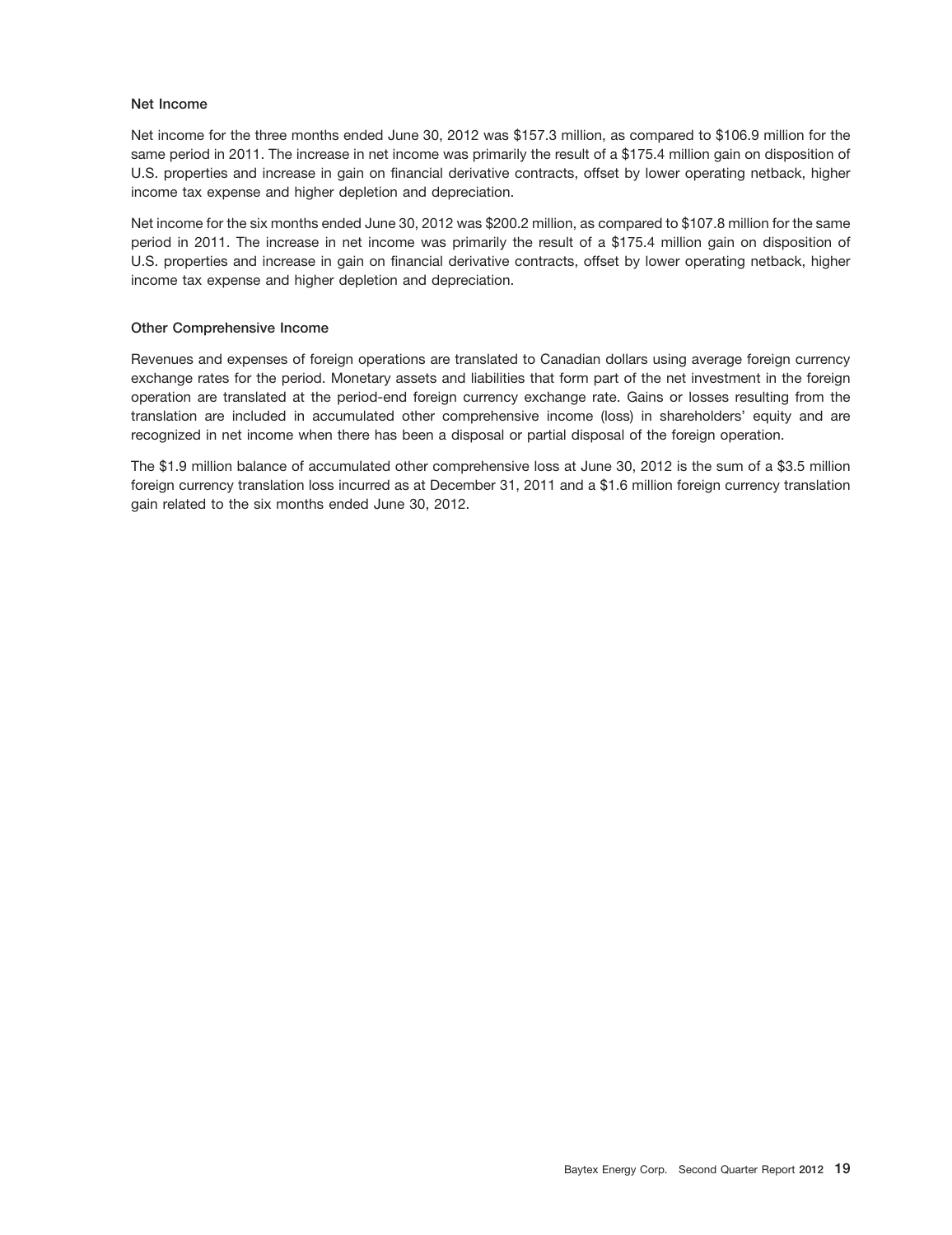### **Net Income**

Net income for the three months ended June 30, 2012 was \$157.3 million, as compared to \$106.9 million for the same period in 2011. The increase in net income was primarily the result of a \$175.4 million gain on disposition of U.S. properties and increase in gain on financial derivative contracts, offset by lower operating netback, higher income tax expense and higher depletion and depreciation.

Net income for the six months ended June 30, 2012 was \$200.2 million, as compared to \$107.8 million for the same period in 2011. The increase in net income was primarily the result of a \$175.4 million gain on disposition of U.S. properties and increase in gain on financial derivative contracts, offset by lower operating netback, higher income tax expense and higher depletion and depreciation.

### **Other Comprehensive Income**

Revenues and expenses of foreign operations are translated to Canadian dollars using average foreign currency exchange rates for the period. Monetary assets and liabilities that form part of the net investment in the foreign operation are translated at the period-end foreign currency exchange rate. Gains or losses resulting from the translation are included in accumulated other comprehensive income (loss) in shareholders' equity and are recognized in net income when there has been a disposal or partial disposal of the foreign operation.

The \$1.9 million balance of accumulated other comprehensive loss at June 30, 2012 is the sum of a \$3.5 million foreign currency translation loss incurred as at December 31, 2011 and a \$1.6 million foreign currency translation gain related to the six months ended June 30, 2012.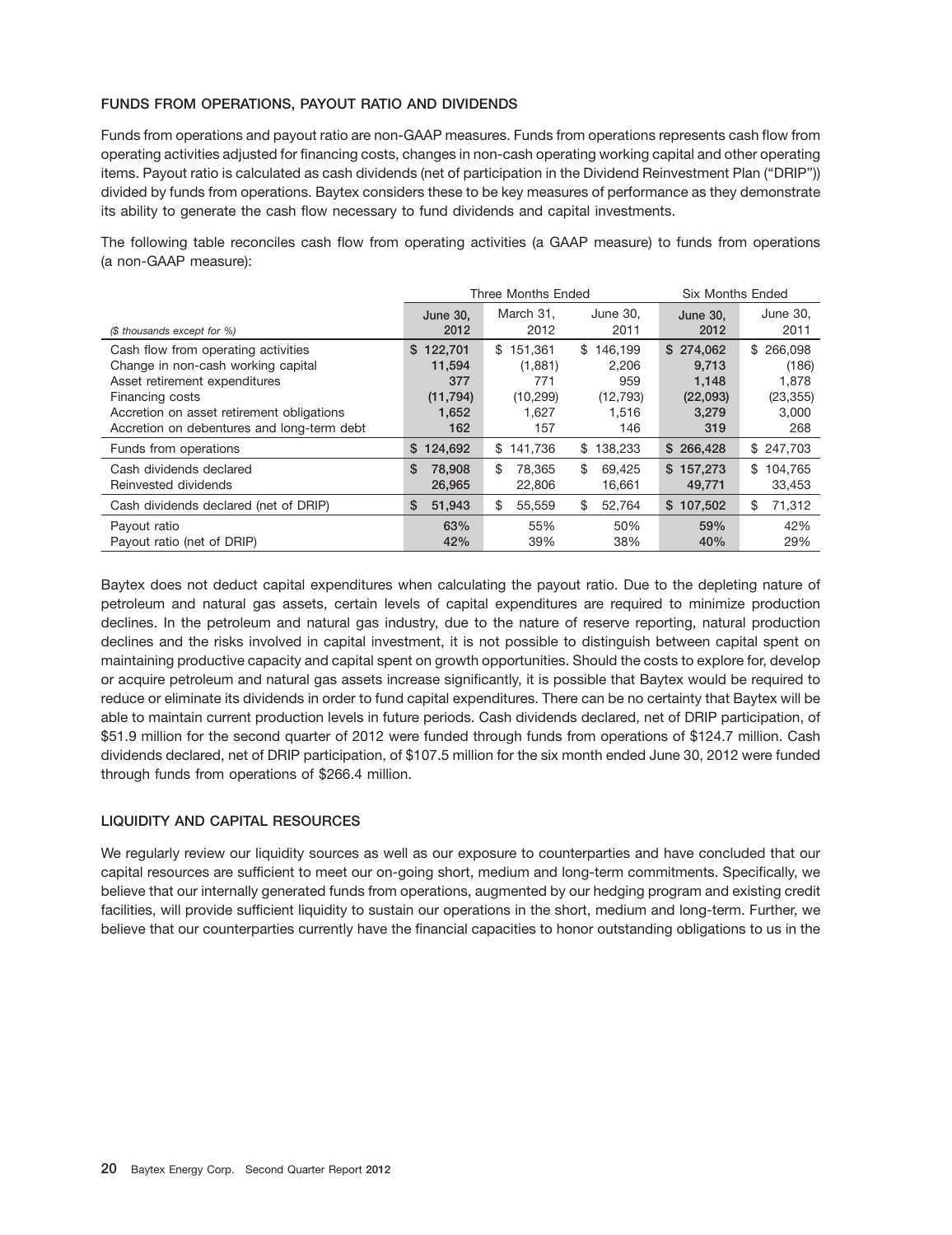### **FUNDS FROM OPERATIONS, PAYOUT RATIO AND DIVIDENDS**

Funds from operations and payout ratio are non-GAAP measures. Funds from operations represents cash flow from operating activities adjusted for financing costs, changes in non-cash operating working capital and other operating items. Payout ratio is calculated as cash dividends (net of participation in the Dividend Reinvestment Plan (''DRIP'')) divided by funds from operations. Baytex considers these to be key measures of performance as they demonstrate its ability to generate the cash flow necessary to fund dividends and capital investments.

The following table reconciles cash flow from operating activities (a GAAP measure) to funds from operations (a non-GAAP measure):

|                                                                                         |                        | <b>Three Months Ended</b> |                        | <b>Six Months Ended</b> |                         |
|-----------------------------------------------------------------------------------------|------------------------|---------------------------|------------------------|-------------------------|-------------------------|
| (\$ thousands except for %)                                                             | June 30,<br>2012       | March 31.<br>2012         | June 30.<br>2011       | <b>June 30,</b><br>2012 | June 30.<br>2011        |
| Cash flow from operating activities<br>Change in non-cash working capital               | \$122.701<br>11,594    | 151.361<br>\$<br>(1,881)  | \$146.199<br>2.206     | \$274.062<br>9.713      | \$266.098<br>(186)      |
| Asset retirement expenditures<br>Financing costs                                        | 377<br>(11, 794)       | 771<br>(10, 299)          | 959<br>(12, 793)       | 1,148<br>(22,093)       | 1,878<br>(23, 355)      |
| Accretion on asset retirement obligations<br>Accretion on debentures and long-term debt | 1.652<br>162           | 1.627<br>157              | 1.516<br>146           | 3,279<br>319            | 3,000<br>268            |
| Funds from operations                                                                   | \$124,692              | 141,736<br>\$             | 138,233<br>\$          | \$266,428               | \$247,703               |
| Cash dividends declared<br>Reinvested dividends                                         | \$<br>78,908<br>26,965 | \$<br>78.365<br>22,806    | \$<br>69.425<br>16,661 | \$157.273<br>49,771     | \$<br>104.765<br>33,453 |
| Cash dividends declared (net of DRIP)                                                   | \$<br>51,943           | \$<br>55,559              | \$<br>52.764           | \$107.502               | \$<br>71,312            |
| Payout ratio<br>Payout ratio (net of DRIP)                                              | 63%<br>42%             | 55%<br>39%                | 50%<br>38%             | 59%<br>40%              | 42%<br>29%              |

Baytex does not deduct capital expenditures when calculating the payout ratio. Due to the depleting nature of petroleum and natural gas assets, certain levels of capital expenditures are required to minimize production declines. In the petroleum and natural gas industry, due to the nature of reserve reporting, natural production declines and the risks involved in capital investment, it is not possible to distinguish between capital spent on maintaining productive capacity and capital spent on growth opportunities. Should the costs to explore for, develop or acquire petroleum and natural gas assets increase significantly, it is possible that Baytex would be required to reduce or eliminate its dividends in order to fund capital expenditures. There can be no certainty that Baytex will be able to maintain current production levels in future periods. Cash dividends declared, net of DRIP participation, of \$51.9 million for the second quarter of 2012 were funded through funds from operations of \$124.7 million. Cash dividends declared, net of DRIP participation, of \$107.5 million for the six month ended June 30, 2012 were funded through funds from operations of \$266.4 million.

### **LIQUIDITY AND CAPITAL RESOURCES**

We regularly review our liquidity sources as well as our exposure to counterparties and have concluded that our capital resources are sufficient to meet our on-going short, medium and long-term commitments. Specifically, we believe that our internally generated funds from operations, augmented by our hedging program and existing credit facilities, will provide sufficient liquidity to sustain our operations in the short, medium and long-term. Further, we believe that our counterparties currently have the financial capacities to honor outstanding obligations to us in the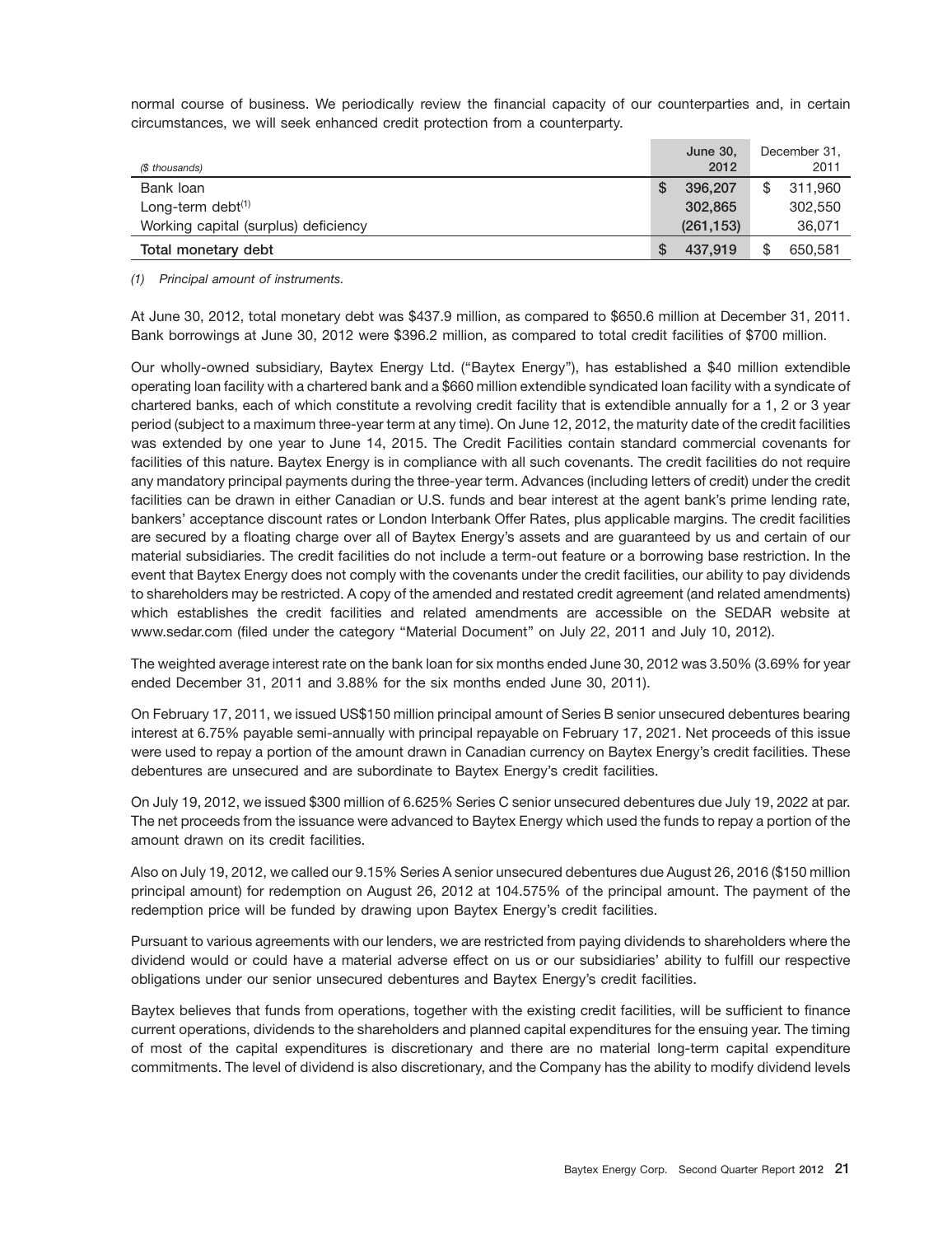normal course of business. We periodically review the financial capacity of our counterparties and, in certain circumstances, we will seek enhanced credit protection from a counterparty.

| (\$ thousands)                       | June 30,<br>2012 | December 31,<br>2011 |
|--------------------------------------|------------------|----------------------|
| Bank loan                            | 396,207          | \$<br>311,960        |
| Long-term debt $(1)$                 | 302.865          | 302,550              |
| Working capital (surplus) deficiency | (261, 153)       | 36,071               |
| Total monetary debt                  | 437.919          | \$<br>650,581        |

*(1) Principal amount of instruments.*

At June 30, 2012, total monetary debt was \$437.9 million, as compared to \$650.6 million at December 31, 2011. Bank borrowings at June 30, 2012 were \$396.2 million, as compared to total credit facilities of \$700 million.

Our wholly-owned subsidiary, Baytex Energy Ltd. (''Baytex Energy''), has established a \$40 million extendible operating loan facility with a chartered bank and a \$660 million extendible syndicated loan facility with a syndicate of chartered banks, each of which constitute a revolving credit facility that is extendible annually for a 1, 2 or 3 year period (subject to a maximum three-year term at any time). On June 12, 2012, the maturity date of the credit facilities was extended by one year to June 14, 2015. The Credit Facilities contain standard commercial covenants for facilities of this nature. Baytex Energy is in compliance with all such covenants. The credit facilities do not require any mandatory principal payments during the three-year term. Advances (including letters of credit) under the credit facilities can be drawn in either Canadian or U.S. funds and bear interest at the agent bank's prime lending rate, bankers' acceptance discount rates or London Interbank Offer Rates, plus applicable margins. The credit facilities are secured by a floating charge over all of Baytex Energy's assets and are guaranteed by us and certain of our material subsidiaries. The credit facilities do not include a term-out feature or a borrowing base restriction. In the event that Baytex Energy does not comply with the covenants under the credit facilities, our ability to pay dividends to shareholders may be restricted. A copy of the amended and restated credit agreement (and related amendments) which establishes the credit facilities and related amendments are accessible on the SEDAR website at www.sedar.com (filed under the category ''Material Document'' on July 22, 2011 and July 10, 2012).

The weighted average interest rate on the bank loan for six months ended June 30, 2012 was 3.50% (3.69% for year ended December 31, 2011 and 3.88% for the six months ended June 30, 2011).

On February 17, 2011, we issued US\$150 million principal amount of Series B senior unsecured debentures bearing interest at 6.75% payable semi-annually with principal repayable on February 17, 2021. Net proceeds of this issue were used to repay a portion of the amount drawn in Canadian currency on Baytex Energy's credit facilities. These debentures are unsecured and are subordinate to Baytex Energy's credit facilities.

On July 19, 2012, we issued \$300 million of 6.625% Series C senior unsecured debentures due July 19, 2022 at par. The net proceeds from the issuance were advanced to Baytex Energy which used the funds to repay a portion of the amount drawn on its credit facilities.

Also on July 19, 2012, we called our 9.15% Series A senior unsecured debentures due August 26, 2016 (\$150 million principal amount) for redemption on August 26, 2012 at 104.575% of the principal amount. The payment of the redemption price will be funded by drawing upon Baytex Energy's credit facilities.

Pursuant to various agreements with our lenders, we are restricted from paying dividends to shareholders where the dividend would or could have a material adverse effect on us or our subsidiaries' ability to fulfill our respective obligations under our senior unsecured debentures and Baytex Energy's credit facilities.

Baytex believes that funds from operations, together with the existing credit facilities, will be sufficient to finance current operations, dividends to the shareholders and planned capital expenditures for the ensuing year. The timing of most of the capital expenditures is discretionary and there are no material long-term capital expenditure commitments. The level of dividend is also discretionary, and the Company has the ability to modify dividend levels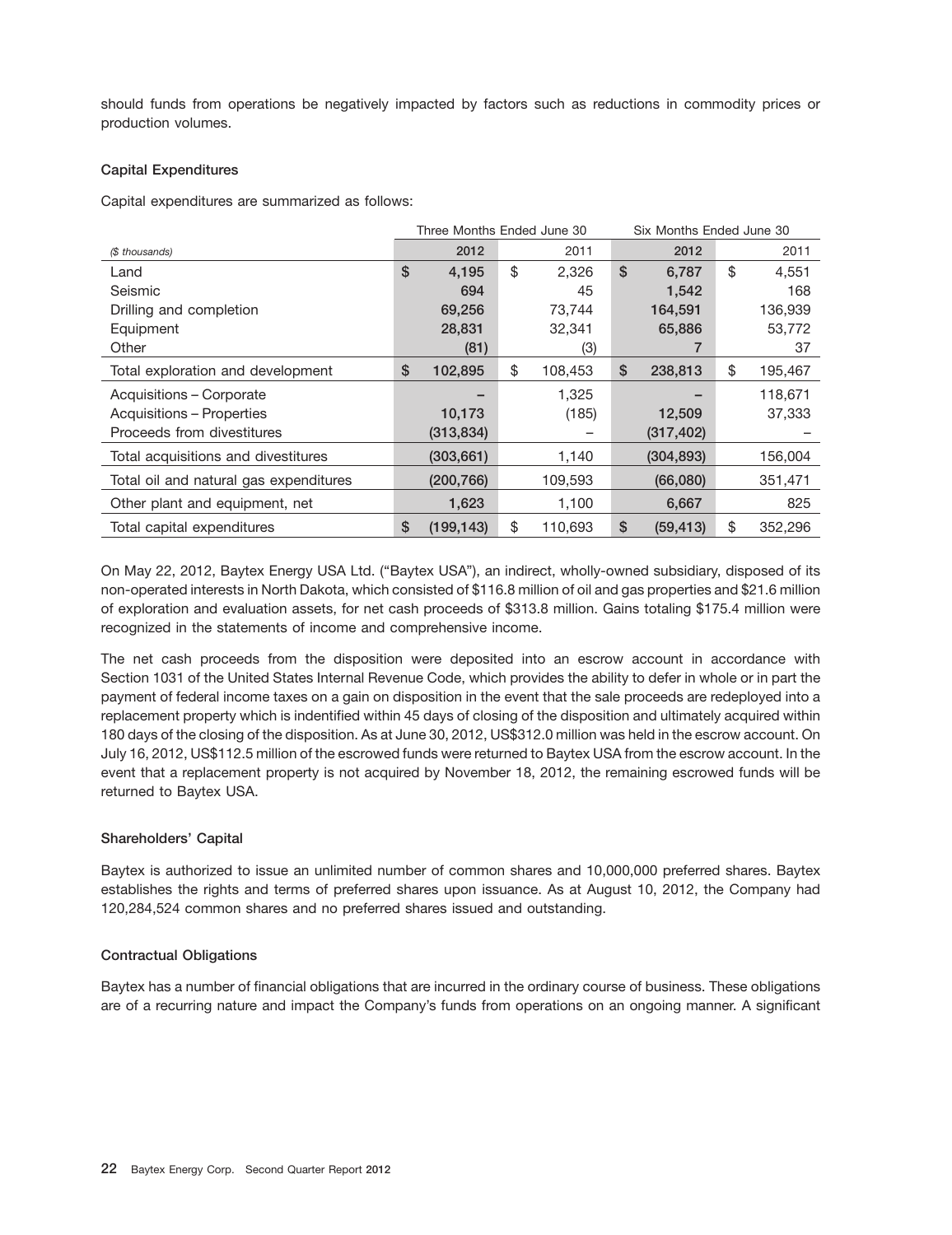should funds from operations be negatively impacted by factors such as reductions in commodity prices or production volumes.

### **Capital Expenditures**

Capital expenditures are summarized as follows:

|                                        | Three Months Ended June 30 |               | Six Months Ended June 30 |               |
|----------------------------------------|----------------------------|---------------|--------------------------|---------------|
| (\$ thousands)                         | 2012                       | 2011          | 2012                     | 2011          |
| Land                                   | \$<br>4.195                | \$<br>2,326   | \$<br>6,787              | \$<br>4,551   |
| Seismic                                | 694                        | 45            | 1,542                    | 168           |
| Drilling and completion                | 69,256                     | 73,744        | 164,591                  | 136,939       |
| Equipment                              | 28,831                     | 32,341        | 65,886                   | 53,772        |
| Other                                  | (81)                       | (3)           |                          | 37            |
| Total exploration and development      | \$<br>102,895              | \$<br>108,453 | \$<br>238,813            | \$<br>195,467 |
| Acquisitions - Corporate               |                            | 1.325         |                          | 118,671       |
| Acquisitions - Properties              | 10,173                     | (185)         | 12,509                   | 37,333        |
| Proceeds from divestitures             | (313, 834)                 |               | (317, 402)               |               |
| Total acquisitions and divestitures    | (303, 661)                 | 1,140         | (304, 893)               | 156,004       |
| Total oil and natural gas expenditures | (200, 766)                 | 109,593       | (66,080)                 | 351,471       |
| Other plant and equipment, net         | 1,623                      | 1,100         | 6,667                    | 825           |
| Total capital expenditures             | \$<br>(199, 143)           | \$<br>110,693 | \$<br>(59, 413)          | \$<br>352,296 |

On May 22, 2012, Baytex Energy USA Ltd. (''Baytex USA''), an indirect, wholly-owned subsidiary, disposed of its non-operated interests in North Dakota, which consisted of \$116.8 million of oil and gas properties and \$21.6 million of exploration and evaluation assets, for net cash proceeds of \$313.8 million. Gains totaling \$175.4 million were recognized in the statements of income and comprehensive income.

The net cash proceeds from the disposition were deposited into an escrow account in accordance with Section 1031 of the United States Internal Revenue Code, which provides the ability to defer in whole or in part the payment of federal income taxes on a gain on disposition in the event that the sale proceeds are redeployed into a replacement property which is indentified within 45 days of closing of the disposition and ultimately acquired within 180 days of the closing of the disposition. As at June 30, 2012, US\$312.0 million was held in the escrow account. On July 16, 2012, US\$112.5 million of the escrowed funds were returned to Baytex USA from the escrow account. In the event that a replacement property is not acquired by November 18, 2012, the remaining escrowed funds will be returned to Baytex USA.

### **Shareholders' Capital**

Baytex is authorized to issue an unlimited number of common shares and 10,000,000 preferred shares. Baytex establishes the rights and terms of preferred shares upon issuance. As at August 10, 2012, the Company had 120,284,524 common shares and no preferred shares issued and outstanding.

### **Contractual Obligations**

Baytex has a number of financial obligations that are incurred in the ordinary course of business. These obligations are of a recurring nature and impact the Company's funds from operations on an ongoing manner. A significant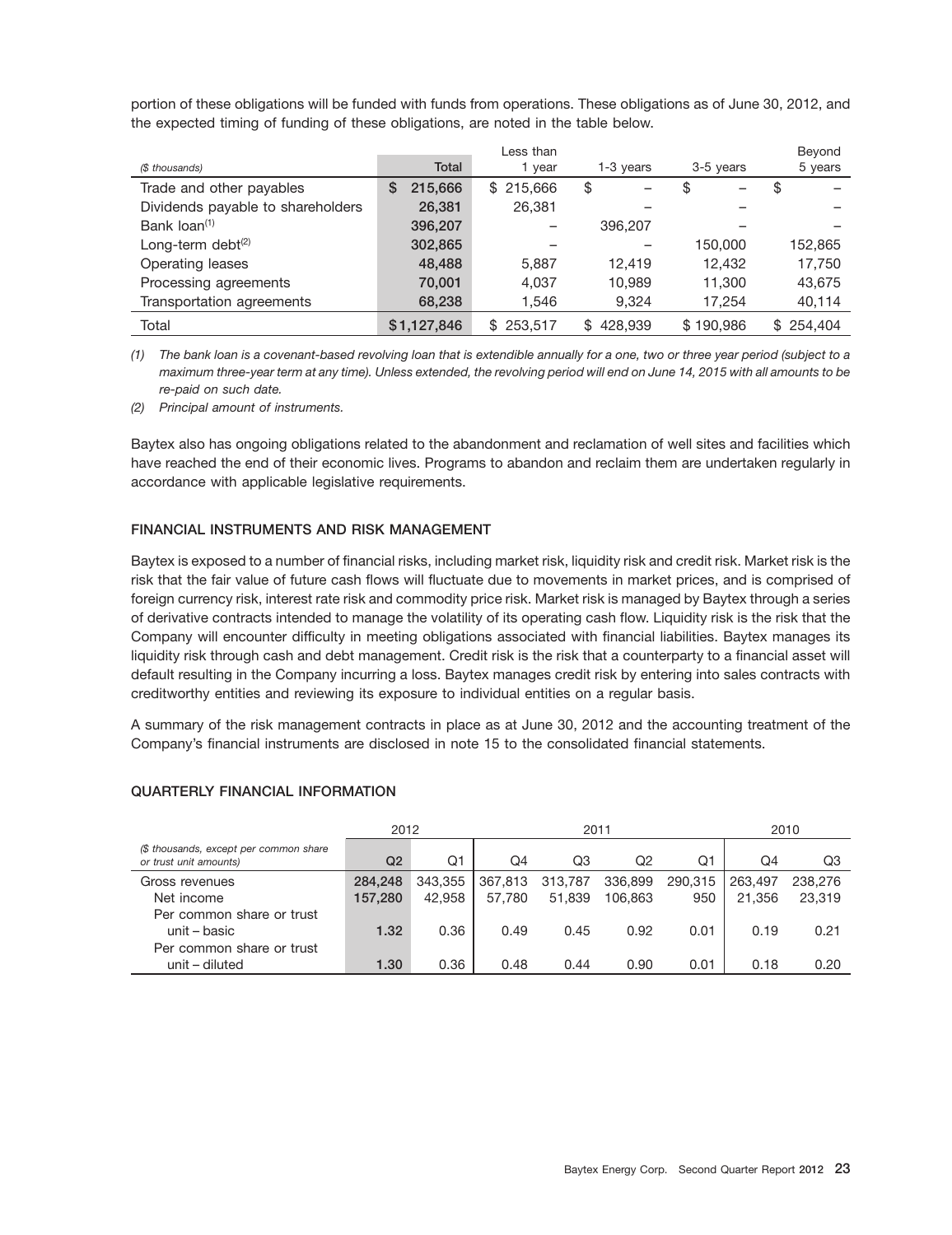portion of these obligations will be funded with funds from operations. These obligations as of June 30, 2012, and the expected timing of funding of these obligations, are noted in the table below.

|                                   |              | Less than      |               |           | Beyond         |
|-----------------------------------|--------------|----------------|---------------|-----------|----------------|
| (\$ thousands)                    | Total        | 1 year         | 1-3 years     | 3-5 years | 5 years        |
| Trade and other payables          | 215,666<br>S | 215,666<br>\$. | \$            | \$        | S              |
| Dividends payable to shareholders | 26,381       | 26.381         |               |           |                |
| Bank loan <sup>(1)</sup>          | 396,207      |                | 396,207       |           |                |
| Long-term debt $(2)$              | 302,865      |                |               | 150.000   | 152,865        |
| Operating leases                  | 48,488       | 5.887          | 12.419        | 12.432    | 17,750         |
| Processing agreements             | 70,001       | 4,037          | 10.989        | 11.300    | 43,675         |
| Transportation agreements         | 68,238       | 1,546          | 9.324         | 17.254    | 40,114         |
| Total                             | \$1.127.846  | 253,517<br>\$. | 428.939<br>\$ | \$190.986 | 254.404<br>\$. |

*(1) The bank loan is a covenant-based revolving loan that is extendible annually for a one, two or three year period (subject to a maximum three-year term at any time). Unless extended, the revolving period will end on June 14, 2015 with all amounts to be re-paid on such date.*

*(2) Principal amount of instruments.*

Baytex also has ongoing obligations related to the abandonment and reclamation of well sites and facilities which have reached the end of their economic lives. Programs to abandon and reclaim them are undertaken regularly in accordance with applicable legislative requirements.

### **FINANCIAL INSTRUMENTS AND RISK MANAGEMENT**

Baytex is exposed to a number of financial risks, including market risk, liquidity risk and credit risk. Market risk is the risk that the fair value of future cash flows will fluctuate due to movements in market prices, and is comprised of foreign currency risk, interest rate risk and commodity price risk. Market risk is managed by Baytex through a series of derivative contracts intended to manage the volatility of its operating cash flow. Liquidity risk is the risk that the Company will encounter difficulty in meeting obligations associated with financial liabilities. Baytex manages its liquidity risk through cash and debt management. Credit risk is the risk that a counterparty to a financial asset will default resulting in the Company incurring a loss. Baytex manages credit risk by entering into sales contracts with creditworthy entities and reviewing its exposure to individual entities on a regular basis.

A summary of the risk management contracts in place as at June 30, 2012 and the accounting treatment of the Company's financial instruments are disclosed in note 15 to the consolidated financial statements.

|                                                                  | 2012    |         |         | 2011    |         |         | 2010    |         |
|------------------------------------------------------------------|---------|---------|---------|---------|---------|---------|---------|---------|
| (\$ thousands, except per common share<br>or trust unit amounts) | Q2      | Q1      | Q4      | Q3      | Q2      | Q1      | Q4      | Q3      |
| Gross revenues                                                   | 284,248 | 343,355 | 367,813 | 313,787 | 336,899 | 290.315 | 263,497 | 238,276 |
| Net income                                                       | 157,280 | 42.958  | 57.780  | 51.839  | 106,863 | 950     | 21.356  | 23,319  |
| Per common share or trust                                        |         |         |         |         |         |         |         |         |
| unit – basic                                                     | 1.32    | 0.36    | 0.49    | 0.45    | 0.92    | 0.01    | 0.19    | 0.21    |
| Per common share or trust                                        |         |         |         |         |         |         |         |         |
| unit – diluted                                                   | 1.30    | 0.36    | 0.48    | 0.44    | 0.90    | 0.01    | 0.18    | 0.20    |

### **QUARTERLY FINANCIAL INFORMATION**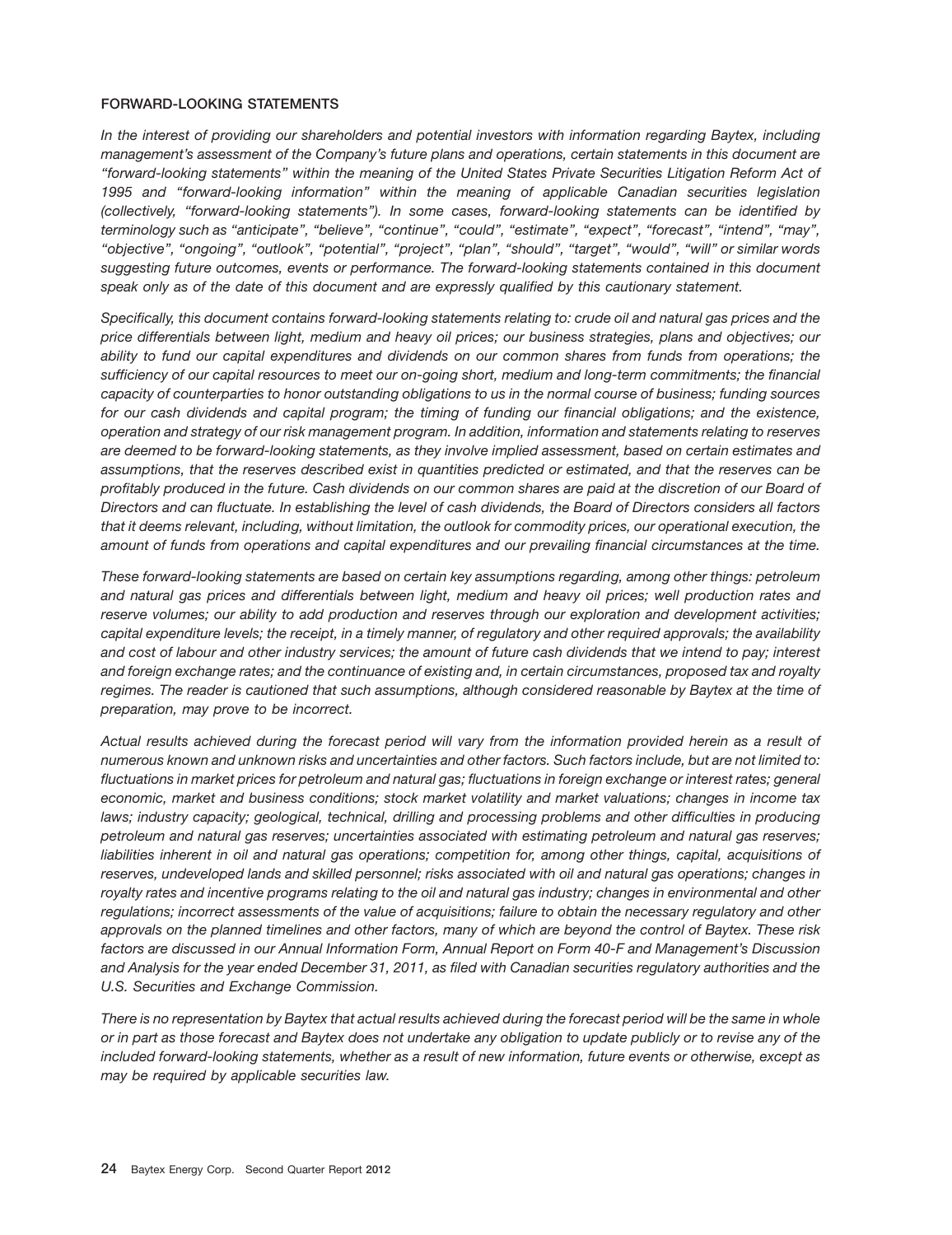### **FORWARD-LOOKING STATEMENTS**

*In the interest of providing our shareholders and potential investors with information regarding Baytex, including management's assessment of the Company's future plans and operations, certain statements in this document are ''forward-looking statements'' within the meaning of the United States Private Securities Litigation Reform Act of 1995 and ''forward-looking information'' within the meaning of applicable Canadian securities legislation (collectively, ''forward-looking statements''). In some cases, forward-looking statements can be identified by terminology such as ''anticipate'', ''believe'', ''continue'', ''could'', ''estimate'', ''expect'', ''forecast'', ''intend'', ''may'', ''objective'', ''ongoing'', ''outlook'', ''potential'', ''project'', ''plan'', ''should'', ''target'', ''would'', ''will'' or similar words suggesting future outcomes, events or performance. The forward-looking statements contained in this document speak only as of the date of this document and are expressly qualified by this cautionary statement.*

*Specifically, this document contains forward-looking statements relating to: crude oil and natural gas prices and the price differentials between light, medium and heavy oil prices; our business strategies, plans and objectives; our ability to fund our capital expenditures and dividends on our common shares from funds from operations; the sufficiency of our capital resources to meet our on-going short, medium and long-term commitments; the financial capacity of counterparties to honor outstanding obligations to us in the normal course of business; funding sources for our cash dividends and capital program; the timing of funding our financial obligations; and the existence, operation and strategy of our risk management program. In addition, information and statements relating to reserves are deemed to be forward-looking statements, as they involve implied assessment, based on certain estimates and assumptions, that the reserves described exist in quantities predicted or estimated, and that the reserves can be profitably produced in the future. Cash dividends on our common shares are paid at the discretion of our Board of Directors and can fluctuate. In establishing the level of cash dividends, the Board of Directors considers all factors that it deems relevant, including, without limitation, the outlook for commodity prices, our operational execution, the amount of funds from operations and capital expenditures and our prevailing financial circumstances at the time.*

*These forward-looking statements are based on certain key assumptions regarding, among other things: petroleum and natural gas prices and differentials between light, medium and heavy oil prices; well production rates and reserve volumes; our ability to add production and reserves through our exploration and development activities; capital expenditure levels; the receipt, in a timely manner, of regulatory and other required approvals; the availability and cost of labour and other industry services; the amount of future cash dividends that we intend to pay; interest and foreign exchange rates; and the continuance of existing and, in certain circumstances, proposed tax and royalty regimes. The reader is cautioned that such assumptions, although considered reasonable by Baytex at the time of preparation, may prove to be incorrect.*

*Actual results achieved during the forecast period will vary from the information provided herein as a result of numerous known and unknown risks and uncertainties and other factors. Such factors include, but are not limited to: fluctuations in market prices for petroleum and natural gas; fluctuations in foreign exchange or interest rates; general economic, market and business conditions; stock market volatility and market valuations; changes in income tax laws; industry capacity; geological, technical, drilling and processing problems and other difficulties in producing petroleum and natural gas reserves; uncertainties associated with estimating petroleum and natural gas reserves; liabilities inherent in oil and natural gas operations; competition for, among other things, capital, acquisitions of reserves, undeveloped lands and skilled personnel; risks associated with oil and natural gas operations; changes in royalty rates and incentive programs relating to the oil and natural gas industry; changes in environmental and other regulations; incorrect assessments of the value of acquisitions; failure to obtain the necessary regulatory and other approvals on the planned timelines and other factors, many of which are beyond the control of Baytex. These risk factors are discussed in our Annual Information Form, Annual Report on Form 40-F and Management's Discussion and Analysis for the year ended December 31, 2011, as filed with Canadian securities regulatory authorities and the U.S. Securities and Exchange Commission.*

*There is no representation by Baytex that actual results achieved during the forecast period will be the same in whole or in part as those forecast and Baytex does not undertake any obligation to update publicly or to revise any of the included forward-looking statements, whether as a result of new information, future events or otherwise, except as may be required by applicable securities law.*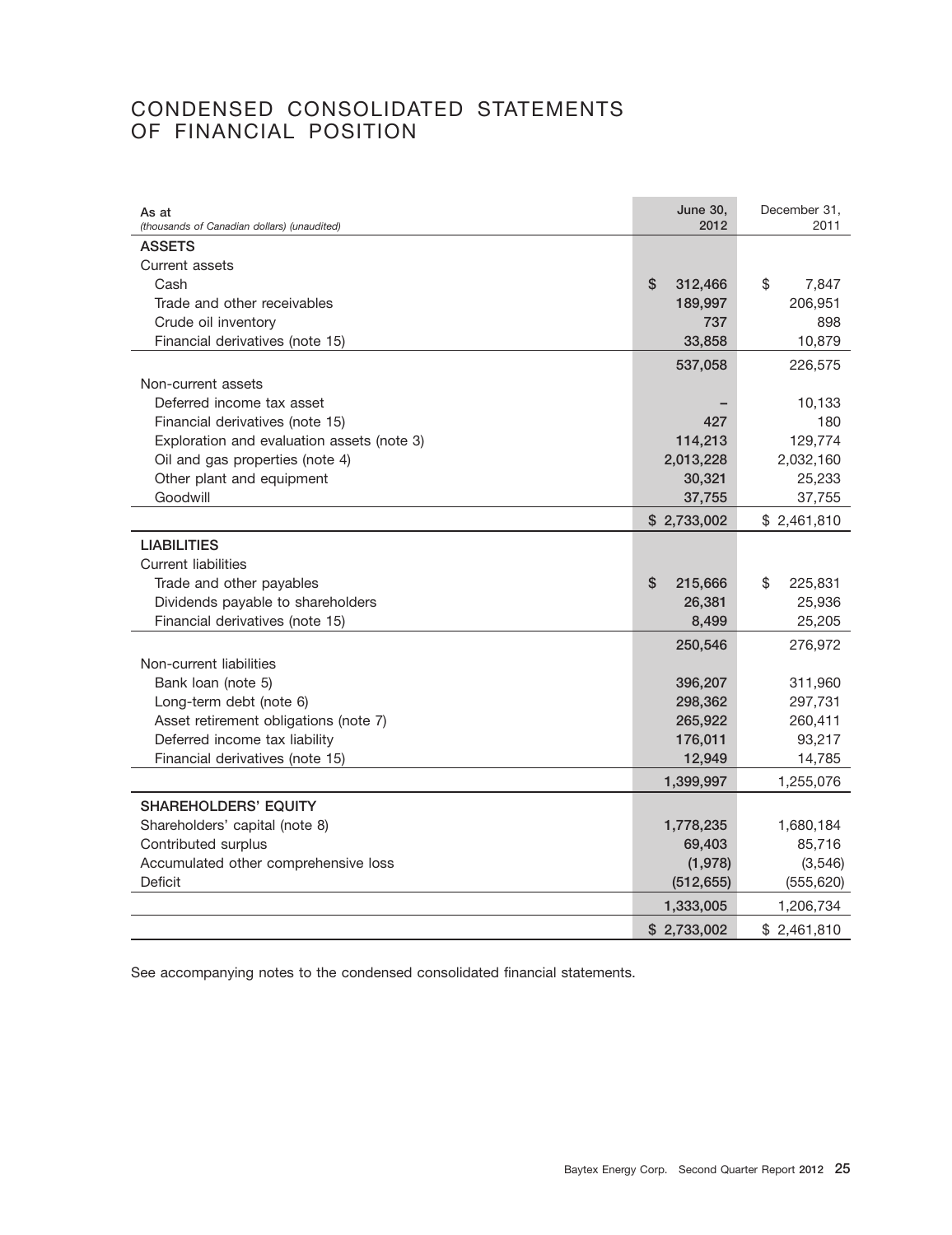### CONDENSED CONSOLIDATED STATEMENTS OF FINANCIAL POSITION

| As at<br>(thousands of Canadian dollars) (unaudited) | <b>June 30,</b><br>2012 | December 31,<br>2011 |
|------------------------------------------------------|-------------------------|----------------------|
| <b>ASSETS</b>                                        |                         |                      |
| Current assets                                       |                         |                      |
| Cash                                                 | \$<br>312,466           | \$<br>7,847          |
| Trade and other receivables                          | 189,997                 | 206,951              |
| Crude oil inventory                                  | 737                     | 898                  |
| Financial derivatives (note 15)                      | 33,858                  | 10,879               |
|                                                      | 537,058                 | 226,575              |
| Non-current assets                                   |                         |                      |
| Deferred income tax asset                            |                         | 10,133               |
| Financial derivatives (note 15)                      | 427                     | 180                  |
| Exploration and evaluation assets (note 3)           | 114,213                 | 129,774              |
| Oil and gas properties (note 4)                      | 2,013,228               | 2,032,160            |
| Other plant and equipment                            | 30,321                  | 25,233               |
| Goodwill                                             | 37,755                  | 37,755               |
|                                                      | \$2,733,002             | \$2,461,810          |
| <b>LIABILITIES</b>                                   |                         |                      |
| <b>Current liabilities</b>                           |                         |                      |
| Trade and other payables                             | \$<br>215,666           | \$<br>225,831        |
| Dividends payable to shareholders                    | 26,381                  | 25,936               |
| Financial derivatives (note 15)                      | 8,499                   | 25,205               |
|                                                      | 250,546                 | 276,972              |
| Non-current liabilities                              |                         |                      |
| Bank loan (note 5)                                   | 396,207                 | 311,960              |
| Long-term debt (note 6)                              | 298,362                 | 297,731              |
| Asset retirement obligations (note 7)                | 265,922                 | 260,411              |
| Deferred income tax liability                        | 176,011                 | 93,217               |
| Financial derivatives (note 15)                      | 12,949                  | 14,785               |
|                                                      | 1,399,997               | 1,255,076            |
| <b>SHAREHOLDERS' EQUITY</b>                          |                         |                      |
| Shareholders' capital (note 8)                       | 1,778,235               | 1,680,184            |
| Contributed surplus                                  | 69,403                  | 85,716               |
| Accumulated other comprehensive loss                 | (1,978)                 | (3, 546)             |
| Deficit                                              | (512, 655)              | (555, 620)           |
|                                                      | 1,333,005               | 1,206,734            |
|                                                      | \$2,733,002             | \$2,461,810          |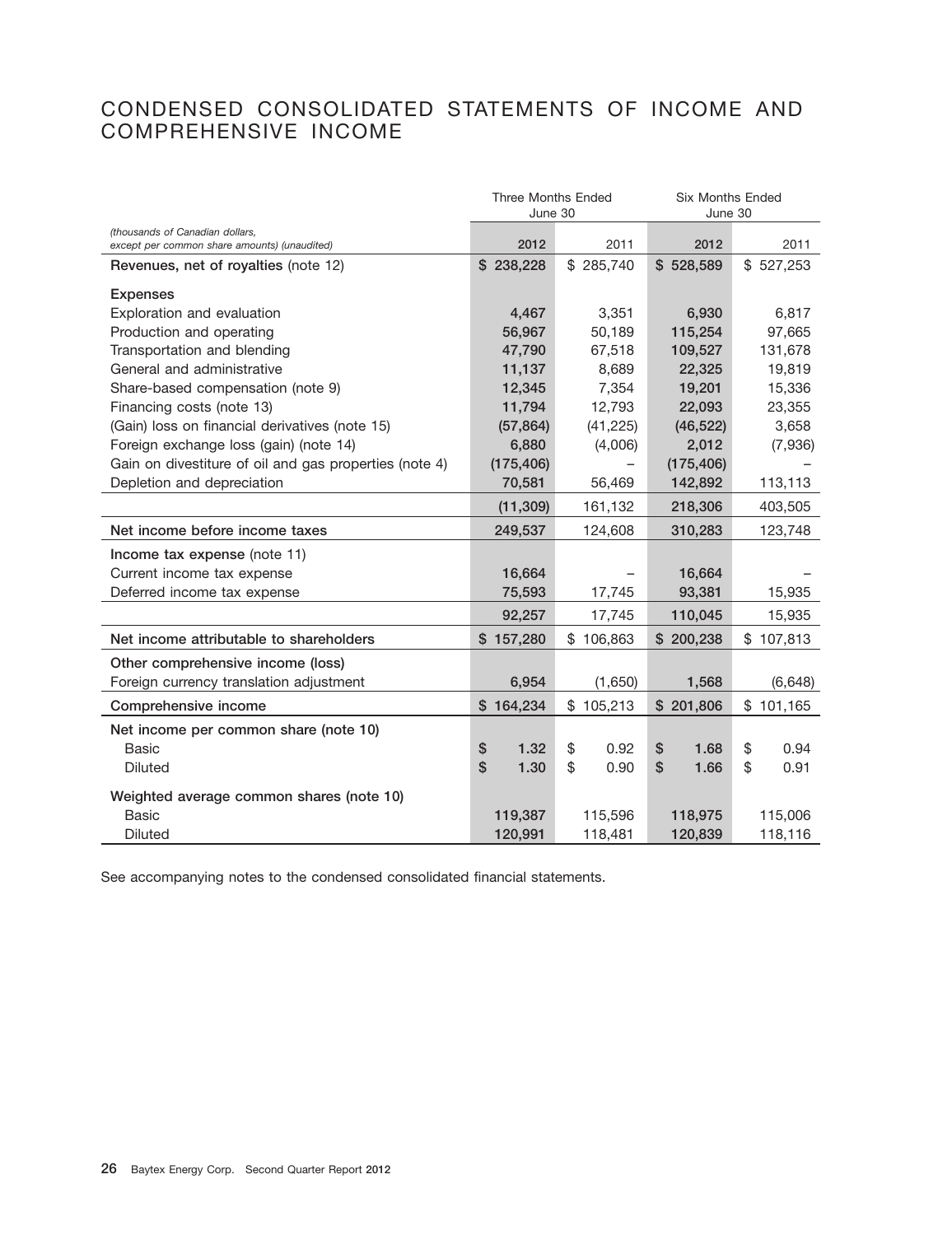### CONDENSED CONSOLIDATED STATEMENTS OF INCOME AND COMPREHENSIVE INCOME

|                                                                                 | <b>Three Months Ended</b> |            | <b>Six Months Ended</b> |            |
|---------------------------------------------------------------------------------|---------------------------|------------|-------------------------|------------|
|                                                                                 | June 30                   |            | June 30                 |            |
| (thousands of Canadian dollars,<br>except per common share amounts) (unaudited) | 2012                      | 2011       | 2012                    | 2011       |
| Revenues, net of royalties (note 12)                                            | \$238,228                 | \$285,740  | \$528,589               | \$527,253  |
| <b>Expenses</b>                                                                 |                           |            |                         |            |
| Exploration and evaluation                                                      | 4,467                     | 3,351      | 6,930                   | 6,817      |
| Production and operating                                                        | 56,967                    | 50,189     | 115,254                 | 97,665     |
| Transportation and blending                                                     | 47,790                    | 67,518     | 109,527                 | 131,678    |
| General and administrative                                                      | 11,137                    | 8,689      | 22,325                  | 19,819     |
| Share-based compensation (note 9)                                               | 12,345                    | 7,354      | 19,201                  | 15,336     |
| Financing costs (note 13)                                                       | 11,794                    | 12,793     | 22,093                  | 23,355     |
| (Gain) loss on financial derivatives (note 15)                                  | (57, 864)                 | (41, 225)  | (46, 522)               | 3,658      |
| Foreign exchange loss (gain) (note 14)                                          | 6,880                     | (4,006)    | 2,012                   | (7,936)    |
| Gain on divestiture of oil and gas properties (note 4)                          | (175, 406)                |            | (175, 406)              |            |
| Depletion and depreciation                                                      | 70,581                    | 56,469     | 142,892                 | 113,113    |
|                                                                                 | (11, 309)                 | 161,132    | 218,306                 | 403,505    |
| Net income before income taxes                                                  | 249,537                   | 124,608    | 310,283                 | 123,748    |
| Income tax expense (note 11)                                                    |                           |            |                         |            |
| Current income tax expense                                                      | 16,664                    |            | 16,664                  |            |
| Deferred income tax expense                                                     | 75,593                    | 17,745     | 93,381                  | 15,935     |
|                                                                                 | 92,257                    | 17,745     | 110,045                 | 15,935     |
| Net income attributable to shareholders                                         | \$157,280                 | \$106,863  | \$200,238               | \$107,813  |
| Other comprehensive income (loss)                                               |                           |            |                         |            |
| Foreign currency translation adjustment                                         | 6,954                     | (1,650)    | 1,568                   | (6, 648)   |
| Comprehensive income                                                            | \$164,234                 | \$105,213  | \$201,806               | \$101,165  |
| Net income per common share (note 10)                                           |                           |            |                         |            |
| Basic                                                                           | \$<br>1.32                | \$<br>0.92 | \$<br>1.68              | \$<br>0.94 |
| <b>Diluted</b>                                                                  | \$<br>1.30                | \$<br>0.90 | \$<br>1.66              | \$<br>0.91 |
| Weighted average common shares (note 10)                                        |                           |            |                         |            |
| <b>Basic</b>                                                                    | 119,387                   | 115,596    | 118,975                 | 115,006    |
| <b>Diluted</b>                                                                  | 120,991                   | 118,481    | 120,839                 | 118,116    |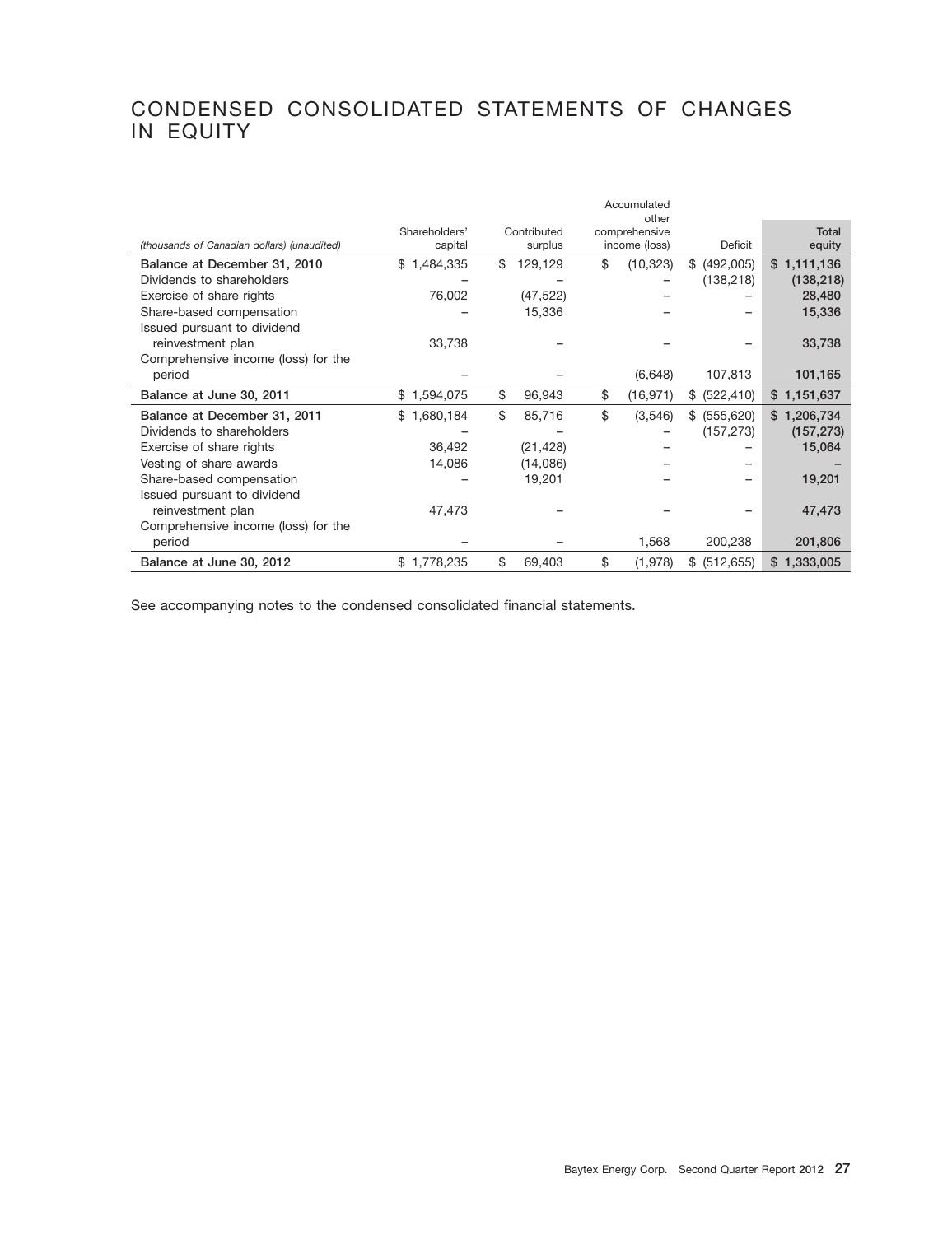## CONDENSED CONSOLIDATED STATEMENTS OF CHANGES IN EQUITY

|                                             |               |               | Accumulated<br>other |                  |             |
|---------------------------------------------|---------------|---------------|----------------------|------------------|-------------|
|                                             | Shareholders' | Contributed   | comprehensive        |                  | Total       |
| (thousands of Canadian dollars) (unaudited) | capital       | surplus       | income (loss)        | Deficit          | equity      |
| Balance at December 31, 2010                | \$1,484,335   | \$<br>129,129 | \$<br>(10, 323)      | \$ (492,005)     | \$1,111,136 |
| Dividends to shareholders                   |               |               |                      | (138, 218)       | (138, 218)  |
| Exercise of share rights                    | 76,002        | (47, 522)     |                      |                  | 28,480      |
| Share-based compensation                    |               | 15,336        |                      |                  | 15,336      |
| Issued pursuant to dividend                 |               |               |                      |                  |             |
| reinvestment plan                           | 33,738        |               |                      |                  | 33,738      |
| Comprehensive income (loss) for the         |               |               |                      |                  |             |
| period                                      |               |               | (6,648)              | 107,813          | 101,165     |
| Balance at June 30, 2011                    | \$1,594,075   | \$<br>96,943  | \$<br>(16, 971)      | \$ (522, 410)    | \$1,151,637 |
| Balance at December 31, 2011                | \$1,680,184   | \$<br>85,716  | \$<br>(3,546)        | \$ (555,620)     | \$1,206,734 |
| Dividends to shareholders                   |               |               |                      | (157, 273)       | (157, 273)  |
| Exercise of share rights                    | 36,492        | (21, 428)     |                      |                  | 15,064      |
| Vesting of share awards                     | 14,086        | (14,086)      |                      |                  |             |
| Share-based compensation                    |               | 19,201        |                      |                  | 19,201      |
| Issued pursuant to dividend                 |               |               |                      |                  |             |
| reinvestment plan                           | 47,473        |               |                      |                  | 47,473      |
| Comprehensive income (loss) for the         |               |               |                      |                  |             |
| period                                      |               |               | 1,568                | 200,238          | 201,806     |
| Balance at June 30, 2012                    | \$1,778,235   | \$<br>69,403  | \$<br>(1,978)        | (512, 655)<br>\$ | \$1,333,005 |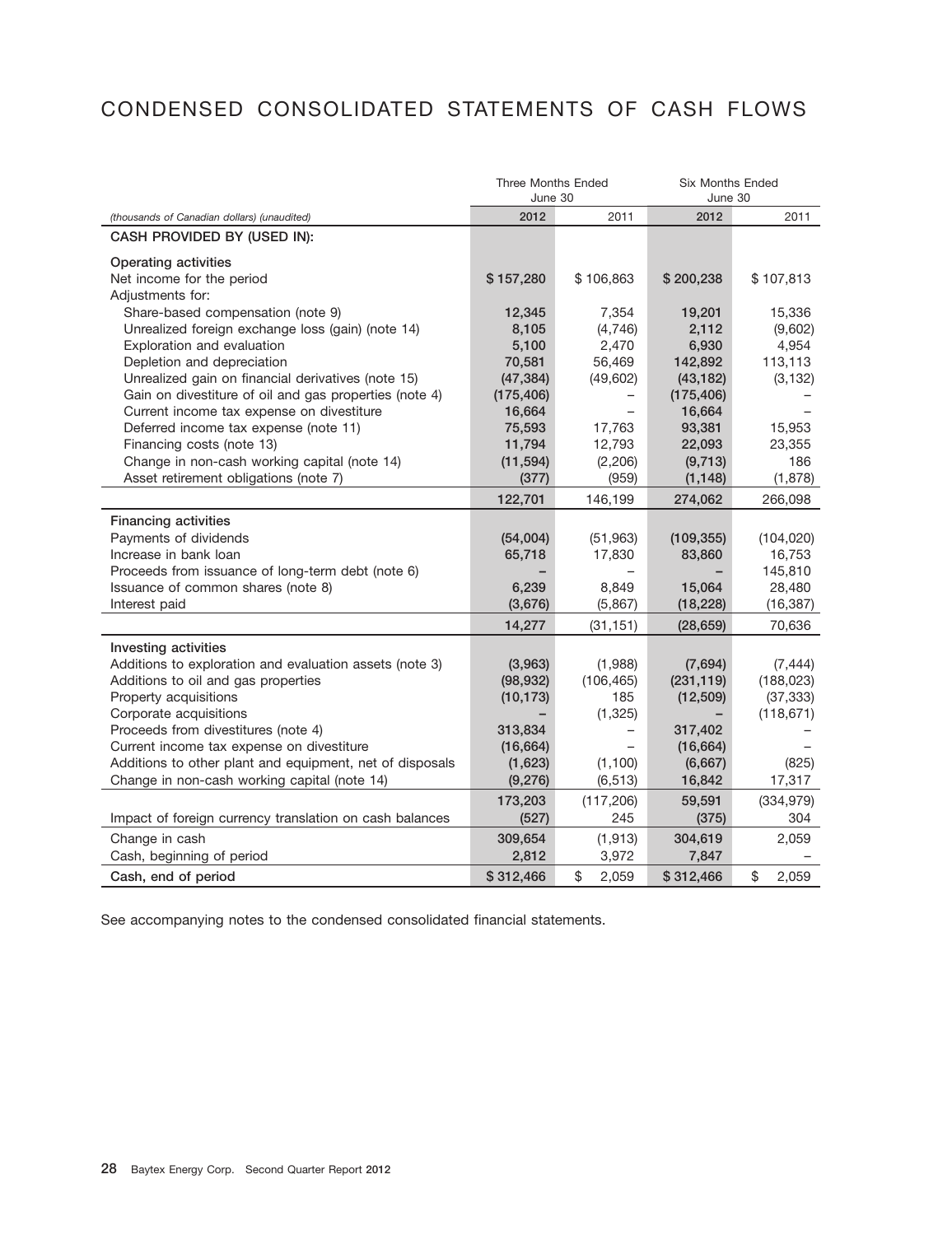# CONDENSED CONSOLIDATED STATEMENTS OF CASH FLOWS

|                                                                                       | <b>Three Months Ended</b><br>June 30 |                     | <b>Six Months Ended</b><br>June 30 |                      |
|---------------------------------------------------------------------------------------|--------------------------------------|---------------------|------------------------------------|----------------------|
| (thousands of Canadian dollars) (unaudited)                                           | 2012                                 | 2011                | 2012                               | 2011                 |
| CASH PROVIDED BY (USED IN):                                                           |                                      |                     |                                    |                      |
| <b>Operating activities</b><br>Net income for the period<br>Adjustments for:          | \$157,280                            | \$106,863           | \$200,238                          | \$107,813            |
| Share-based compensation (note 9)                                                     | 12,345                               | 7,354               | 19,201                             | 15,336               |
| Unrealized foreign exchange loss (gain) (note 14)                                     | 8,105                                | (4,746)             | 2,112                              | (9,602)              |
| Exploration and evaluation                                                            | 5,100                                | 2,470               | 6,930                              | 4,954                |
| Depletion and depreciation                                                            | 70,581                               | 56,469              | 142,892                            | 113,113              |
| Unrealized gain on financial derivatives (note 15)                                    | (47, 384)                            | (49, 602)           | (43, 182)                          | (3, 132)             |
| Gain on divestiture of oil and gas properties (note 4)                                | (175, 406)                           |                     | (175, 406)                         |                      |
| Current income tax expense on divestiture                                             | 16,664                               |                     | 16,664                             |                      |
| Deferred income tax expense (note 11)                                                 | 75,593                               | 17,763              | 93,381                             | 15,953               |
| Financing costs (note 13)                                                             | 11,794                               | 12,793              | 22,093                             | 23,355               |
| Change in non-cash working capital (note 14)<br>Asset retirement obligations (note 7) | (11, 594)<br>(377)                   | (2,206)<br>(959)    | (9,713)<br>(1, 148)                | 186<br>(1,878)       |
|                                                                                       | 122,701                              | 146,199             | 274,062                            | 266,098              |
|                                                                                       |                                      |                     |                                    |                      |
| <b>Financing activities</b>                                                           |                                      |                     |                                    |                      |
| Payments of dividends<br>Increase in bank loan                                        | (54,004)                             | (51, 963)<br>17,830 | (109, 355)                         | (104, 020)<br>16,753 |
| Proceeds from issuance of long-term debt (note 6)                                     | 65,718                               |                     | 83,860                             | 145,810              |
| Issuance of common shares (note 8)                                                    | 6,239                                | 8,849               | 15,064                             | 28,480               |
| Interest paid                                                                         | (3,676)                              | (5,867)             | (18, 228)                          | (16, 387)            |
|                                                                                       | 14,277                               | (31, 151)           | (28, 659)                          | 70,636               |
| Investing activities                                                                  |                                      |                     |                                    |                      |
| Additions to exploration and evaluation assets (note 3)                               | (3,963)                              | (1,988)             | (7,694)                            | (7, 444)             |
| Additions to oil and gas properties                                                   | (98, 932)                            | (106, 465)          | (231, 119)                         | (188, 023)           |
| Property acquisitions                                                                 | (10, 173)                            | 185                 | (12, 509)                          | (37, 333)            |
| Corporate acquisitions                                                                |                                      | (1,325)             |                                    | (118, 671)           |
| Proceeds from divestitures (note 4)                                                   | 313,834                              |                     | 317,402                            |                      |
| Current income tax expense on divestiture                                             | (16, 664)                            |                     | (16, 664)                          |                      |
| Additions to other plant and equipment, net of disposals                              | (1,623)                              | (1, 100)            | (6,667)                            | (825)                |
| Change in non-cash working capital (note 14)                                          | (9, 276)                             | (6, 513)            | 16,842                             | 17,317               |
|                                                                                       | 173,203                              | (117, 206)          | 59,591                             | (334, 979)           |
| Impact of foreign currency translation on cash balances                               | (527)                                | 245                 | (375)                              | 304                  |
| Change in cash                                                                        | 309,654                              | (1, 913)            | 304,619                            | 2,059                |
| Cash, beginning of period                                                             | 2,812                                | 3,972               | 7,847                              |                      |
| Cash, end of period                                                                   | \$312,466                            | \$<br>2.059         | \$312,466                          | \$<br>2,059          |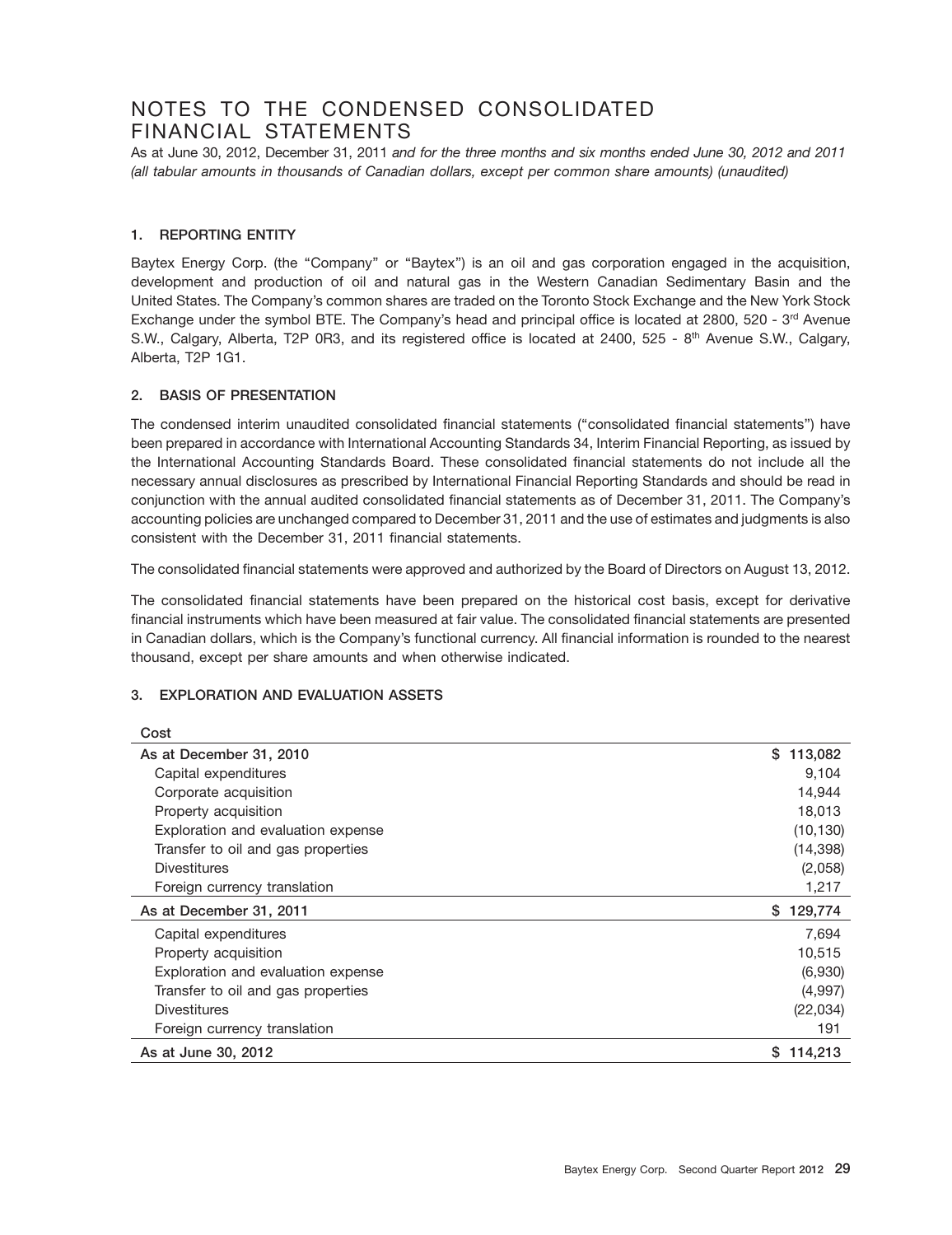### NOTES TO THE CONDENSED CONSOLIDATED FINANCIAL STATEMENTS

As at June 30, 2012, December 31, 2011 *and for the three months and six months ended June 30, 2012 and 2011 (all tabular amounts in thousands of Canadian dollars, except per common share amounts) (unaudited)*

### **1. REPORTING ENTITY**

Baytex Energy Corp. (the "Company" or "Baytex") is an oil and gas corporation engaged in the acquisition, development and production of oil and natural gas in the Western Canadian Sedimentary Basin and the United States. The Company's common shares are traded on the Toronto Stock Exchange and the New York Stock Exchange under the symbol BTE. The Company's head and principal office is located at 2800, 520 - 3rd Avenue S.W., Calgary, Alberta, T2P 0R3, and its registered office is located at 2400, 525 - 8<sup>th</sup> Avenue S.W., Calgary, Alberta, T2P 1G1.

### **2. BASIS OF PRESENTATION**

The condensed interim unaudited consolidated financial statements (''consolidated financial statements'') have been prepared in accordance with International Accounting Standards 34, Interim Financial Reporting, as issued by the International Accounting Standards Board. These consolidated financial statements do not include all the necessary annual disclosures as prescribed by International Financial Reporting Standards and should be read in conjunction with the annual audited consolidated financial statements as of December 31, 2011. The Company's accounting policies are unchanged compared to December 31, 2011 and the use of estimates and judgments is also consistent with the December 31, 2011 financial statements.

The consolidated financial statements were approved and authorized by the Board of Directors on August 13, 2012.

The consolidated financial statements have been prepared on the historical cost basis, except for derivative financial instruments which have been measured at fair value. The consolidated financial statements are presented in Canadian dollars, which is the Company's functional currency. All financial information is rounded to the nearest thousand, except per share amounts and when otherwise indicated.

### **3. EXPLORATION AND EVALUATION ASSETS**

| Cost                               |               |
|------------------------------------|---------------|
| As at December 31, 2010            | \$<br>113,082 |
| Capital expenditures               | 9,104         |
| Corporate acquisition              | 14,944        |
| Property acquisition               | 18,013        |
| Exploration and evaluation expense | (10, 130)     |
| Transfer to oil and gas properties | (14, 398)     |
| <b>Divestitures</b>                | (2,058)       |
| Foreign currency translation       | 1,217         |
|                                    |               |
| As at December 31, 2011            | S.<br>129,774 |
| Capital expenditures               | 7,694         |
| Property acquisition               | 10,515        |
| Exploration and evaluation expense | (6,930)       |
| Transfer to oil and gas properties | (4,997)       |
| <b>Divestitures</b>                | (22,034)      |
| Foreign currency translation       | 191           |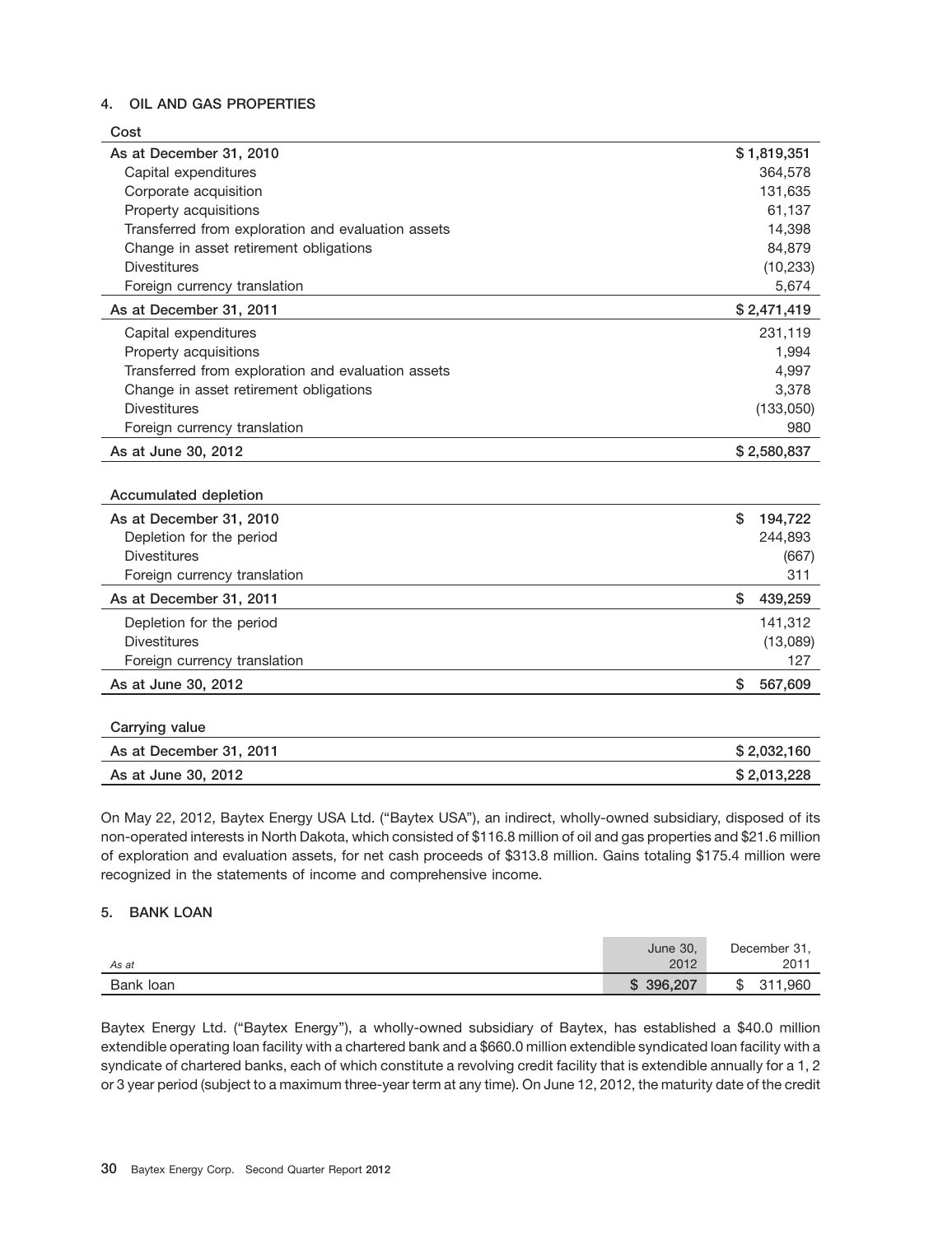### **4. OIL AND GAS PROPERTIES**

| Cost                                               |               |
|----------------------------------------------------|---------------|
| As at December 31, 2010                            | \$1,819,351   |
| Capital expenditures                               | 364,578       |
| Corporate acquisition                              | 131,635       |
| Property acquisitions                              | 61,137        |
| Transferred from exploration and evaluation assets | 14,398        |
| Change in asset retirement obligations             | 84,879        |
| <b>Divestitures</b>                                | (10, 233)     |
| Foreign currency translation                       | 5,674         |
| As at December 31, 2011                            | \$2,471,419   |
| Capital expenditures                               | 231,119       |
| Property acquisitions                              | 1,994         |
| Transferred from exploration and evaluation assets | 4,997         |
| Change in asset retirement obligations             | 3,378         |
| <b>Divestitures</b>                                | (133,050)     |
| Foreign currency translation                       | 980           |
| As at June 30, 2012                                | \$2,580,837   |
|                                                    |               |
| Accumulated depletion                              |               |
| As at December 31, 2010                            | \$<br>194,722 |
| Depletion for the period                           | 244,893       |
| <b>Divestitures</b>                                | (667)         |
| Foreign currency translation                       | 311           |
| As at December 31, 2011                            | \$<br>439,259 |
| Depletion for the period                           | 141,312       |
| <b>Divestitures</b>                                | (13,089)      |
| Foreign currency translation                       | 127           |
| As at June 30, 2012                                | \$<br>567,609 |
|                                                    |               |
| Carrying value                                     |               |
| As at December 31, 2011                            | \$2,032,160   |
| As at June 30, 2012                                | \$2,013,228   |

On May 22, 2012, Baytex Energy USA Ltd. (''Baytex USA''), an indirect, wholly-owned subsidiary, disposed of its non-operated interests in North Dakota, which consisted of \$116.8 million of oil and gas properties and \$21.6 million of exploration and evaluation assets, for net cash proceeds of \$313.8 million. Gains totaling \$175.4 million were recognized in the statements of income and comprehensive income.

### **5. BANK LOAN**

| As at     | June 30,<br>2012 | December 31,<br>2011 |
|-----------|------------------|----------------------|
| Bank loan | 396,207<br>S     | 311,960<br>ა         |

Baytex Energy Ltd. (''Baytex Energy''), a wholly-owned subsidiary of Baytex, has established a \$40.0 million extendible operating loan facility with a chartered bank and a \$660.0 million extendible syndicated loan facility with a syndicate of chartered banks, each of which constitute a revolving credit facility that is extendible annually for a 1, 2 or 3 year period (subject to a maximum three-year term at any time). On June 12, 2012, the maturity date of the credit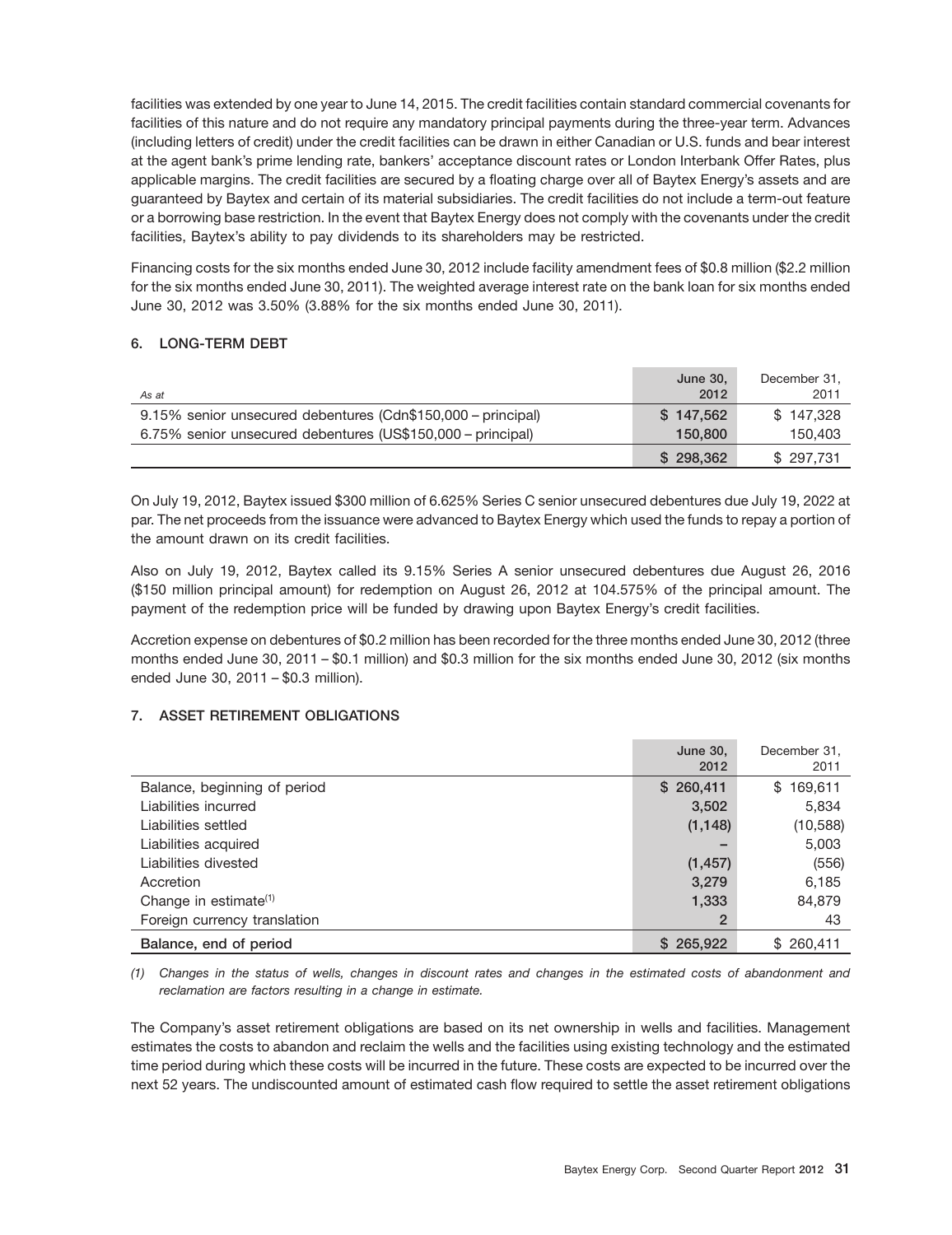facilities was extended by one year to June 14, 2015. The credit facilities contain standard commercial covenants for facilities of this nature and do not require any mandatory principal payments during the three-year term. Advances (including letters of credit) under the credit facilities can be drawn in either Canadian or U.S. funds and bear interest at the agent bank's prime lending rate, bankers' acceptance discount rates or London Interbank Offer Rates, plus applicable margins. The credit facilities are secured by a floating charge over all of Baytex Energy's assets and are guaranteed by Baytex and certain of its material subsidiaries. The credit facilities do not include a term-out feature or a borrowing base restriction. In the event that Baytex Energy does not comply with the covenants under the credit facilities, Baytex's ability to pay dividends to its shareholders may be restricted.

Financing costs for the six months ended June 30, 2012 include facility amendment fees of \$0.8 million (\$2.2 million for the six months ended June 30, 2011). The weighted average interest rate on the bank loan for six months ended June 30, 2012 was 3.50% (3.88% for the six months ended June 30, 2011).

### **6. LONG-TERM DEBT**

| As at                                                        | <b>June 30.</b><br>2012 | December 31,<br>2011 |
|--------------------------------------------------------------|-------------------------|----------------------|
| 9.15% senior unsecured debentures (Cdn\$150,000 - principal) | \$147.562               | \$147.328            |
| 6.75% senior unsecured debentures (US\$150,000 - principal)  | 150,800                 | 150,403              |
|                                                              | \$298.362               | \$297.731            |

On July 19, 2012, Baytex issued \$300 million of 6.625% Series C senior unsecured debentures due July 19, 2022 at par. The net proceeds from the issuance were advanced to Baytex Energy which used the funds to repay a portion of the amount drawn on its credit facilities.

Also on July 19, 2012, Baytex called its 9.15% Series A senior unsecured debentures due August 26, 2016 (\$150 million principal amount) for redemption on August 26, 2012 at 104.575% of the principal amount. The payment of the redemption price will be funded by drawing upon Baytex Energy's credit facilities.

Accretion expense on debentures of \$0.2 million has been recorded for the three months ended June 30, 2012 (three months ended June 30, 2011 – \$0.1 million) and \$0.3 million for the six months ended June 30, 2012 (six months ended June 30, 2011 – \$0.3 million).

### **7. ASSET RETIREMENT OBLIGATIONS**

|                              | <b>June 30,</b> | December 31. |
|------------------------------|-----------------|--------------|
|                              | 2012            | 2011         |
| Balance, beginning of period | \$260,411       | \$169,611    |
| Liabilities incurred         | 3,502           | 5,834        |
| Liabilities settled          | (1, 148)        | (10, 588)    |
| Liabilities acquired         |                 | 5,003        |
| Liabilities divested         | (1, 457)        | (556)        |
| Accretion                    | 3,279           | 6,185        |
| Change in estimate $(1)$     | 1,333           | 84,879       |
| Foreign currency translation | 2               | 43           |
| Balance, end of period       | \$265,922       | \$260,411    |

*(1) Changes in the status of wells, changes in discount rates and changes in the estimated costs of abandonment and reclamation are factors resulting in a change in estimate.*

The Company's asset retirement obligations are based on its net ownership in wells and facilities. Management estimates the costs to abandon and reclaim the wells and the facilities using existing technology and the estimated time period during which these costs will be incurred in the future. These costs are expected to be incurred over the next 52 years. The undiscounted amount of estimated cash flow required to settle the asset retirement obligations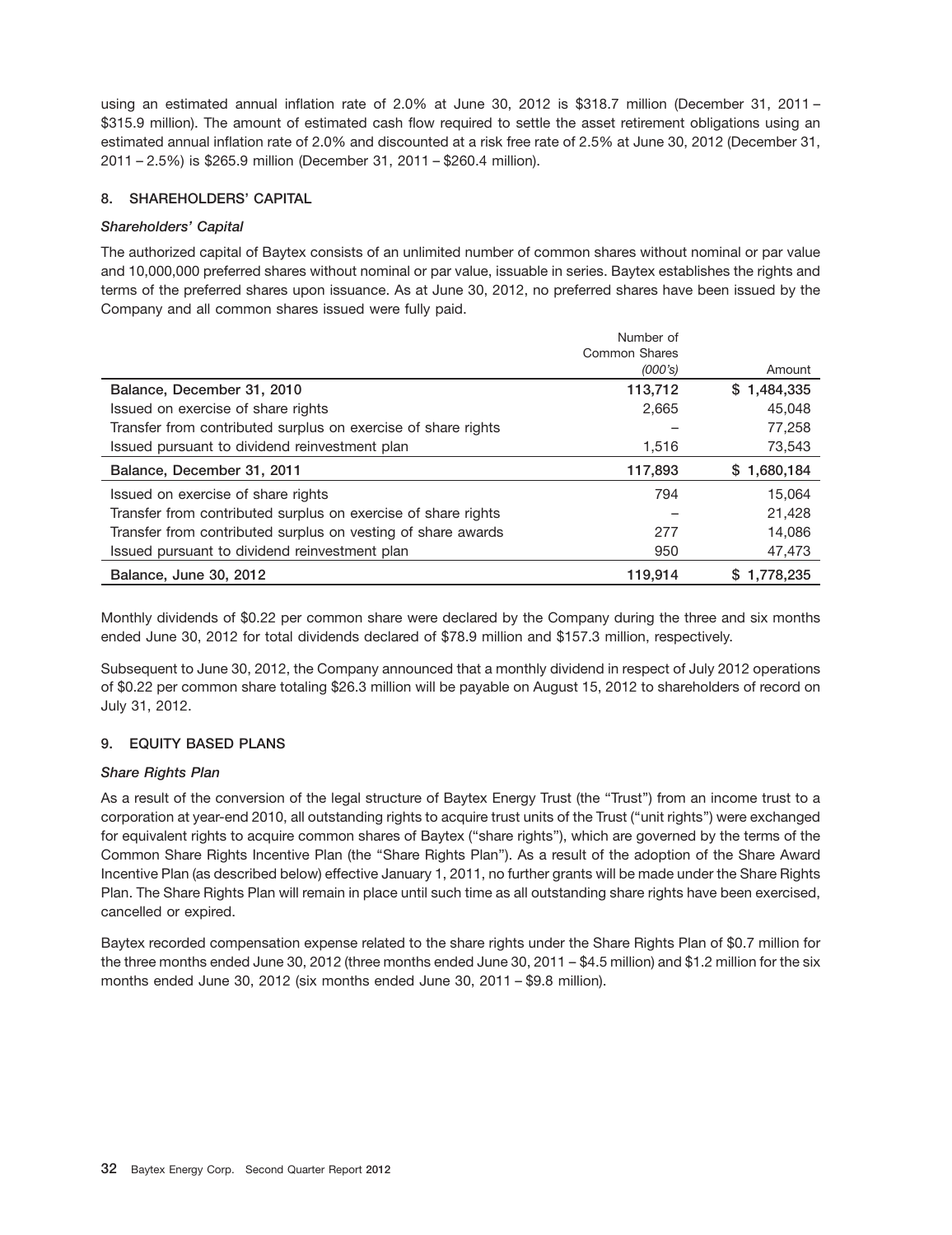using an estimated annual inflation rate of 2.0% at June 30, 2012 is \$318.7 million (December 31, 2011 – \$315.9 million). The amount of estimated cash flow required to settle the asset retirement obligations using an estimated annual inflation rate of 2.0% and discounted at a risk free rate of 2.5% at June 30, 2012 (December 31, 2011 – 2.5%) is \$265.9 million (December 31, 2011 – \$260.4 million).

### **8. SHAREHOLDERS' CAPITAL**

### *Shareholders' Capital*

The authorized capital of Baytex consists of an unlimited number of common shares without nominal or par value and 10,000,000 preferred shares without nominal or par value, issuable in series. Baytex establishes the rights and terms of the preferred shares upon issuance. As at June 30, 2012, no preferred shares have been issued by the Company and all common shares issued were fully paid.

|                                                               | Number of<br>Common Shares |             |
|---------------------------------------------------------------|----------------------------|-------------|
|                                                               | (000's)                    | Amount      |
| Balance, December 31, 2010                                    | 113,712                    | \$1,484,335 |
| Issued on exercise of share rights                            | 2,665                      | 45,048      |
| Transfer from contributed surplus on exercise of share rights |                            | 77,258      |
| Issued pursuant to dividend reinvestment plan                 | 1,516                      | 73,543      |
| Balance, December 31, 2011                                    | 117,893                    | \$1,680,184 |
| Issued on exercise of share rights                            | 794                        | 15.064      |
| Transfer from contributed surplus on exercise of share rights |                            | 21,428      |
| Transfer from contributed surplus on vesting of share awards  | 277                        | 14,086      |
| Issued pursuant to dividend reinvestment plan                 | 950                        | 47,473      |
| Balance, June 30, 2012                                        | 119,914                    | \$1.778.235 |

Monthly dividends of \$0.22 per common share were declared by the Company during the three and six months ended June 30, 2012 for total dividends declared of \$78.9 million and \$157.3 million, respectively.

Subsequent to June 30, 2012, the Company announced that a monthly dividend in respect of July 2012 operations of \$0.22 per common share totaling \$26.3 million will be payable on August 15, 2012 to shareholders of record on July 31, 2012.

### **9. EQUITY BASED PLANS**

### *Share Rights Plan*

As a result of the conversion of the legal structure of Baytex Energy Trust (the ''Trust'') from an income trust to a corporation at year-end 2010, all outstanding rights to acquire trust units of the Trust (''unit rights'') were exchanged for equivalent rights to acquire common shares of Baytex (''share rights''), which are governed by the terms of the Common Share Rights Incentive Plan (the ''Share Rights Plan''). As a result of the adoption of the Share Award Incentive Plan (as described below) effective January 1, 2011, no further grants will be made under the Share Rights Plan. The Share Rights Plan will remain in place until such time as all outstanding share rights have been exercised, cancelled or expired.

Baytex recorded compensation expense related to the share rights under the Share Rights Plan of \$0.7 million for the three months ended June 30, 2012 (three months ended June 30, 2011 – \$4.5 million) and \$1.2 million for the six months ended June 30, 2012 (six months ended June 30, 2011 – \$9.8 million).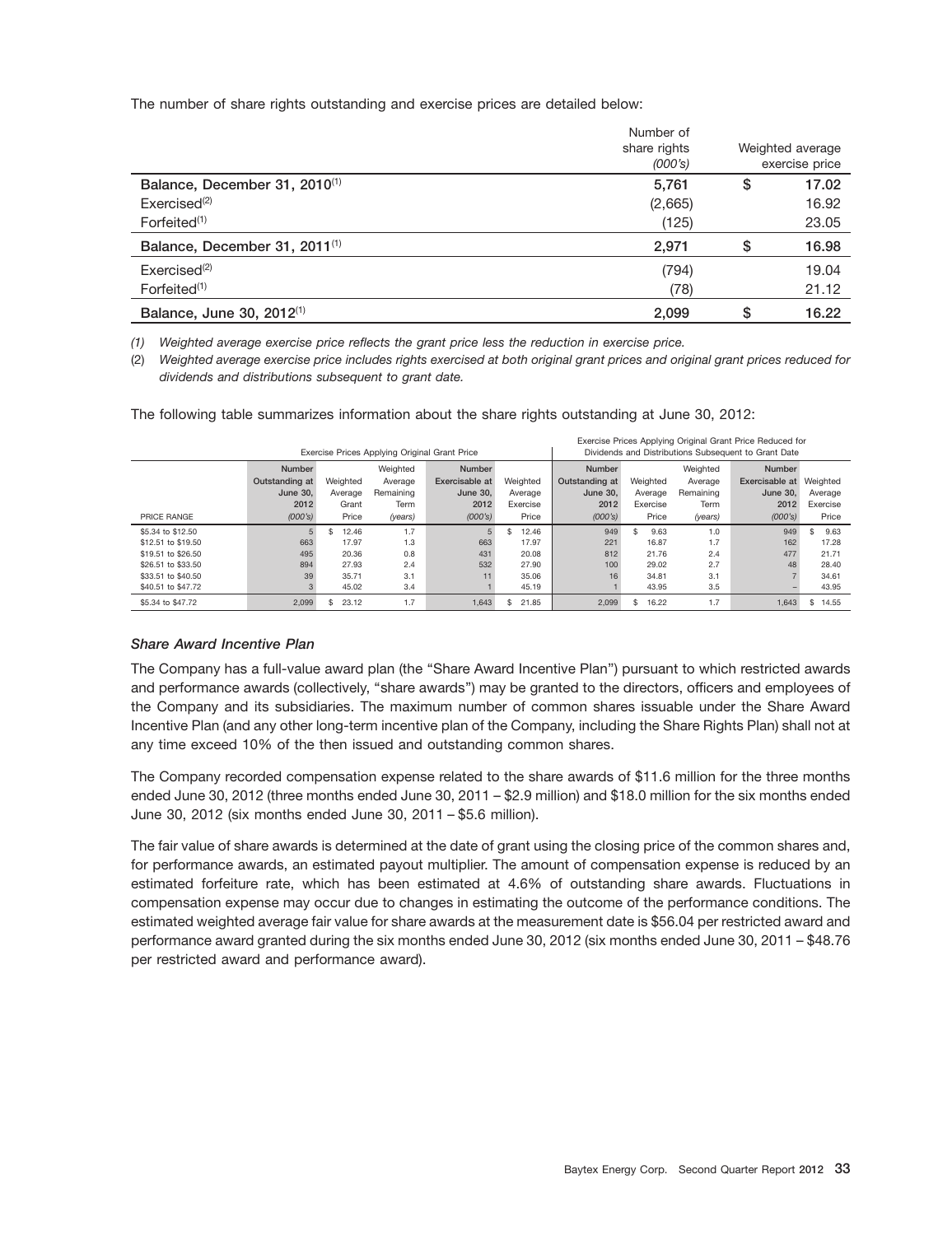The number of share rights outstanding and exercise prices are detailed below:

|                                           | Number of    |                  |
|-------------------------------------------|--------------|------------------|
|                                           | share rights | Weighted average |
|                                           | (000's)      | exercise price   |
| Balance, December 31, 2010 <sup>(1)</sup> | 5,761        | \$<br>17.02      |
| Exercise d <sup>(2)</sup>                 | (2,665)      | 16.92            |
| Forfeited $(1)$                           | (125)        | 23.05            |
| Balance, December 31, 2011 <sup>(1)</sup> | 2,971        | \$<br>16.98      |
| Exercise d <sup>(2)</sup>                 | (794)        | 19.04            |
| Forfeited $(1)$                           | (78)         | 21.12            |
| Balance, June 30, 2012 <sup>(1)</sup>     | 2.099        | \$<br>16.22      |

*(1) Weighted average exercise price reflects the grant price less the reduction in exercise price.*

(2) *Weighted average exercise price includes rights exercised at both original grant prices and original grant prices reduced for dividends and distributions subsequent to grant date.*

The following table summarizes information about the share rights outstanding at June 30, 2012:

| Exercise Prices Applying Original Grant Price Reduced for |                |             |                                               |                |             |                 |              |           |                                                      |             |
|-----------------------------------------------------------|----------------|-------------|-----------------------------------------------|----------------|-------------|-----------------|--------------|-----------|------------------------------------------------------|-------------|
|                                                           |                |             | Exercise Prices Applying Original Grant Price |                |             |                 |              |           | Dividends and Distributions Subsequent to Grant Date |             |
|                                                           | <b>Number</b>  |             | Weighted                                      | <b>Number</b>  |             | Number          |              | Weighted  | <b>Number</b>                                        |             |
|                                                           | Outstanding at | Weighted    | Average                                       | Exercisable at | Weighted    | Outstanding at  | Weighted     | Average   | <b>Exercisable at Weighted</b>                       |             |
|                                                           | June 30.       | Average     | Remaining                                     | June 30.       | Average     | <b>June 30.</b> | Average      | Remaining | June 30.                                             | Average     |
|                                                           | 2012           | Grant       | Term                                          | 2012           | Exercise    | 2012            | Exercise     | Term      | 2012                                                 | Exercise    |
| PRICE RANGE                                               | (000's)        | Price       | (years)                                       | (000's)        | Price       | (000's)         | Price        | (years)   | (000's)                                              | Price       |
| \$5.34 to \$12.50                                         | 5              | 12.46<br>Ŝ. | 1.7                                           | 5              | \$<br>12.46 | 949             | 9.63<br>\$.  | 1.0       | 949                                                  | 9.63<br>\$. |
| \$12.51 to \$19.50                                        | 663            | 17.97       | 1.3                                           | 663            | 17.97       | 221             | 16.87        | 1.7       | 162                                                  | 17.28       |
| \$19.51 to \$26.50                                        | 495            | 20.36       | 0.8                                           | 431            | 20.08       | 812             | 21.76        | 2.4       | 477                                                  | 21.71       |
| \$26.51 to \$33.50                                        | 894            | 27.93       | 2.4                                           | 532            | 27.90       | 100             | 29.02        | 2.7       | 48                                                   | 28.40       |
| \$33.51 to \$40.50                                        | 39             | 35.71       | 3.1                                           |                | 35.06       | 16              | 34.81        | 3.1       |                                                      | 34.61       |
| \$40.51 to \$47.72                                        | 3              | 45.02       | 3.4                                           |                | 45.19       |                 | 43.95        | 3.5       |                                                      | 43.95       |
| \$5,34 to \$47.72                                         | 2.099          | 23.12       | 1.7                                           | 1.643          | \$<br>21.85 | 2.099           | \$.<br>16.22 | 1.7       | 1.643                                                | \$<br>14.55 |

### *Share Award Incentive Plan*

The Company has a full-value award plan (the ''Share Award Incentive Plan'') pursuant to which restricted awards and performance awards (collectively, ''share awards'') may be granted to the directors, officers and employees of the Company and its subsidiaries. The maximum number of common shares issuable under the Share Award Incentive Plan (and any other long-term incentive plan of the Company, including the Share Rights Plan) shall not at any time exceed 10% of the then issued and outstanding common shares.

The Company recorded compensation expense related to the share awards of \$11.6 million for the three months ended June 30, 2012 (three months ended June 30, 2011 – \$2.9 million) and \$18.0 million for the six months ended June 30, 2012 (six months ended June 30, 2011 – \$5.6 million).

The fair value of share awards is determined at the date of grant using the closing price of the common shares and, for performance awards, an estimated payout multiplier. The amount of compensation expense is reduced by an estimated forfeiture rate, which has been estimated at 4.6% of outstanding share awards. Fluctuations in compensation expense may occur due to changes in estimating the outcome of the performance conditions. The estimated weighted average fair value for share awards at the measurement date is \$56.04 per restricted award and performance award granted during the six months ended June 30, 2012 (six months ended June 30, 2011 – \$48.76 per restricted award and performance award).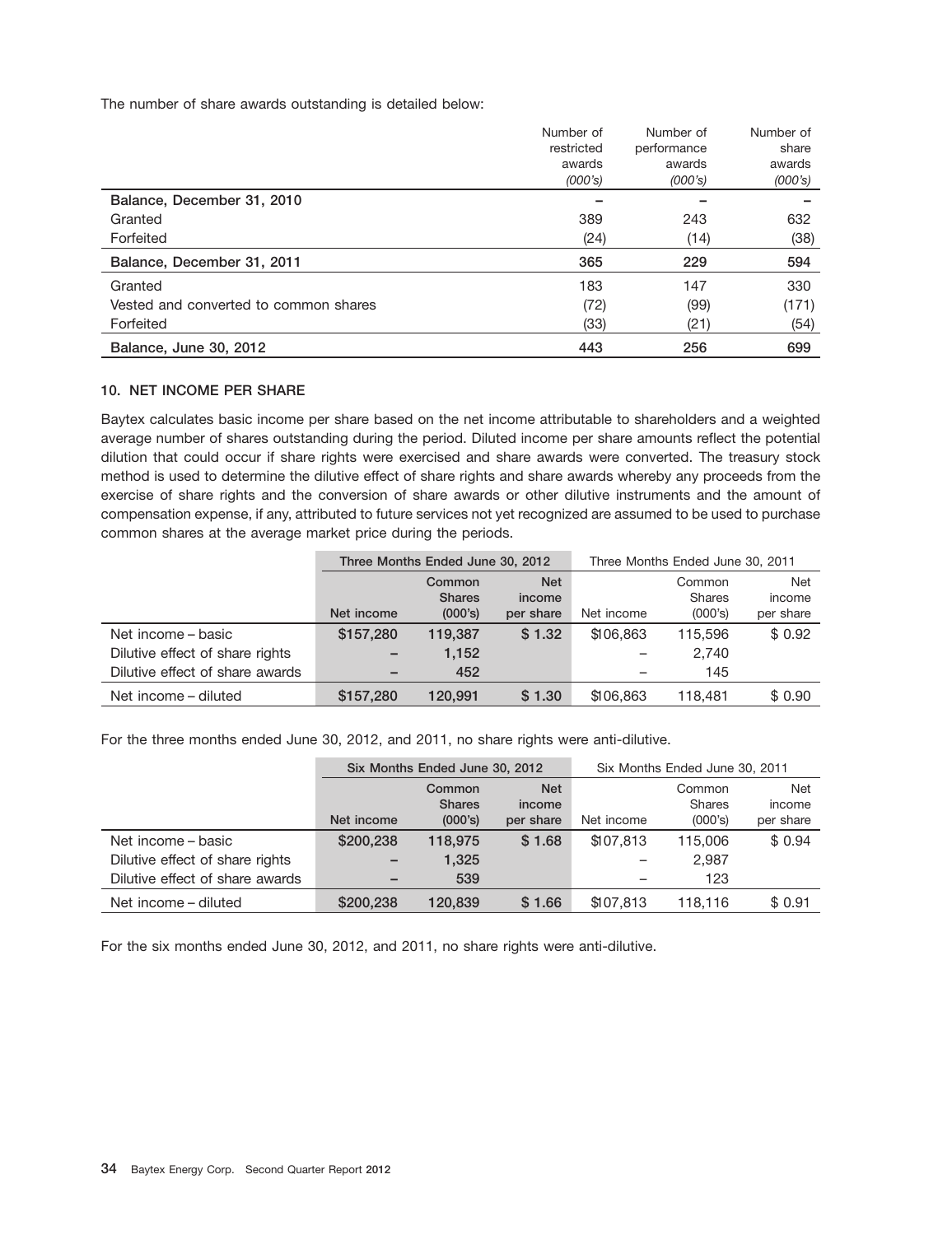The number of share awards outstanding is detailed below:

|                                       | Number of  | Number of   | Number of |
|---------------------------------------|------------|-------------|-----------|
|                                       | restricted | performance | share     |
|                                       | awards     | awards      | awards    |
|                                       | (000's)    | (000's)     | (000's)   |
| Balance, December 31, 2010            |            |             |           |
| Granted                               | 389        | 243         | 632       |
| Forfeited                             | (24)       | (14)        | (38)      |
| Balance, December 31, 2011            | 365        | 229         | 594       |
| Granted                               | 183        | 147         | 330       |
| Vested and converted to common shares | (72)       | (99)        | (171)     |
| Forfeited                             | (33)       | (21)        | (54)      |
| Balance, June 30, 2012                | 443        | 256         | 699       |

#### **10. NET INCOME PER SHARE**

Baytex calculates basic income per share based on the net income attributable to shareholders and a weighted average number of shares outstanding during the period. Diluted income per share amounts reflect the potential dilution that could occur if share rights were exercised and share awards were converted. The treasury stock method is used to determine the dilutive effect of share rights and share awards whereby any proceeds from the exercise of share rights and the conversion of share awards or other dilutive instruments and the amount of compensation expense, if any, attributed to future services not yet recognized are assumed to be used to purchase common shares at the average market price during the periods.

|                                 | Three Months Ended June 30, 2012 |               |           | Three Months Ended June 30, 2011 |            |           |
|---------------------------------|----------------------------------|---------------|-----------|----------------------------------|------------|-----------|
|                                 | <b>Net</b><br>Common             |               |           | Common                           | <b>Net</b> |           |
|                                 |                                  | <b>Shares</b> | income    |                                  | Shares     | income    |
|                                 | Net income                       | (000's)       | per share | Net income                       | (000's)    | per share |
| Net income – basic              | \$157.280                        | 119.387       | \$1.32    | \$106,863                        | 115,596    | \$0.92    |
| Dilutive effect of share rights | $\qquad \qquad -$                | 1,152         |           | -                                | 2.740      |           |
| Dilutive effect of share awards | -                                | 452           |           |                                  | 145        |           |
| Net income – diluted            | \$157,280                        | 120.991       | \$1.30    | \$106,863                        | 118,481    | \$0.90    |

For the three months ended June 30, 2012, and 2011, no share rights were anti-dilutive.

|                                 | Six Months Ended June 30, 2012 |               |           | Six Months Ended June 30, 2011 |               |           |
|---------------------------------|--------------------------------|---------------|-----------|--------------------------------|---------------|-----------|
|                                 | <b>Net</b><br>Common           |               |           | Common                         | <b>Net</b>    |           |
|                                 |                                | <b>Shares</b> | income    |                                | <b>Shares</b> | income    |
|                                 | Net income                     | (000's)       | per share | Net income                     | (000's)       | per share |
| Net income – basic              | \$200.238                      | 118,975       | \$1.68    | \$107.813                      | 115,006       | \$0.94    |
| Dilutive effect of share rights | $\overline{\phantom{0}}$       | 1,325         |           |                                | 2.987         |           |
| Dilutive effect of share awards | -                              | 539           |           | -                              | 123           |           |
| Net income – diluted            | \$200,238                      | 120.839       | \$1.66    | \$107.813                      | 118.116       | \$0.91    |

For the six months ended June 30, 2012, and 2011, no share rights were anti-dilutive.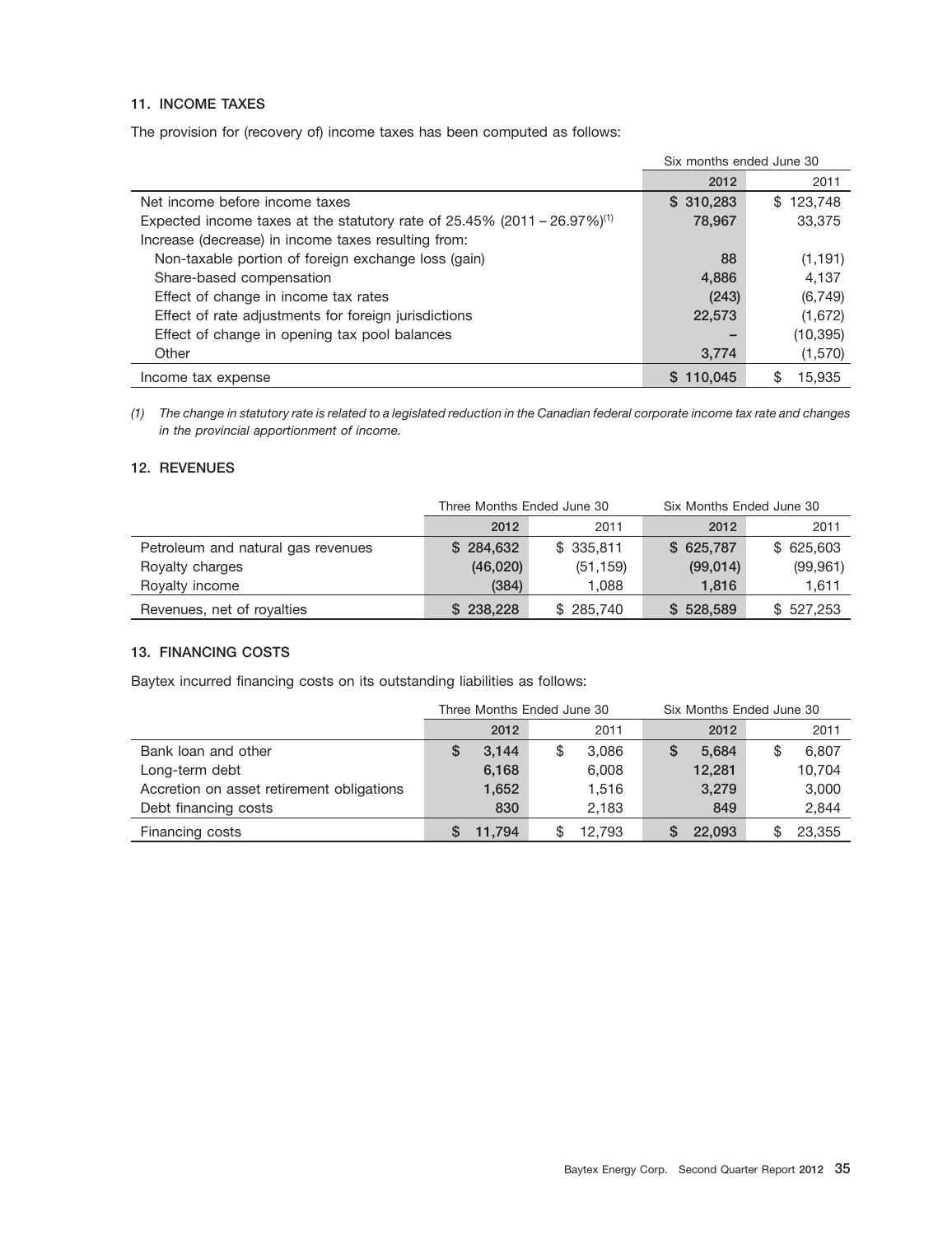### **11. INCOME TAXES**

The provision for (recovery of) income taxes has been computed as follows:

|                                                                                         | Six months ended June 30 |           |
|-----------------------------------------------------------------------------------------|--------------------------|-----------|
|                                                                                         | 2012                     | 2011      |
| Net income before income taxes                                                          | \$310,283                | \$123,748 |
| Expected income taxes at the statutory rate of $25.45\%$ (2011 – 26.97%) <sup>(1)</sup> | 78,967                   | 33,375    |
| Increase (decrease) in income taxes resulting from:                                     |                          |           |
| Non-taxable portion of foreign exchange loss (gain)                                     | 88                       | (1, 191)  |
| Share-based compensation                                                                | 4,886                    | 4,137     |
| Effect of change in income tax rates                                                    | (243)                    | (6, 749)  |
| Effect of rate adjustments for foreign jurisdictions                                    | 22,573                   | (1,672)   |
| Effect of change in opening tax pool balances                                           |                          | (10, 395) |
| Other                                                                                   | 3,774                    | (1,570)   |
| Income tax expense                                                                      | \$110,045                | 15.935    |

*(1) The change in statutory rate is related to a legislated reduction in the Canadian federal corporate income tax rate and changes in the provincial apportionment of income.*

### **12. REVENUES**

|                                    | Three Months Ended June 30 |           | Six Months Ended June 30 |           |  |
|------------------------------------|----------------------------|-----------|--------------------------|-----------|--|
|                                    | 2012                       | 2011      | 2012                     | 2011      |  |
| Petroleum and natural gas revenues | \$284,632                  | \$335,811 | \$625,787                | \$625,603 |  |
| Royalty charges                    | (46,020)                   | (51, 159) | (99,014)                 | (99, 961) |  |
| Royalty income                     | (384)                      | 1.088     | 1.816                    | 1,611     |  |
| Revenues, net of royalties         | \$238,228                  | \$285,740 | \$528,589                | \$527,253 |  |

### **13. FINANCING COSTS**

Baytex incurred financing costs on its outstanding liabilities as follows:

|                                           | Three Months Ended June 30 |             | Six Months Ended June 30 |        |  |  |
|-------------------------------------------|----------------------------|-------------|--------------------------|--------|--|--|
|                                           | 2012                       | 2011        | 2012                     | 2011   |  |  |
| Bank loan and other                       | 3.144<br>S                 | 3,086<br>\$ | 5.684<br>S               | 6,807  |  |  |
| Long-term debt                            | 6,168                      | 6,008       | 12,281                   | 10,704 |  |  |
| Accretion on asset retirement obligations | 1,652                      | 1,516       | 3,279                    | 3,000  |  |  |
| Debt financing costs                      | 830                        | 2.183       | 849                      | 2,844  |  |  |
| Financing costs                           | 11.794                     | 12.793      | 22,093                   | 23,355 |  |  |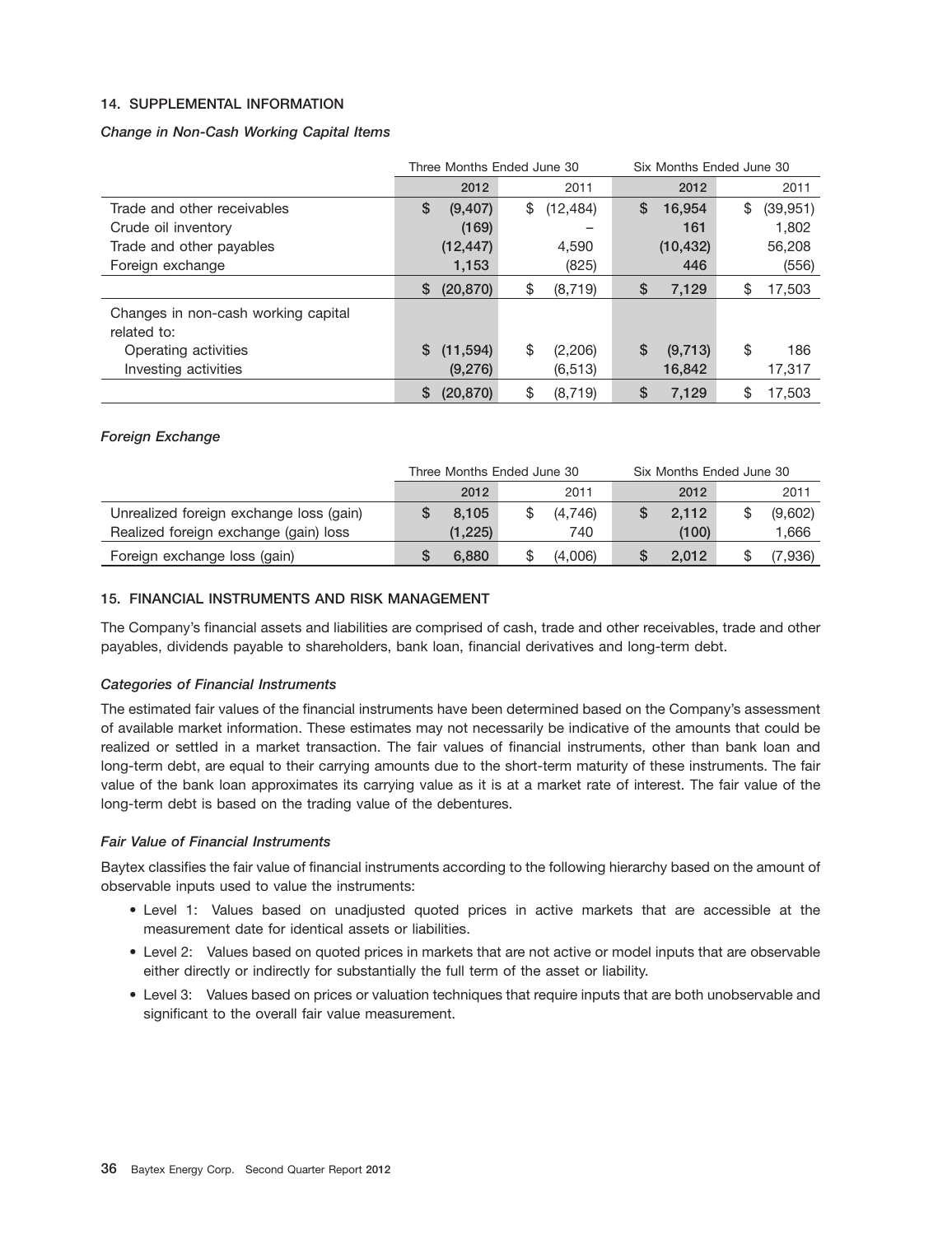### **14. SUPPLEMENTAL INFORMATION**

### *Change in Non-Cash Working Capital Items*

|                                     | Three Months Ended June 30 |           |    | Six Months Ended June 30 |    |           |    |           |
|-------------------------------------|----------------------------|-----------|----|--------------------------|----|-----------|----|-----------|
|                                     |                            | 2012      |    | 2011                     |    | 2012      |    | 2011      |
| Trade and other receivables         | \$                         | (9,407)   | \$ | (12, 484)                | S  | 16,954    | \$ | (39, 951) |
| Crude oil inventory                 |                            | (169)     |    |                          |    | 161       |    | 1.802     |
| Trade and other payables            |                            | (12, 447) |    | 4,590                    |    | (10, 432) |    | 56,208    |
| Foreign exchange                    |                            | 1,153     |    | (825)                    |    | 446       |    | (556)     |
|                                     | \$                         | (20, 870) | \$ | (8, 719)                 | \$ | 7,129     | \$ | 17,503    |
| Changes in non-cash working capital |                            |           |    |                          |    |           |    |           |
| related to:                         |                            |           |    |                          |    |           |    |           |
| Operating activities                | S                          | (11, 594) | \$ | (2,206)                  | \$ | (9, 713)  | \$ | 186       |
| Investing activities                |                            | (9,276)   |    | (6, 513)                 |    | 16,842    |    | 17,317    |
|                                     | \$                         | (20, 870) | \$ | (8, 719)                 | \$ | 7,129     | \$ | 17.503    |

### *Foreign Exchange*

|                                         | Three Months Ended June 30 |         |  | Six Months Ended June 30 |  |       |  |         |
|-----------------------------------------|----------------------------|---------|--|--------------------------|--|-------|--|---------|
|                                         |                            | 2012    |  | 2011                     |  | 2012  |  | 2011    |
| Unrealized foreign exchange loss (gain) |                            | 8.105   |  | (4,746)                  |  | 2,112 |  | (9,602) |
| Realized foreign exchange (gain) loss   |                            | (1,225) |  | 740                      |  | (100) |  | 1,666   |
| Foreign exchange loss (gain)            |                            | 6.880   |  | (4.006)                  |  | 2.012 |  | (7,936  |

### **15. FINANCIAL INSTRUMENTS AND RISK MANAGEMENT**

The Company's financial assets and liabilities are comprised of cash, trade and other receivables, trade and other payables, dividends payable to shareholders, bank loan, financial derivatives and long-term debt.

### *Categories of Financial Instruments*

The estimated fair values of the financial instruments have been determined based on the Company's assessment of available market information. These estimates may not necessarily be indicative of the amounts that could be realized or settled in a market transaction. The fair values of financial instruments, other than bank loan and long-term debt, are equal to their carrying amounts due to the short-term maturity of these instruments. The fair value of the bank loan approximates its carrying value as it is at a market rate of interest. The fair value of the long-term debt is based on the trading value of the debentures.

### *Fair Value of Financial Instruments*

Baytex classifies the fair value of financial instruments according to the following hierarchy based on the amount of observable inputs used to value the instruments:

- Level 1: Values based on unadjusted quoted prices in active markets that are accessible at the measurement date for identical assets or liabilities.
- Level 2: Values based on quoted prices in markets that are not active or model inputs that are observable either directly or indirectly for substantially the full term of the asset or liability.
- Level 3: Values based on prices or valuation techniques that require inputs that are both unobservable and significant to the overall fair value measurement.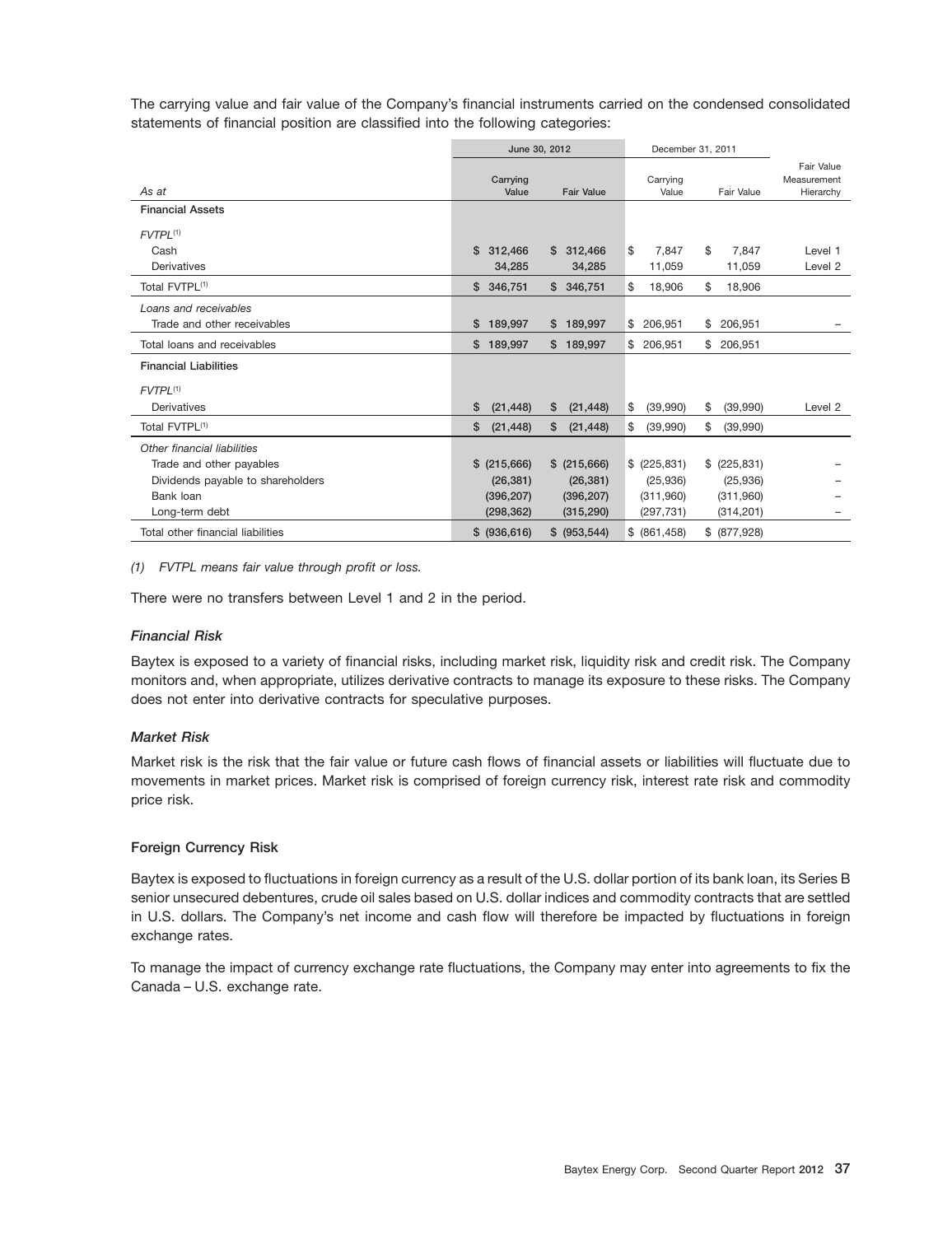The carrying value and fair value of the Company's financial instruments carried on the condensed consolidated statements of financial position are classified into the following categories:

|                                   |                   | June 30, 2012     | December 31, 2011 |                |                                        |
|-----------------------------------|-------------------|-------------------|-------------------|----------------|----------------------------------------|
| As at                             | Carrying<br>Value | <b>Fair Value</b> | Carrying<br>Value | Fair Value     | Fair Value<br>Measurement<br>Hierarchy |
| <b>Financial Assets</b>           |                   |                   |                   |                |                                        |
| $FVTPL^{(1)}$                     |                   |                   |                   |                |                                        |
| Cash                              | \$.<br>312,466    | \$312,466         | \$<br>7.847       | \$<br>7.847    | Level 1                                |
| Derivatives                       | 34,285            | 34,285            | 11,059            | 11,059         | Level 2                                |
| Total FVTPL <sup>(1)</sup>        | \$346,751         | \$346,751         | \$<br>18,906      | \$<br>18,906   |                                        |
| Loans and receivables             |                   |                   |                   |                |                                        |
| Trade and other receivables       | 189,997<br>\$     | \$189,997         | \$206,951         | \$206,951      |                                        |
| Total loans and receivables       | 189,997<br>\$     | \$189,997         | \$ 206.951        | \$ 206.951     |                                        |
| <b>Financial Liabilities</b>      |                   |                   |                   |                |                                        |
| $FVTPL^{(1)}$                     |                   |                   |                   |                |                                        |
| Derivatives                       | (21, 448)<br>S    | (21, 448)<br>\$   | \$<br>(39,990)    | \$<br>(39,990) | Level 2                                |
| Total FVTPL <sup>(1)</sup>        | \$<br>(21, 448)   | \$<br>(21, 448)   | \$<br>(39,990)    | \$<br>(39,990) |                                        |
| Other financial liabilities       |                   |                   |                   |                |                                        |
| Trade and other payables          | \$ (215,666)      | \$ (215,666)      | \$ (225,831)      | \$ (225,831)   |                                        |
| Dividends payable to shareholders | (26, 381)         | (26, 381)         | (25,936)          | (25,936)       |                                        |
| Bank loan                         | (396, 207)        | (396, 207)        | (311,960)         | (311,960)      |                                        |
| Long-term debt                    | (298, 362)        | (315, 290)        | (297, 731)        | (314, 201)     |                                        |
| Total other financial liabilities | \$ (936, 616)     | \$ (953, 544)     | \$ (861, 458)     | \$ (877,928)   |                                        |

#### *(1) FVTPL means fair value through profit or loss.*

There were no transfers between Level 1 and 2 in the period.

### *Financial Risk*

Baytex is exposed to a variety of financial risks, including market risk, liquidity risk and credit risk. The Company monitors and, when appropriate, utilizes derivative contracts to manage its exposure to these risks. The Company does not enter into derivative contracts for speculative purposes.

### *Market Risk*

Market risk is the risk that the fair value or future cash flows of financial assets or liabilities will fluctuate due to movements in market prices. Market risk is comprised of foreign currency risk, interest rate risk and commodity price risk.

### **Foreign Currency Risk**

Baytex is exposed to fluctuations in foreign currency as a result of the U.S. dollar portion of its bank loan, its Series B senior unsecured debentures, crude oil sales based on U.S. dollar indices and commodity contracts that are settled in U.S. dollars. The Company's net income and cash flow will therefore be impacted by fluctuations in foreign exchange rates.

To manage the impact of currency exchange rate fluctuations, the Company may enter into agreements to fix the Canada – U.S. exchange rate.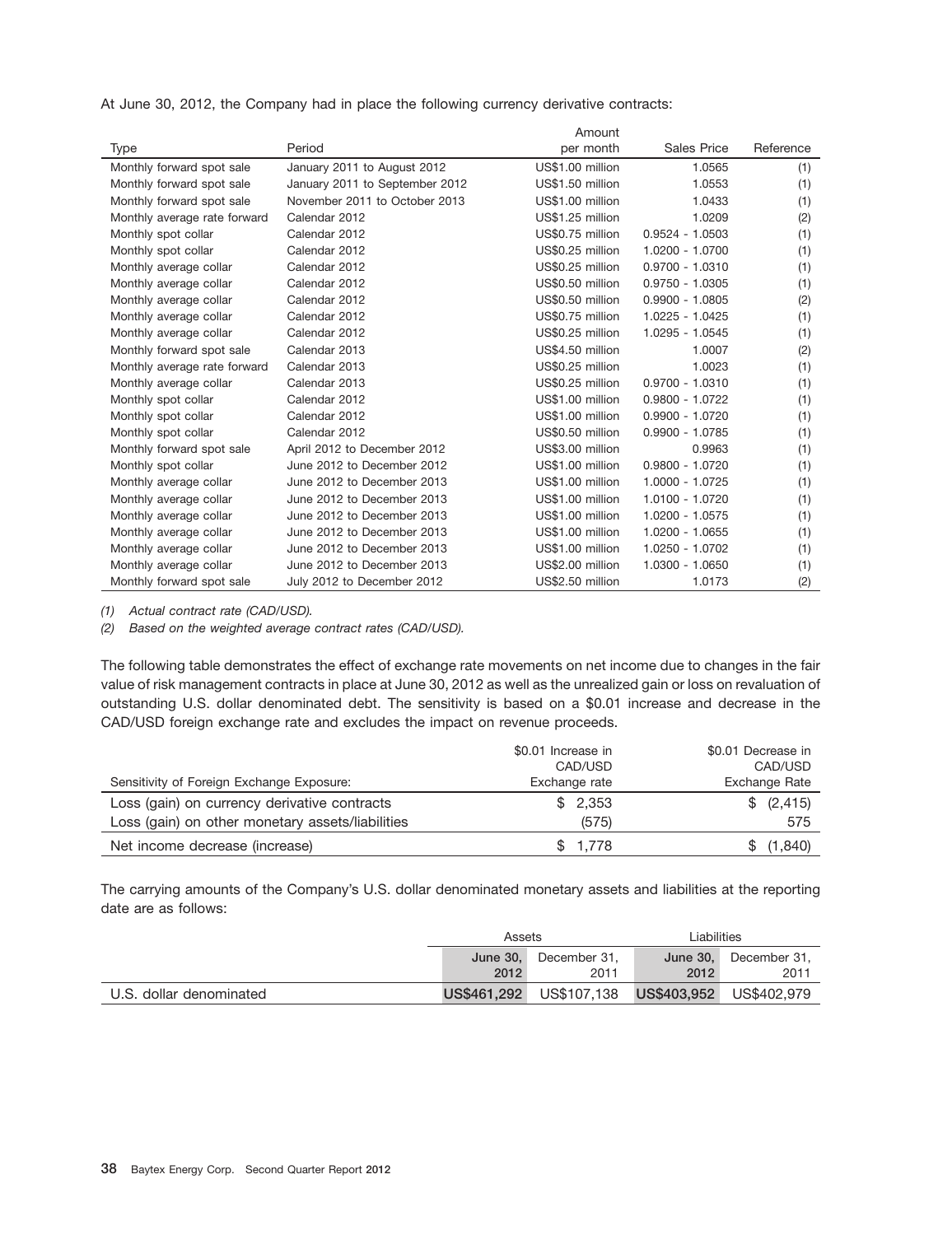At June 30, 2012, the Company had in place the following currency derivative contracts:

|                              |                                | Amount           |                    |           |
|------------------------------|--------------------------------|------------------|--------------------|-----------|
| Type                         | Period                         | per month        | <b>Sales Price</b> | Reference |
| Monthly forward spot sale    | January 2011 to August 2012    | US\$1.00 million | 1.0565             | (1)       |
| Monthly forward spot sale    | January 2011 to September 2012 | US\$1.50 million | 1.0553             | (1)       |
| Monthly forward spot sale    | November 2011 to October 2013  | US\$1.00 million | 1.0433             | (1)       |
| Monthly average rate forward | Calendar 2012                  | US\$1.25 million | 1.0209             | (2)       |
| Monthly spot collar          | Calendar 2012                  | US\$0.75 million | $0.9524 - 1.0503$  | (1)       |
| Monthly spot collar          | Calendar 2012                  | US\$0.25 million | 1.0200 - 1.0700    | (1)       |
| Monthly average collar       | Calendar 2012                  | US\$0.25 million | $0.9700 - 1.0310$  | (1)       |
| Monthly average collar       | Calendar 2012                  | US\$0.50 million | $0.9750 - 1.0305$  | (1)       |
| Monthly average collar       | Calendar 2012                  | US\$0.50 million | $0.9900 - 1.0805$  | (2)       |
| Monthly average collar       | Calendar 2012                  | US\$0.75 million | $1.0225 - 1.0425$  | (1)       |
| Monthly average collar       | Calendar 2012                  | US\$0.25 million | 1.0295 - 1.0545    | (1)       |
| Monthly forward spot sale    | Calendar 2013                  | US\$4.50 million | 1.0007             | (2)       |
| Monthly average rate forward | Calendar 2013                  | US\$0.25 million | 1.0023             | (1)       |
| Monthly average collar       | Calendar 2013                  | US\$0.25 million | $0.9700 - 1.0310$  | (1)       |
| Monthly spot collar          | Calendar 2012                  | US\$1.00 million | $0.9800 - 1.0722$  | (1)       |
| Monthly spot collar          | Calendar 2012                  | US\$1.00 million | $0.9900 - 1.0720$  | (1)       |
| Monthly spot collar          | Calendar 2012                  | US\$0.50 million | $0.9900 - 1.0785$  | (1)       |
| Monthly forward spot sale    | April 2012 to December 2012    | US\$3.00 million | 0.9963             | (1)       |
| Monthly spot collar          | June 2012 to December 2012     | US\$1.00 million | $0.9800 - 1.0720$  | (1)       |
| Monthly average collar       | June 2012 to December 2013     | US\$1.00 million | 1.0000 - 1.0725    | (1)       |
| Monthly average collar       | June 2012 to December 2013     | US\$1.00 million | 1.0100 - 1.0720    | (1)       |
| Monthly average collar       | June 2012 to December 2013     | US\$1.00 million | 1.0200 - 1.0575    | (1)       |
| Monthly average collar       | June 2012 to December 2013     | US\$1.00 million | 1.0200 - 1.0655    | (1)       |
| Monthly average collar       | June 2012 to December 2013     | US\$1.00 million | 1.0250 - 1.0702    | (1)       |
| Monthly average collar       | June 2012 to December 2013     | US\$2.00 million | 1.0300 - 1.0650    | (1)       |
| Monthly forward spot sale    | July 2012 to December 2012     | US\$2.50 million | 1.0173             | (2)       |

*(1) Actual contract rate (CAD/USD).*

*(2) Based on the weighted average contract rates (CAD/USD).*

The following table demonstrates the effect of exchange rate movements on net income due to changes in the fair value of risk management contracts in place at June 30, 2012 as well as the unrealized gain or loss on revaluation of outstanding U.S. dollar denominated debt. The sensitivity is based on a \$0.01 increase and decrease in the CAD/USD foreign exchange rate and excludes the impact on revenue proceeds.

|                                                  | \$0.01 Increase in | \$0.01 Decrease in |
|--------------------------------------------------|--------------------|--------------------|
|                                                  | CAD/USD            | CAD/USD            |
| Sensitivity of Foreign Exchange Exposure:        | Exchange rate      | Exchange Rate      |
| Loss (gain) on currency derivative contracts     | \$2,353            | \$ (2, 415)        |
| Loss (gain) on other monetary assets/liabilities | (575)              | 575                |
| Net income decrease (increase)                   | \$1,778            | \$(1,840)          |

The carrying amounts of the Company's U.S. dollar denominated monetary assets and liabilities at the reporting date are as follows:

|                         | Assets                          |      | Liabilities |                       |  |
|-------------------------|---------------------------------|------|-------------|-----------------------|--|
|                         | <b>June 30.</b><br>December 31. |      |             | June 30, December 31, |  |
|                         | 2012                            | 2011 | 2012        | 2011                  |  |
| U.S. dollar denominated |                                 |      |             |                       |  |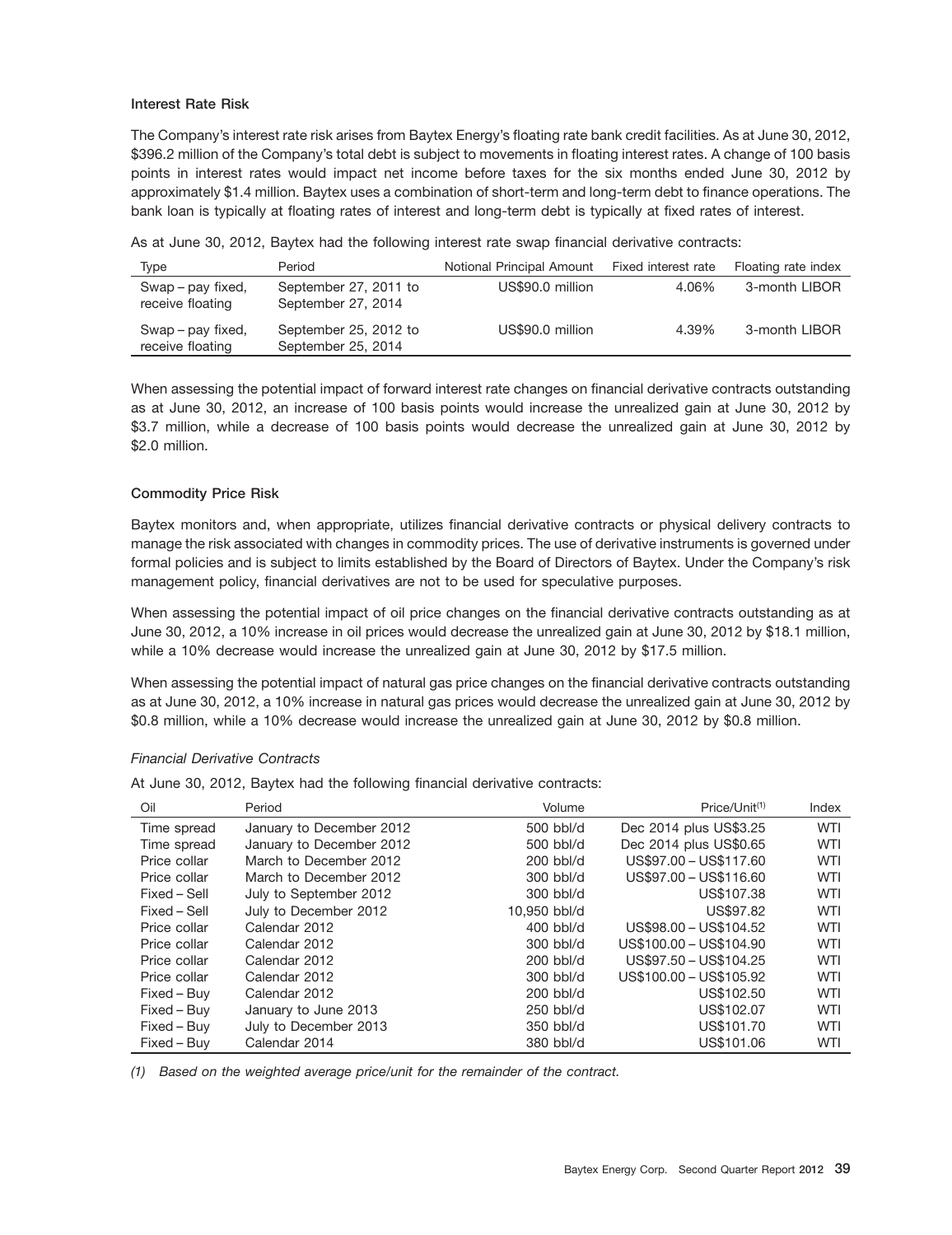### **Interest Rate Risk**

The Company's interest rate risk arises from Baytex Energy's floating rate bank credit facilities. As at June 30, 2012, \$396.2 million of the Company's total debt is subject to movements in floating interest rates. A change of 100 basis points in interest rates would impact net income before taxes for the six months ended June 30, 2012 by approximately \$1.4 million. Baytex uses a combination of short-term and long-term debt to finance operations. The bank loan is typically at floating rates of interest and long-term debt is typically at fixed rates of interest.

| As at June 30, 2012, Baytex had the following interest rate swap financial derivative contracts: |  |
|--------------------------------------------------------------------------------------------------|--|
|--------------------------------------------------------------------------------------------------|--|

| Type                                  | Period                                      | Notional Principal Amount | Fixed interest rate | Floating rate index |
|---------------------------------------|---------------------------------------------|---------------------------|---------------------|---------------------|
| Swap – pay fixed,<br>receive floating | September 27, 2011 to<br>September 27, 2014 | US\$90.0 million          | 4.06%               | 3-month LIBOR       |
| Swap – pay fixed,<br>receive floating | September 25, 2012 to<br>September 25, 2014 | US\$90.0 million          | 4.39%               | 3-month LIBOR       |

When assessing the potential impact of forward interest rate changes on financial derivative contracts outstanding as at June 30, 2012, an increase of 100 basis points would increase the unrealized gain at June 30, 2012 by \$3.7 million, while a decrease of 100 basis points would decrease the unrealized gain at June 30, 2012 by \$2.0 million.

### **Commodity Price Risk**

Baytex monitors and, when appropriate, utilizes financial derivative contracts or physical delivery contracts to manage the risk associated with changes in commodity prices. The use of derivative instruments is governed under formal policies and is subject to limits established by the Board of Directors of Baytex. Under the Company's risk management policy, financial derivatives are not to be used for speculative purposes.

When assessing the potential impact of oil price changes on the financial derivative contracts outstanding as at June 30, 2012, a 10% increase in oil prices would decrease the unrealized gain at June 30, 2012 by \$18.1 million, while a 10% decrease would increase the unrealized gain at June 30, 2012 by \$17.5 million.

When assessing the potential impact of natural gas price changes on the financial derivative contracts outstanding as at June 30, 2012, a 10% increase in natural gas prices would decrease the unrealized gain at June 30, 2012 by \$0.8 million, while a 10% decrease would increase the unrealized gain at June 30, 2012 by \$0.8 million.

### *Financial Derivative Contracts*

At June 30, 2012, Baytex had the following financial derivative contracts:

| Oil          | Period                   | Volume       | Price/Unit <sup>(1)</sup> | Index      |
|--------------|--------------------------|--------------|---------------------------|------------|
| Time spread  | January to December 2012 | 500 bbl/d    | Dec 2014 plus US\$3.25    | <b>WTI</b> |
| Time spread  | January to December 2012 | 500 bbl/d    | Dec 2014 plus US\$0.65    | <b>WTI</b> |
| Price collar | March to December 2012   | $200$ bbl/d  | US\$97.00 - US\$117.60    | <b>WTI</b> |
| Price collar | March to December 2012   | $300$ bbl/d  | US\$97.00 - US\$116.60    | WTI        |
| Fixed – Sell | July to September 2012   | 300 bbl/d    | US\$107.38                | <b>WTI</b> |
| Fixed - Sell | July to December 2012    | 10.950 bbl/d | US\$97.82                 | WTI        |
| Price collar | Calendar 2012            | $400$ bbl/d  | US\$98.00 - US\$104.52    | <b>WTI</b> |
| Price collar | Calendar 2012            | $300$ bbl/d  | US\$100.00 - US\$104.90   | <b>WTI</b> |
| Price collar | Calendar 2012            | $200$ bbl/d  | US\$97.50 - US\$104.25    | WTI        |
| Price collar | Calendar 2012            | $300$ bbl/d  | US\$100.00 - US\$105.92   | <b>WTI</b> |
| Fixed - Buy  | Calendar 2012            | $200$ bbl/d  | US\$102.50                | <b>WTI</b> |
| Fixed - Buy  | January to June 2013     | 250 bbl/d    | US\$102.07                | <b>WTI</b> |
| Fixed – Buy  | July to December 2013    | 350 bbl/d    | US\$101.70                | <b>WTI</b> |
| Fixed - Buy  | Calendar 2014            | 380 bbl/d    | US\$101.06                | WTI        |

*(1) Based on the weighted average price/unit for the remainder of the contract.*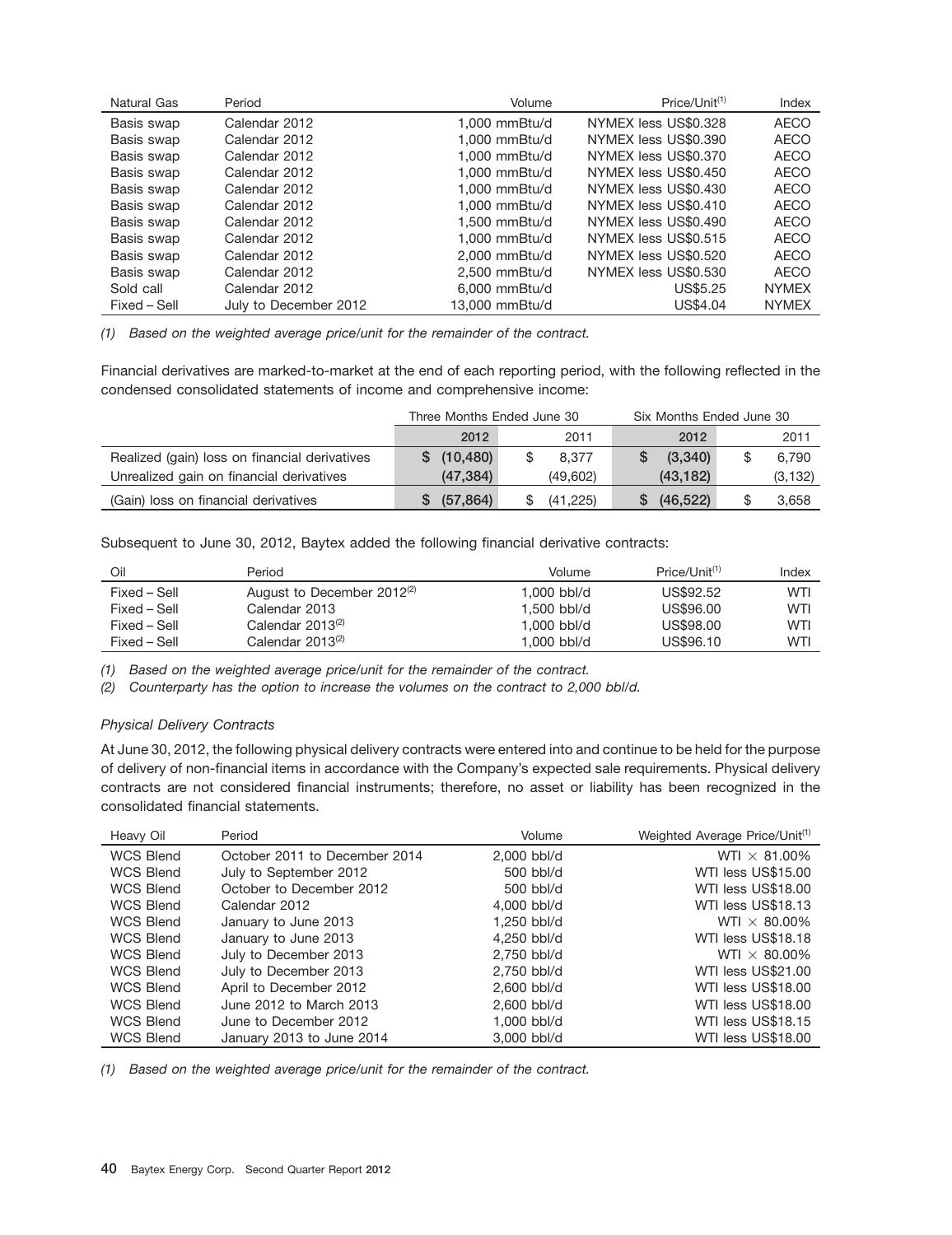| Natural Gas  | Period                | Volume          | Price/Unit <sup>(1)</sup> | Index        |
|--------------|-----------------------|-----------------|---------------------------|--------------|
| Basis swap   | Calendar 2012         | 1.000 mmBtu/d   | NYMEX less US\$0.328      | <b>AECO</b>  |
| Basis swap   | Calendar 2012         | $1.000$ mmBtu/d | NYMEX less US\$0.390      | <b>AECO</b>  |
| Basis swap   | Calendar 2012         | 1,000 mmBtu/d   | NYMEX less US\$0.370      | <b>AECO</b>  |
| Basis swap   | Calendar 2012         | 1.000 mmBtu/d   | NYMEX less US\$0.450      | <b>AECO</b>  |
| Basis swap   | Calendar 2012         | 1.000 mmBtu/d   | NYMEX less US\$0.430      | <b>AECO</b>  |
| Basis swap   | Calendar 2012         | 1.000 mmBtu/d   | NYMEX less US\$0.410      | <b>AECO</b>  |
| Basis swap   | Calendar 2012         | 1,500 mmBtu/d   | NYMEX less US\$0.490      | <b>AECO</b>  |
| Basis swap   | Calendar 2012         | $1.000$ mmBtu/d | NYMEX less US\$0.515      | <b>AECO</b>  |
| Basis swap   | Calendar 2012         | 2.000 mmBtu/d   | NYMEX less US\$0.520      | <b>AECO</b>  |
| Basis swap   | Calendar 2012         | 2.500 mmBtu/d   | NYMEX less US\$0.530      | <b>AECO</b>  |
| Sold call    | Calendar 2012         | 6.000 mmBtu/d   | US\$5.25                  | <b>NYMEX</b> |
| Fixed - Sell | July to December 2012 | 13,000 mmBtu/d  | US\$4.04                  | <b>NYMEX</b> |

*(1) Based on the weighted average price/unit for the remainder of the contract.*

Financial derivatives are marked-to-market at the end of each reporting period, with the following reflected in the condensed consolidated statements of income and comprehensive income:

|                                               | Three Months Ended June 30 |             |  | Six Months Ended June 30 |    |           |  |          |
|-----------------------------------------------|----------------------------|-------------|--|--------------------------|----|-----------|--|----------|
|                                               |                            | 2012        |  | 2011                     |    | 2012      |  | 2011     |
| Realized (gain) loss on financial derivatives |                            | \$(10, 480) |  | 8.377                    |    | (3,340)   |  | 6.790    |
| Unrealized gain on financial derivatives      |                            | (47, 384)   |  | (49,602)                 |    | (43.182)  |  | (3, 132) |
| (Gain) loss on financial derivatives          |                            | \$ (57,864) |  | (41.225)                 | S. | (46, 522) |  | 3.658    |

Subsequent to June 30, 2012, Baytex added the following financial derivative contracts:

| Oil          | Period                                 | Volume      | Price/Unit <sup>(1)</sup> | Index |
|--------------|----------------------------------------|-------------|---------------------------|-------|
| Fixed – Sell | August to December 2012 <sup>(2)</sup> | 1.000 bbl/d | US\$92.52                 | WTI   |
| Fixed – Sell | Calendar 2013                          | 1.500 bbl/d | US\$96.00                 | WTI   |
| Fixed – Sell | Calendar 2013 <sup>(2)</sup>           | 1.000 bbl/d | US\$98.00                 | WTI   |
| Fixed – Sell | Calendar 2013 <sup>(2)</sup>           | 1.000 bbl/d | US\$96.10                 | WTI   |

*(1) Based on the weighted average price/unit for the remainder of the contract.*

*(2) Counterparty has the option to increase the volumes on the contract to 2,000 bbl/d.*

### *Physical Delivery Contracts*

At June 30, 2012, the following physical delivery contracts were entered into and continue to be held for the purpose of delivery of non-financial items in accordance with the Company's expected sale requirements. Physical delivery contracts are not considered financial instruments; therefore, no asset or liability has been recognized in the consolidated financial statements.

| Heavy Oil        | Period                        | Volume        | Weighted Average Price/Unit <sup>(1)</sup> |
|------------------|-------------------------------|---------------|--------------------------------------------|
| <b>WCS Blend</b> | October 2011 to December 2014 | 2,000 bbl/d   | WTI $\times$ 81.00%                        |
| <b>WCS Blend</b> | July to September 2012        | $500$ bbl/d   | WTI less US\$15.00                         |
| <b>WCS Blend</b> | October to December 2012      | 500 bbl/d     | WTI less US\$18.00                         |
| <b>WCS Blend</b> | Calendar 2012                 | 4,000 bbl/d   | WTI less US\$18.13                         |
| <b>WCS Blend</b> | January to June 2013          | 1.250 bbl/d   | WTI $\times$ 80.00%                        |
| <b>WCS Blend</b> | January to June 2013          | 4.250 bbl/d   | WTI less US\$18.18                         |
| <b>WCS Blend</b> | July to December 2013         | 2.750 bbl/d   | WTI $\times$ 80.00%                        |
| <b>WCS Blend</b> | July to December 2013         | 2,750 bbl/d   | WTI less US\$21.00                         |
| <b>WCS Blend</b> | April to December 2012        | $2.600$ bbl/d | WTI less US\$18.00                         |
| <b>WCS Blend</b> | June 2012 to March 2013       | 2.600 bbl/d   | WTI less US\$18.00                         |
| <b>WCS Blend</b> | June to December 2012         | 1.000 bbl/d   | WTI less US\$18.15                         |
| <b>WCS Blend</b> | January 2013 to June 2014     | 3,000 bbl/d   | WTI less US\$18.00                         |

*(1) Based on the weighted average price/unit for the remainder of the contract.*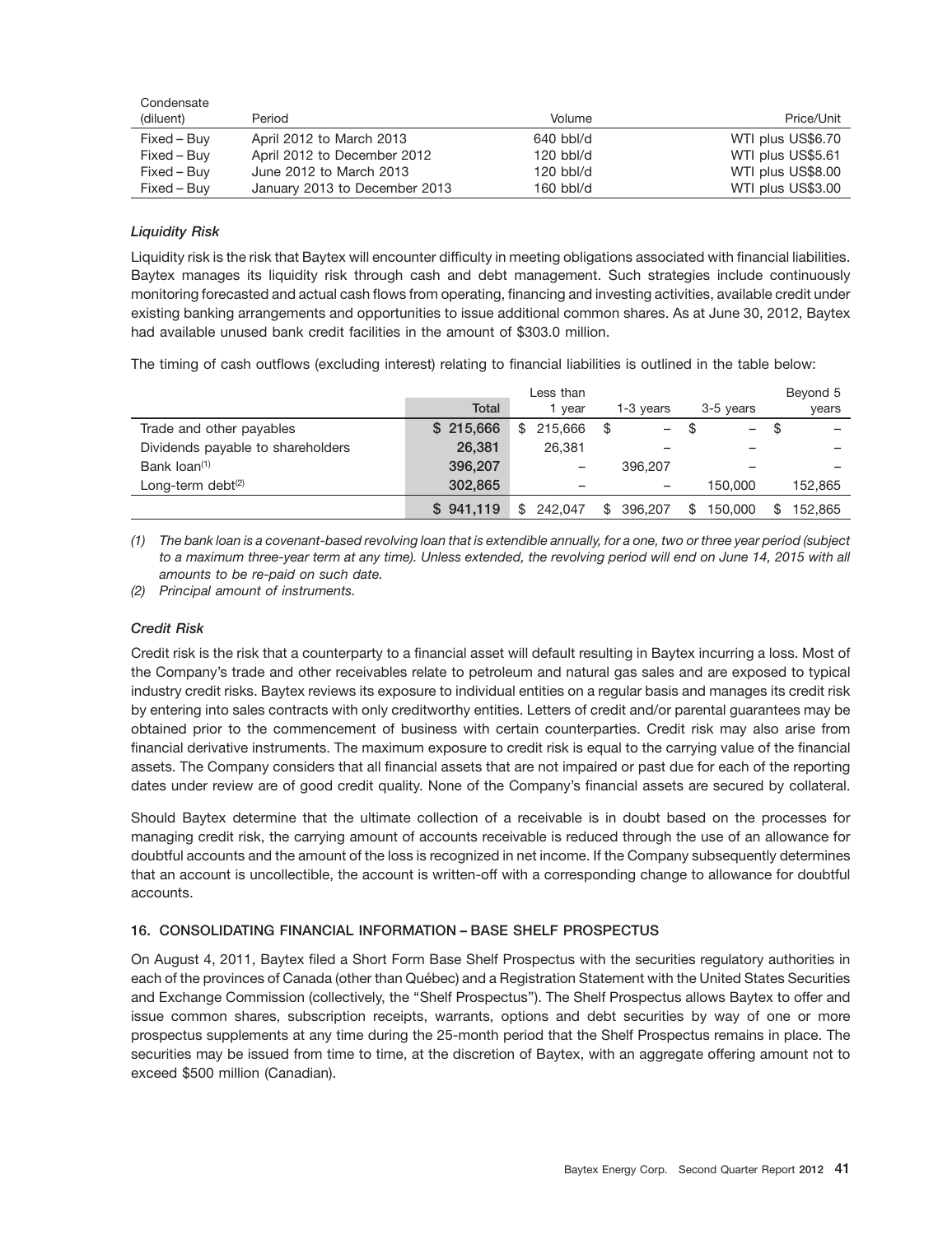| Condensate  |                               |             |                   |
|-------------|-------------------------------|-------------|-------------------|
| (diluent)   | Period                        | Volume      | Price/Unit        |
| Fixed – Buy | April 2012 to March 2013      | $640$ bbl/d | WTI plus US\$6.70 |
| Fixed – Buy | April 2012 to December 2012   | $120$ bbl/d | WTI plus US\$5.61 |
| Fixed – Buy | June 2012 to March 2013       | $120$ bbl/d | WTI plus US\$8.00 |
| Fixed – Buy | January 2013 to December 2013 | $160$ bbl/d | WTI plus US\$3.00 |

### *Liquidity Risk*

Liquidity risk is the risk that Baytex will encounter difficulty in meeting obligations associated with financial liabilities. Baytex manages its liquidity risk through cash and debt management. Such strategies include continuously monitoring forecasted and actual cash flows from operating, financing and investing activities, available credit under existing banking arrangements and opportunities to issue additional common shares. As at June 30, 2012, Baytex had available unused bank credit facilities in the amount of \$303.0 million.

The timing of cash outflows (excluding interest) relating to financial liabilities is outlined in the table below:

|                                   |              | Less than      |                      |                                | Beyond 5 |
|-----------------------------------|--------------|----------------|----------------------|--------------------------------|----------|
|                                   | <b>Total</b> | vear           | 1-3 years            | 3-5 years                      | years    |
| Trade and other payables          | \$215,666    | 215,666<br>\$  | \$<br>$\overline{a}$ | \$<br>$\overline{\phantom{0}}$ | \$       |
| Dividends payable to shareholders | 26.381       | 26.381         |                      |                                |          |
| Bank loan <sup>(1)</sup>          | 396,207      |                | 396,207              | -                              |          |
| Long-term debt <sup>(2)</sup>     | 302,865      |                |                      | 150,000                        | 152.865  |
|                                   | \$941,119    | 242.047<br>\$. | 396,207<br>\$        | 150,000<br>\$.                 | 152.865  |

*(1) The bank loan is a covenant-based revolving loan that is extendible annually, for a one, two or three year period (subject to a maximum three-year term at any time). Unless extended, the revolving period will end on June 14, 2015 with all amounts to be re-paid on such date.*

*(2) Principal amount of instruments.*

### *Credit Risk*

Credit risk is the risk that a counterparty to a financial asset will default resulting in Baytex incurring a loss. Most of the Company's trade and other receivables relate to petroleum and natural gas sales and are exposed to typical industry credit risks. Baytex reviews its exposure to individual entities on a regular basis and manages its credit risk by entering into sales contracts with only creditworthy entities. Letters of credit and/or parental guarantees may be obtained prior to the commencement of business with certain counterparties. Credit risk may also arise from financial derivative instruments. The maximum exposure to credit risk is equal to the carrying value of the financial assets. The Company considers that all financial assets that are not impaired or past due for each of the reporting dates under review are of good credit quality. None of the Company's financial assets are secured by collateral.

Should Baytex determine that the ultimate collection of a receivable is in doubt based on the processes for managing credit risk, the carrying amount of accounts receivable is reduced through the use of an allowance for doubtful accounts and the amount of the loss is recognized in net income. If the Company subsequently determines that an account is uncollectible, the account is written-off with a corresponding change to allowance for doubtful accounts.

### **16. CONSOLIDATING FINANCIAL INFORMATION – BASE SHELF PROSPECTUS**

On August 4, 2011, Baytex filed a Short Form Base Shelf Prospectus with the securities regulatory authorities in each of the provinces of Canada (other than Québec) and a Registration Statement with the United States Securities and Exchange Commission (collectively, the ''Shelf Prospectus''). The Shelf Prospectus allows Baytex to offer and issue common shares, subscription receipts, warrants, options and debt securities by way of one or more prospectus supplements at any time during the 25-month period that the Shelf Prospectus remains in place. The securities may be issued from time to time, at the discretion of Baytex, with an aggregate offering amount not to exceed \$500 million (Canadian).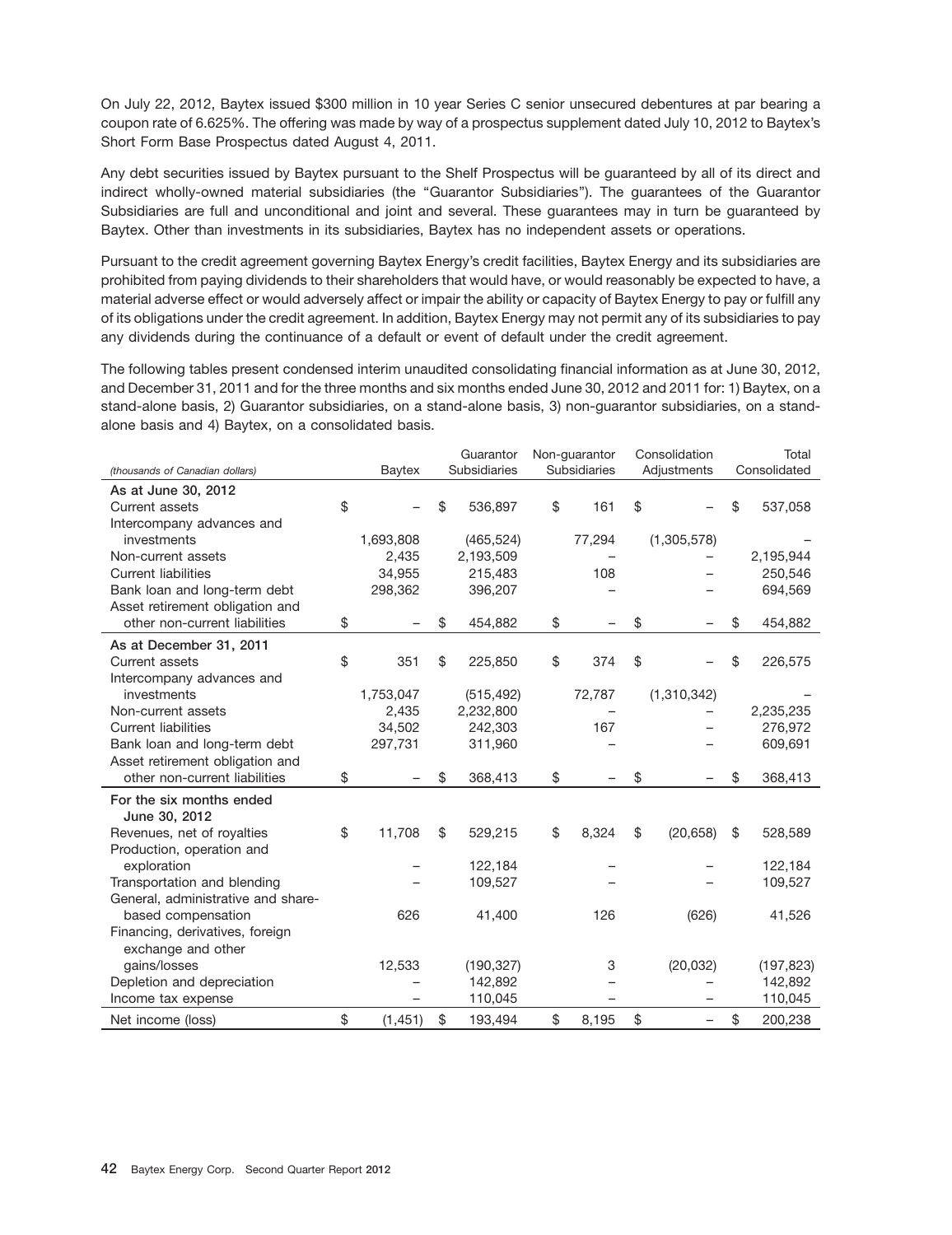On July 22, 2012, Baytex issued \$300 million in 10 year Series C senior unsecured debentures at par bearing a coupon rate of 6.625%. The offering was made by way of a prospectus supplement dated July 10, 2012 to Baytex's Short Form Base Prospectus dated August 4, 2011.

Any debt securities issued by Baytex pursuant to the Shelf Prospectus will be guaranteed by all of its direct and indirect wholly-owned material subsidiaries (the "Guarantor Subsidiaries"). The guarantees of the Guarantor Subsidiaries are full and unconditional and joint and several. These guarantees may in turn be guaranteed by Baytex. Other than investments in its subsidiaries, Baytex has no independent assets or operations.

Pursuant to the credit agreement governing Baytex Energy's credit facilities, Baytex Energy and its subsidiaries are prohibited from paying dividends to their shareholders that would have, or would reasonably be expected to have, a material adverse effect or would adversely affect or impair the ability or capacity of Baytex Energy to pay or fulfill any of its obligations under the credit agreement. In addition, Baytex Energy may not permit any of its subsidiaries to pay any dividends during the continuance of a default or event of default under the credit agreement.

The following tables present condensed interim unaudited consolidating financial information as at June 30, 2012, and December 31, 2011 and for the three months and six months ended June 30, 2012 and 2011 for: 1) Baytex, on a stand-alone basis, 2) Guarantor subsidiaries, on a stand-alone basis, 3) non-guarantor subsidiaries, on a standalone basis and 4) Baytex, on a consolidated basis.

|                                    |                | Guarantor     | Non-guarantor       | Consolidation   | Total         |
|------------------------------------|----------------|---------------|---------------------|-----------------|---------------|
| (thousands of Canadian dollars)    | Baytex         | Subsidiaries  | <b>Subsidiaries</b> | Adjustments     | Consolidated  |
| As at June 30, 2012                |                |               |                     |                 |               |
| Current assets                     | \$             | \$<br>536,897 | \$<br>161           | \$              | \$<br>537,058 |
| Intercompany advances and          |                |               |                     |                 |               |
| investments                        | 1,693,808      | (465, 524)    | 77,294              | (1,305,578)     |               |
| Non-current assets                 | 2,435          | 2,193,509     |                     |                 | 2,195,944     |
| <b>Current liabilities</b>         | 34,955         | 215,483       | 108                 |                 | 250,546       |
| Bank loan and long-term debt       | 298,362        | 396,207       |                     |                 | 694,569       |
| Asset retirement obligation and    |                |               |                     |                 |               |
| other non-current liabilities      | \$             | \$<br>454,882 | \$                  | \$              | \$<br>454,882 |
| As at December 31, 2011            |                |               |                     |                 |               |
| Current assets                     | \$<br>351      | \$<br>225,850 | \$<br>374           | \$              | \$<br>226,575 |
| Intercompany advances and          |                |               |                     |                 |               |
| investments                        | 1,753,047      | (515, 492)    | 72,787              | (1,310,342)     |               |
| Non-current assets                 | 2,435          | 2,232,800     |                     |                 | 2,235,235     |
| <b>Current liabilities</b>         | 34,502         | 242,303       | 167                 |                 | 276,972       |
| Bank loan and long-term debt       | 297,731        | 311,960       |                     |                 | 609,691       |
| Asset retirement obligation and    |                |               |                     |                 |               |
| other non-current liabilities      | \$             | \$<br>368,413 | \$                  | \$              | \$<br>368,413 |
| For the six months ended           |                |               |                     |                 |               |
| June 30, 2012                      |                |               |                     |                 |               |
| Revenues, net of royalties         | \$<br>11,708   | \$<br>529,215 | \$<br>8,324         | \$<br>(20, 658) | \$<br>528,589 |
| Production, operation and          |                |               |                     |                 |               |
| exploration                        |                | 122,184       |                     |                 | 122,184       |
| Transportation and blending        |                | 109,527       |                     |                 | 109,527       |
| General, administrative and share- |                |               |                     |                 |               |
| based compensation                 | 626            | 41,400        | 126                 | (626)           | 41,526        |
| Financing, derivatives, foreign    |                |               |                     |                 |               |
| exchange and other                 |                |               |                     |                 |               |
| gains/losses                       | 12,533         | (190, 327)    | 3                   | (20, 032)       | (197, 823)    |
| Depletion and depreciation         |                | 142,892       |                     |                 | 142,892       |
| Income tax expense                 |                | 110,045       |                     |                 | 110,045       |
| Net income (loss)                  | \$<br>(1, 451) | \$<br>193.494 | \$<br>8,195         | \$              | \$<br>200.238 |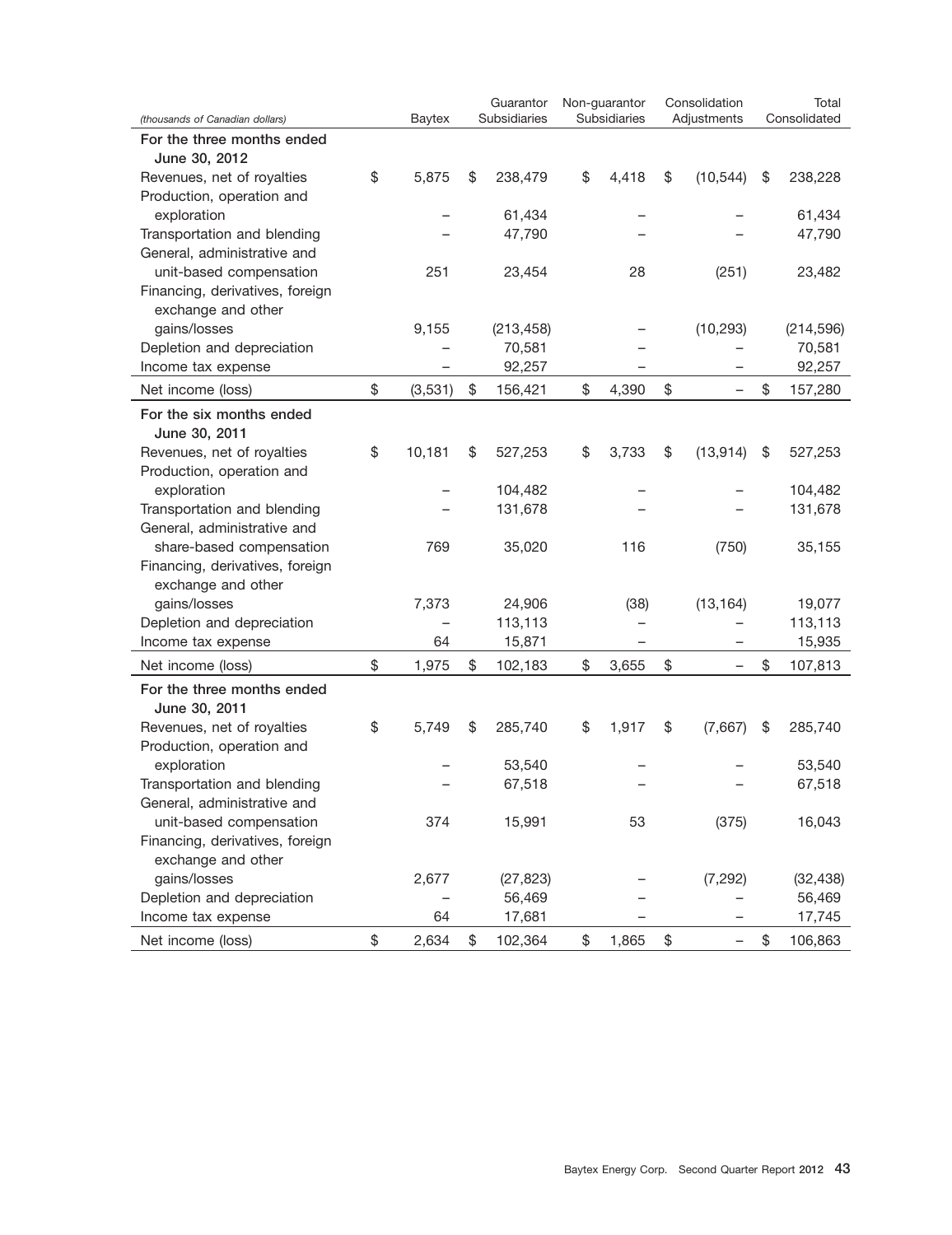| (thousands of Canadian dollars)                       | <b>Baytex</b> | Guarantor<br>Subsidiaries | Non-guarantor<br>Subsidiaries | Consolidation<br>Adjustments | Total<br>Consolidated |
|-------------------------------------------------------|---------------|---------------------------|-------------------------------|------------------------------|-----------------------|
| For the three months ended                            |               |                           |                               |                              |                       |
| June 30, 2012                                         |               |                           |                               |                              |                       |
| Revenues, net of royalties                            | \$<br>5,875   | \$<br>238,479             | \$<br>4,418                   | \$<br>(10, 544)              | \$<br>238,228         |
| Production, operation and                             |               |                           |                               |                              |                       |
| exploration                                           |               | 61,434                    |                               |                              | 61,434                |
| Transportation and blending                           |               | 47,790                    |                               |                              | 47,790                |
| General, administrative and                           |               |                           |                               |                              |                       |
| unit-based compensation                               | 251           | 23,454                    | 28                            | (251)                        | 23,482                |
| Financing, derivatives, foreign                       |               |                           |                               |                              |                       |
| exchange and other                                    |               |                           |                               |                              |                       |
| gains/losses                                          | 9,155         | (213, 458)                |                               | (10, 293)                    | (214, 596)            |
| Depletion and depreciation                            |               | 70,581                    |                               |                              | 70,581                |
| Income tax expense                                    |               | 92,257                    |                               |                              | 92,257                |
| Net income (loss)                                     | \$<br>(3,531) | \$<br>156,421             | \$<br>4,390                   | \$                           | \$<br>157,280         |
| For the six months ended                              |               |                           |                               |                              |                       |
| June 30, 2011                                         |               |                           |                               |                              |                       |
| Revenues, net of royalties                            | \$<br>10,181  | \$<br>527,253             | \$<br>3,733                   | \$<br>(13, 914)              | \$<br>527,253         |
| Production, operation and                             |               |                           |                               |                              |                       |
| exploration                                           |               | 104,482                   |                               |                              | 104,482               |
| Transportation and blending                           |               | 131,678                   |                               |                              | 131,678               |
| General, administrative and                           |               |                           |                               |                              |                       |
| share-based compensation                              | 769           | 35,020                    | 116                           | (750)                        | 35,155                |
| Financing, derivatives, foreign<br>exchange and other |               |                           |                               |                              |                       |
| gains/losses                                          | 7,373         | 24,906                    | (38)                          | (13, 164)                    | 19,077                |
| Depletion and depreciation                            |               | 113,113                   |                               |                              | 113,113               |
| Income tax expense                                    | 64            | 15,871                    |                               |                              | 15,935                |
|                                                       | \$            | \$                        | \$                            | \$                           | \$                    |
| Net income (loss)                                     | 1,975         | 102,183                   | 3,655                         |                              | 107,813               |
| For the three months ended                            |               |                           |                               |                              |                       |
| June 30, 2011<br>Revenues, net of royalties           | \$<br>5,749   | \$<br>285,740             | \$<br>1,917                   | \$<br>(7,667)                | \$<br>285,740         |
| Production, operation and                             |               |                           |                               |                              |                       |
| exploration                                           |               | 53,540                    |                               |                              | 53,540                |
| Transportation and blending                           |               | 67,518                    |                               |                              | 67,518                |
| General, administrative and                           |               |                           |                               |                              |                       |
| unit-based compensation                               | 374           | 15,991                    | 53                            | (375)                        | 16,043                |
| Financing, derivatives, foreign                       |               |                           |                               |                              |                       |
| exchange and other                                    |               |                           |                               |                              |                       |
| gains/losses                                          | 2,677         | (27, 823)                 |                               | (7, 292)                     | (32, 438)             |
| Depletion and depreciation                            |               | 56,469                    |                               |                              | 56,469                |
| Income tax expense                                    | 64            | 17,681                    |                               |                              | 17,745                |
| Net income (loss)                                     | \$<br>2,634   | \$<br>102,364             | \$<br>1,865                   | \$                           | \$<br>106,863         |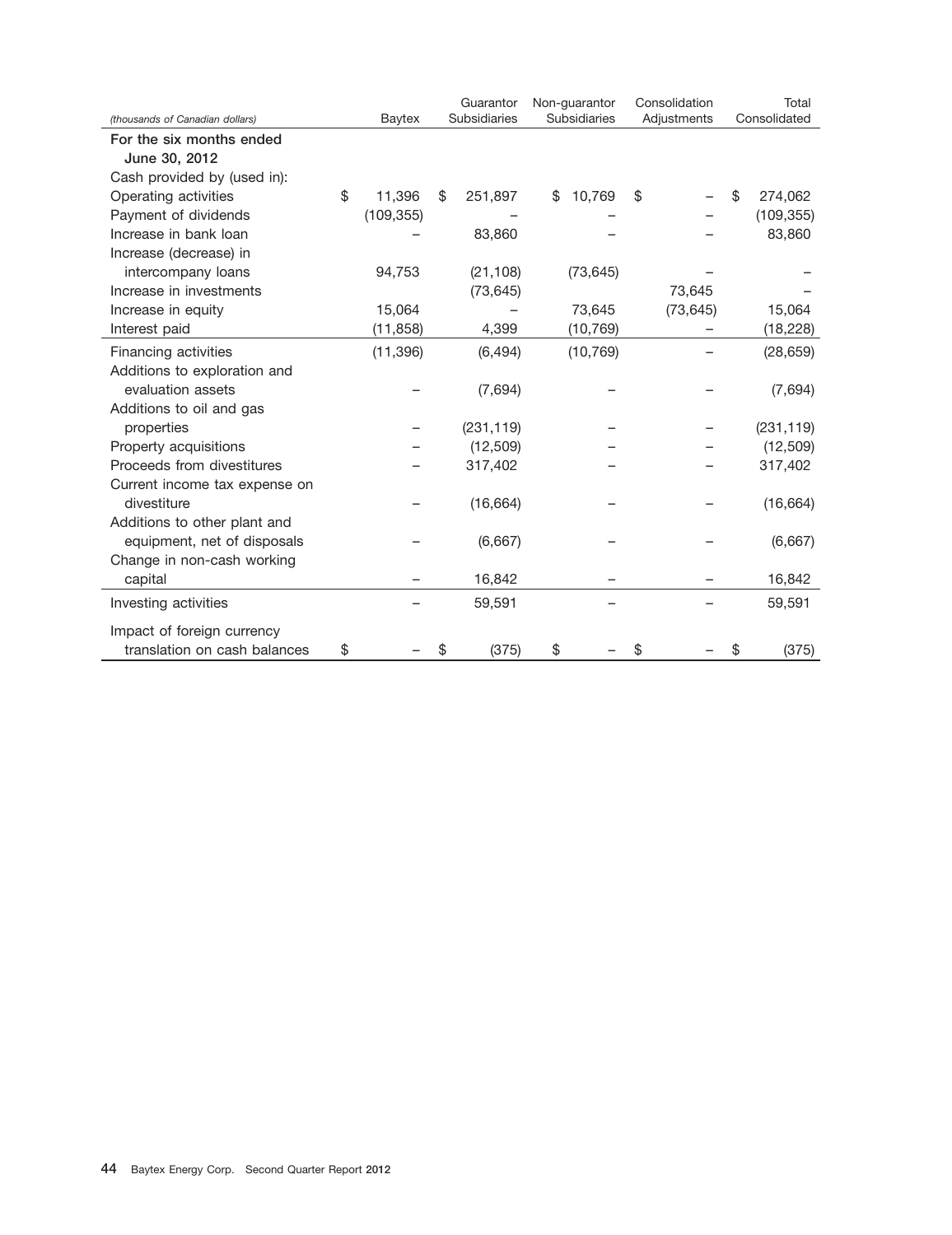| (thousands of Canadian dollars) | <b>Baytex</b> | Guarantor<br>Subsidiaries | Non-guarantor<br><b>Subsidiaries</b> | Consolidation<br>Adjustments | Total<br>Consolidated |
|---------------------------------|---------------|---------------------------|--------------------------------------|------------------------------|-----------------------|
| For the six months ended        |               |                           |                                      |                              |                       |
| June 30, 2012                   |               |                           |                                      |                              |                       |
| Cash provided by (used in):     |               |                           |                                      |                              |                       |
| Operating activities            | \$<br>11,396  | \$<br>251,897             | 10,769<br>\$                         | \$                           | \$<br>274,062         |
| Payment of dividends            | (109, 355)    |                           |                                      |                              | (109, 355)            |
| Increase in bank loan           |               | 83,860                    |                                      |                              | 83,860                |
| Increase (decrease) in          |               |                           |                                      |                              |                       |
| intercompany loans              | 94,753        | (21, 108)                 | (73, 645)                            |                              |                       |
| Increase in investments         |               | (73, 645)                 |                                      | 73,645                       |                       |
| Increase in equity              | 15,064        |                           | 73,645                               | (73, 645)                    | 15,064                |
| Interest paid                   | (11, 858)     | 4,399                     | (10, 769)                            |                              | (18, 228)             |
| Financing activities            | (11, 396)     | (6, 494)                  | (10, 769)                            |                              | (28, 659)             |
| Additions to exploration and    |               |                           |                                      |                              |                       |
| evaluation assets               |               | (7,694)                   |                                      |                              | (7,694)               |
| Additions to oil and gas        |               |                           |                                      |                              |                       |
| properties                      |               | (231, 119)                |                                      |                              | (231, 119)            |
| Property acquisitions           |               | (12, 509)                 |                                      |                              | (12, 509)             |
| Proceeds from divestitures      |               | 317,402                   |                                      |                              | 317,402               |
| Current income tax expense on   |               |                           |                                      |                              |                       |
| divestiture                     |               | (16, 664)                 |                                      |                              | (16, 664)             |
| Additions to other plant and    |               |                           |                                      |                              |                       |
| equipment, net of disposals     |               | (6,667)                   |                                      |                              | (6,667)               |
| Change in non-cash working      |               |                           |                                      |                              |                       |
| capital                         |               | 16,842                    |                                      |                              | 16,842                |
| Investing activities            |               | 59,591                    |                                      |                              | 59,591                |
| Impact of foreign currency      |               |                           |                                      |                              |                       |
| translation on cash balances    | \$            | \$<br>(375)               | \$                                   | \$                           | \$<br>(375)           |
|                                 |               |                           |                                      |                              |                       |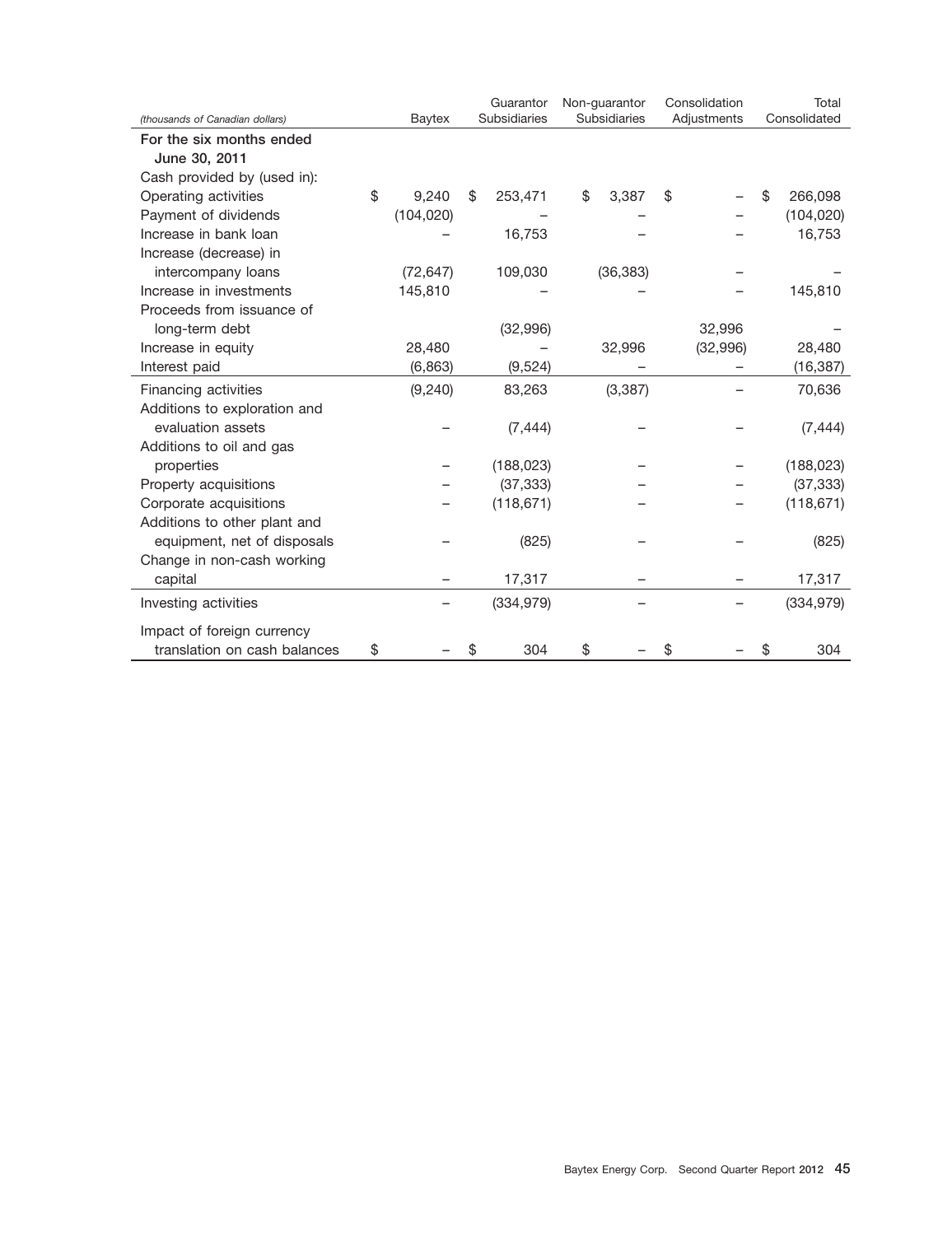|                                 |             | Guarantor     | Non-guarantor | Consolidation | Total         |
|---------------------------------|-------------|---------------|---------------|---------------|---------------|
| (thousands of Canadian dollars) | Baytex      | Subsidiaries  | Subsidiaries  | Adjustments   | Consolidated  |
| For the six months ended        |             |               |               |               |               |
| June 30, 2011                   |             |               |               |               |               |
| Cash provided by (used in):     |             |               |               |               |               |
| Operating activities            | \$<br>9,240 | \$<br>253,471 | \$<br>3,387   | \$            | \$<br>266,098 |
| Payment of dividends            | (104, 020)  |               |               |               | (104, 020)    |
| Increase in bank loan           |             | 16,753        |               |               | 16,753        |
| Increase (decrease) in          |             |               |               |               |               |
| intercompany loans              | (72, 647)   | 109,030       | (36, 383)     |               |               |
| Increase in investments         | 145,810     |               |               |               | 145,810       |
| Proceeds from issuance of       |             |               |               |               |               |
| long-term debt                  |             | (32,996)      |               | 32,996        |               |
| Increase in equity              | 28,480      |               | 32,996        | (32,996)      | 28,480        |
| Interest paid                   | (6,863)     | (9,524)       |               |               | (16, 387)     |
| Financing activities            | (9, 240)    | 83,263        | (3, 387)      |               | 70,636        |
| Additions to exploration and    |             |               |               |               |               |
| evaluation assets               |             | (7, 444)      |               |               | (7, 444)      |
| Additions to oil and gas        |             |               |               |               |               |
| properties                      |             | (188, 023)    |               |               | (188, 023)    |
| Property acquisitions           |             | (37, 333)     |               |               | (37, 333)     |
| Corporate acquisitions          |             | (118, 671)    |               |               | (118, 671)    |
| Additions to other plant and    |             |               |               |               |               |
| equipment, net of disposals     |             | (825)         |               |               | (825)         |
| Change in non-cash working      |             |               |               |               |               |
| capital                         |             | 17,317        |               |               | 17,317        |
| Investing activities            |             | (334, 979)    |               |               | (334, 979)    |
| Impact of foreign currency      |             |               |               |               |               |
| translation on cash balances    | \$          | \$<br>304     | \$            | \$            | \$<br>304     |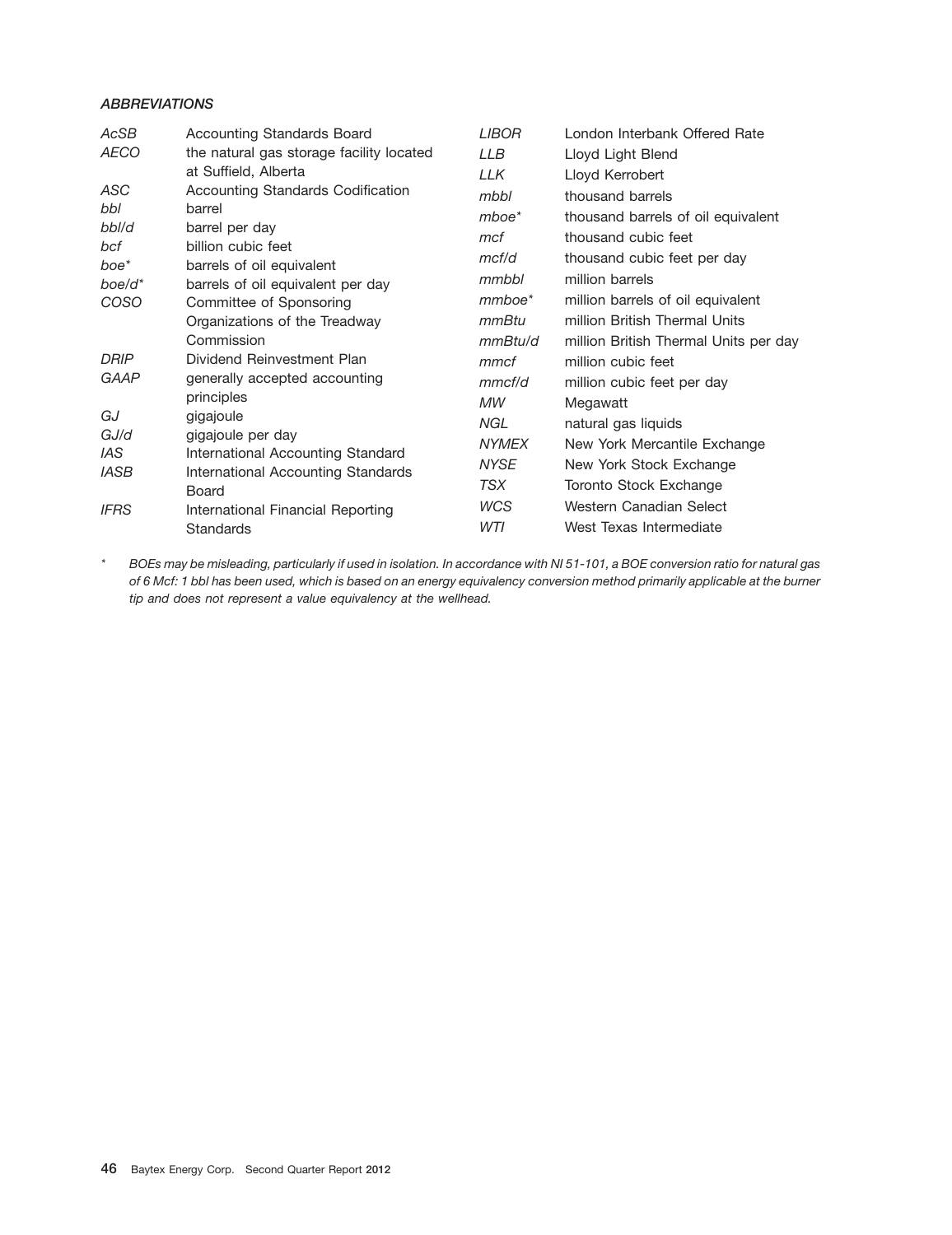### *ABBREVIATIONS*

| AcSB              | <b>Accounting Standards Board</b>                              | <b>LIBOR</b> | London Interbank Offered Rate         |
|-------------------|----------------------------------------------------------------|--------------|---------------------------------------|
| <b>AECO</b>       | the natural gas storage facility located                       | <b>LLB</b>   | Lloyd Light Blend                     |
|                   | at Suffield, Alberta                                           | LLK          | Lloyd Kerrobert                       |
| ASC               | Accounting Standards Codification                              | mbbl         | thousand barrels                      |
| bbl               | barrel                                                         | $m$ boe $*$  | thousand barrels of oil equivalent    |
| bbl/d             | barrel per day                                                 | mcf          | thousand cubic feet                   |
| bcf               | billion cubic feet                                             | mcf/d        | thousand cubic feet per day           |
| boe*<br>$boe/d^*$ | barrels of oil equivalent<br>barrels of oil equivalent per day | mmbbl        | million barrels                       |
| <b>COSO</b>       | Committee of Sponsoring                                        | mmboe*       | million barrels of oil equivalent     |
|                   | Organizations of the Treadway                                  | mmBtu        | million British Thermal Units         |
|                   | Commission                                                     | mmBtu/d      | million British Thermal Units per day |
| <b>DRIP</b>       | Dividend Reinvestment Plan                                     | mmcf         | million cubic feet                    |
| <b>GAAP</b>       | generally accepted accounting                                  | mmc f/d      | million cubic feet per day            |
|                   | principles                                                     | МW           | Megawatt                              |
| GJ                | gigajoule                                                      | NGL.         | natural gas liquids                   |
| GJ/d              | gigajoule per day                                              | <b>NYMEX</b> | New York Mercantile Exchange          |
| IAS.              | International Accounting Standard                              | <b>NYSE</b>  | New York Stock Exchange               |
| <b>IASB</b>       | International Accounting Standards<br>Board                    | TSX          | Toronto Stock Exchange                |
| <b>IFRS</b>       | International Financial Reporting                              | WCS          | Western Canadian Select               |
|                   | <b>Standards</b>                                               | WTI          | West Texas Intermediate               |

*\* BOEs may be misleading, particularly if used in isolation. In accordance with NI 51-101, a BOE conversion ratio for natural gas of 6 Mcf: 1 bbl has been used, which is based on an energy equivalency conversion method primarily applicable at the burner tip and does not represent a value equivalency at the wellhead.*